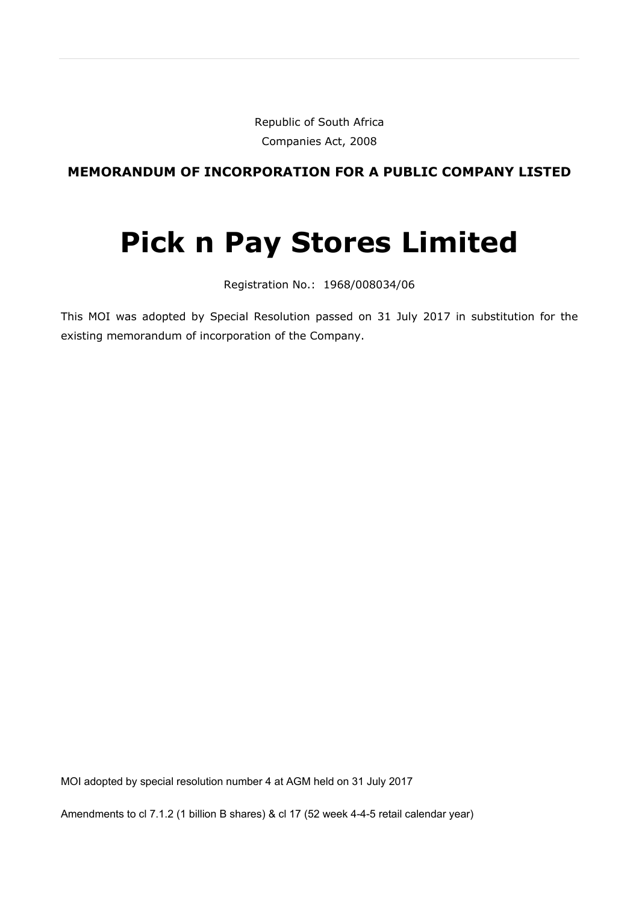Republic of South Africa Companies Act, 2008

**MEMORANDUM OF INCORPORATION FOR A PUBLIC COMPANY LISTED**

# **Pick n Pay Stores Limited**

Registration No.: 1968/008034/06

This MOI was adopted by Special Resolution passed on 31 July 2017 in substitution for the existing memorandum of incorporation of the Company.

MOI adopted by special resolution number 4 at AGM held on 31 July 2017

Amendments to cl 7.1.2 (1 billion B shares) & cl 17 (52 week 4-4-5 retail calendar year)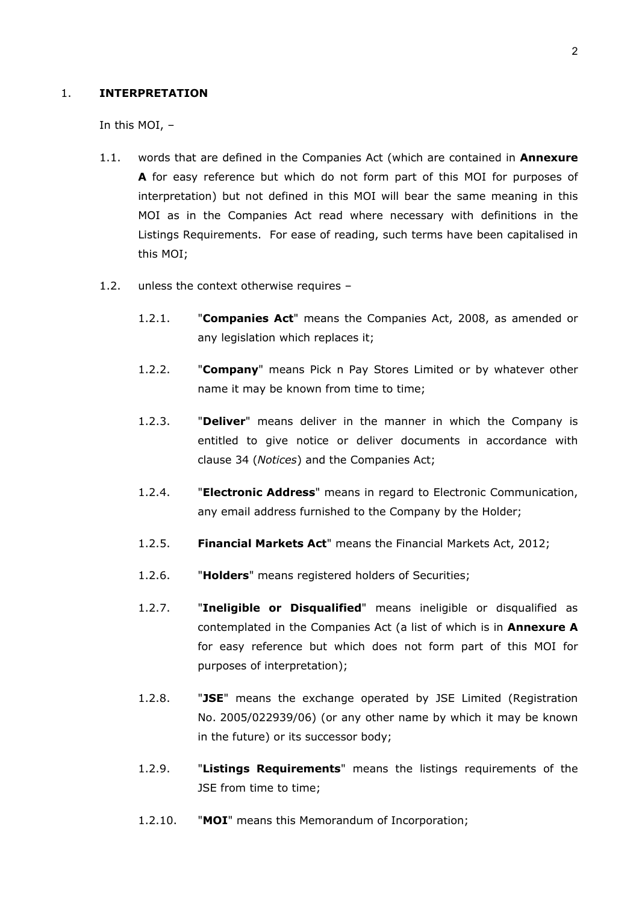#### 1. **INTERPRETATION**

In this MOI, –

- 1.1. words that are defined in the Companies Act (which are contained in **Annexure A** for easy reference but which do not form part of this MOI for purposes of interpretation) but not defined in this MOI will bear the same meaning in this MOI as in the Companies Act read where necessary with definitions in the Listings Requirements. For ease of reading, such terms have been capitalised in this MOI;
- 1.2. unless the context otherwise requires
	- 1.2.1. "**Companies Act**" means the Companies Act, 2008, as amended or any legislation which replaces it;
	- 1.2.2. "**Company**" means Pick n Pay Stores Limited or by whatever other name it may be known from time to time;
	- 1.2.3. "**Deliver**" means deliver in the manner in which the Company is entitled to give notice or deliver documents in accordance with clause [34](#page-48-0) (*Notices*) and the Companies Act;
	- 1.2.4. "**Electronic Address**" means in regard to Electronic Communication, any email address furnished to the Company by the Holder;
	- 1.2.5. **Financial Markets Act**" means the Financial Markets Act, 2012;
	- 1.2.6. "**Holders**" means registered holders of Securities;
	- 1.2.7. "**Ineligible or Disqualified**" means ineligible or disqualified as contemplated in the Companies Act (a list of which is in **Annexure A**  for easy reference but which does not form part of this MOI for purposes of interpretation);
	- 1.2.8. "**JSE**" means the exchange operated by JSE Limited (Registration No. 2005/022939/06) (or any other name by which it may be known in the future) or its successor body;
	- 1.2.9. "**Listings Requirements**" means the listings requirements of the JSE from time to time;
	- 1.2.10. "**MOI**" means this Memorandum of Incorporation;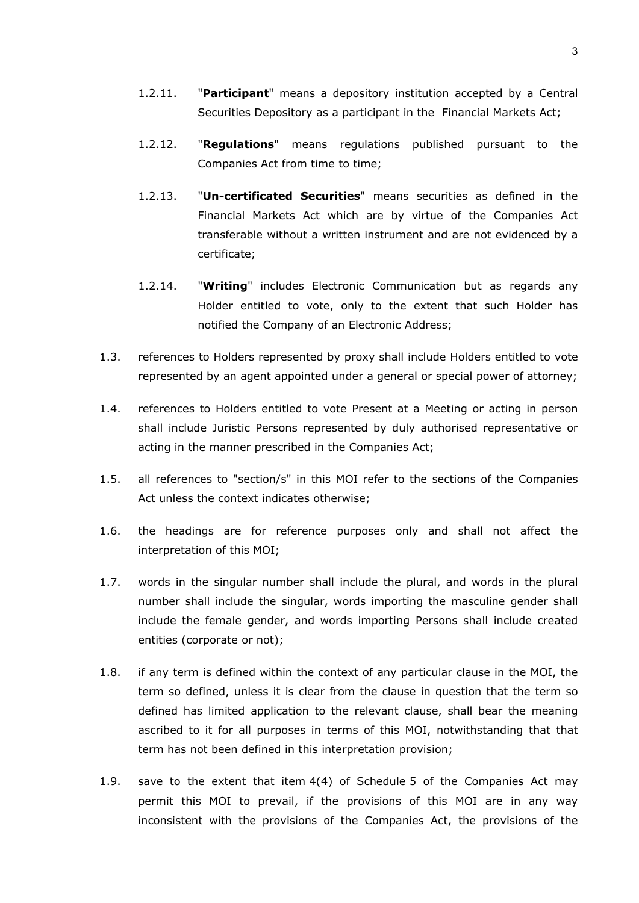- 1.2.11. "**Participant**" means a depository institution accepted by a Central Securities Depository as a participant in the Financial Markets Act;
- 1.2.12. "**Regulations**" means regulations published pursuant to the Companies Act from time to time;
- 1.2.13. "**Un-certificated Securities**" means securities as defined in the Financial Markets Act which are by virtue of the Companies Act transferable without a written instrument and are not evidenced by a certificate;
- 1.2.14. "**Writing**" includes Electronic Communication but as regards any Holder entitled to vote, only to the extent that such Holder has notified the Company of an Electronic Address;
- 1.3. references to Holders represented by proxy shall include Holders entitled to vote represented by an agent appointed under a general or special power of attorney;
- 1.4. references to Holders entitled to vote Present at a Meeting or acting in person shall include Juristic Persons represented by duly authorised representative or acting in the manner prescribed in the Companies Act;
- 1.5. all references to "section/s" in this MOI refer to the sections of the Companies Act unless the context indicates otherwise;
- 1.6. the headings are for reference purposes only and shall not affect the interpretation of this MOI;
- 1.7. words in the singular number shall include the plural, and words in the plural number shall include the singular, words importing the masculine gender shall include the female gender, and words importing Persons shall include created entities (corporate or not);
- 1.8. if any term is defined within the context of any particular clause in the MOI, the term so defined, unless it is clear from the clause in question that the term so defined has limited application to the relevant clause, shall bear the meaning ascribed to it for all purposes in terms of this MOI, notwithstanding that that term has not been defined in this interpretation provision;
- 1.9. save to the extent that item 4(4) of Schedule 5 of the Companies Act may permit this MOI to prevail, if the provisions of this MOI are in any way inconsistent with the provisions of the Companies Act, the provisions of the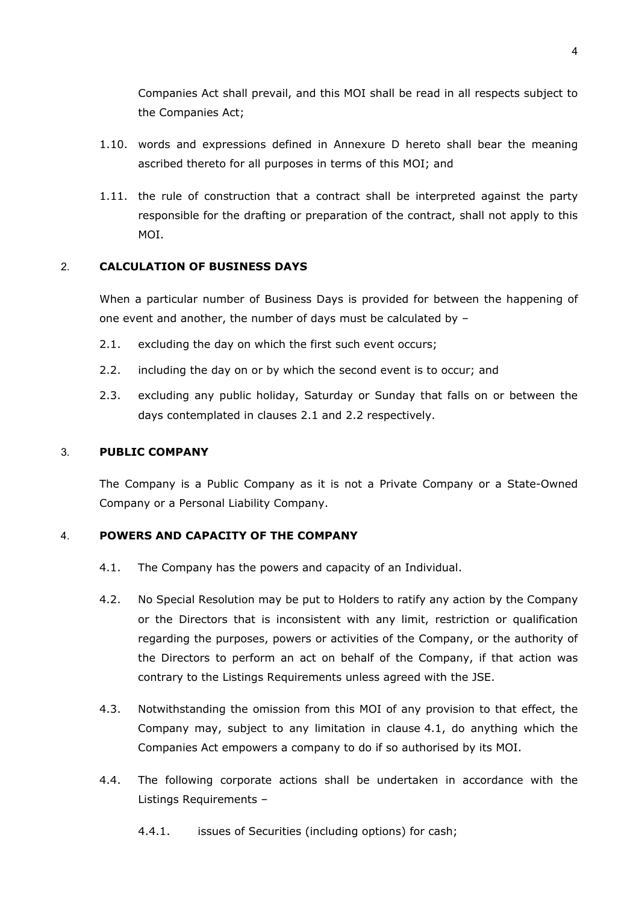Companies Act shall prevail, and this MOI shall be read in all respects subject to the Companies Act;

- 1.10. words and expressions defined in Annexure D hereto shall bear the meaning ascribed thereto for all purposes in terms of this MOI; and
- 1.11. the rule of construction that a contract shall be interpreted against the party responsible for the drafting or preparation of the contract, shall not apply to this MOI.

# 2. **CALCULATION OF BUSINESS DAYS**

When a particular number of Business Days is provided for between the happening of one event and another, the number of days must be calculated by –

- <span id="page-3-0"></span>2.1. excluding the day on which the first such event occurs;
- <span id="page-3-1"></span>2.2. including the day on or by which the second event is to occur; and
- 2.3. excluding any public holiday, Saturday or Sunday that falls on or between the days contemplated in clauses [2.1](#page-3-0) and [2.2](#page-3-1) respectively.

# 3. **PUBLIC COMPANY**

The Company is a Public Company as it is not a Private Company or a State-Owned Company or a Personal Liability Company.

#### <span id="page-3-2"></span>4. **POWERS AND CAPACITY OF THE COMPANY**

- 4.1. The Company has the powers and capacity of an Individual.
- 4.2. No Special Resolution may be put to Holders to ratify any action by the Company or the Directors that is inconsistent with any limit, restriction or qualification regarding the purposes, powers or activities of the Company, or the authority of the Directors to perform an act on behalf of the Company, if that action was contrary to the Listings Requirements unless agreed with the JSE.
- 4.3. Notwithstanding the omission from this MOI of any provision to that effect, the Company may, subject to any limitation in clause [4.1,](#page-3-2) do anything which the Companies Act empowers a company to do if so authorised by its MOI.
- 4.4. The following corporate actions shall be undertaken in accordance with the Listings Requirements –
	- 4.4.1. issues of Securities (including options) for cash;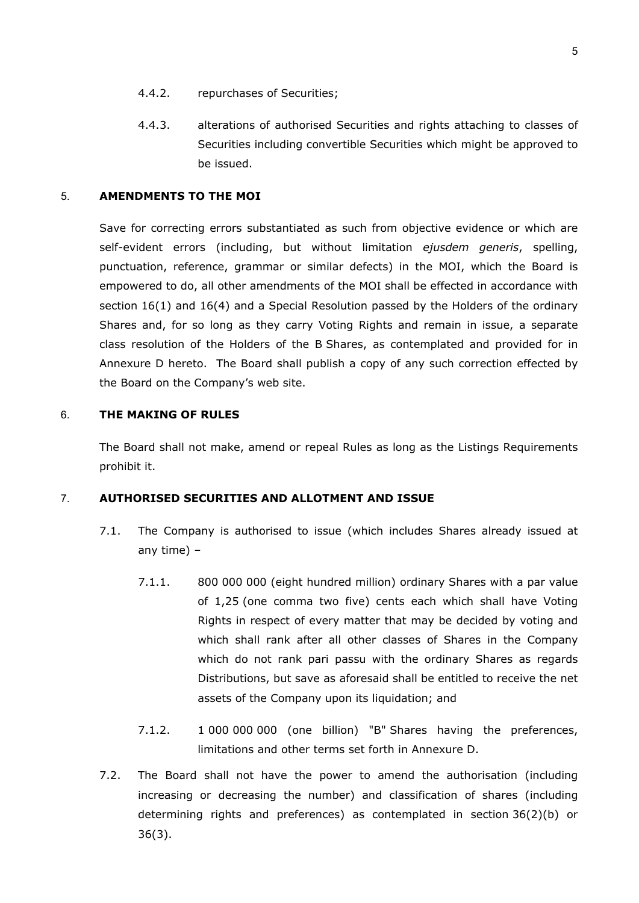- 4.4.2. repurchases of Securities;
- 4.4.3. alterations of authorised Securities and rights attaching to classes of Securities including convertible Securities which might be approved to be issued.

#### 5. **AMENDMENTS TO THE MOI**

Save for correcting errors substantiated as such from objective evidence or which are self-evident errors (including, but without limitation *ejusdem generis*, spelling, punctuation, reference, grammar or similar defects) in the MOI, which the Board is empowered to do, all other amendments of the MOI shall be effected in accordance with section 16(1) and 16(4) and a Special Resolution passed by the Holders of the ordinary Shares and, for so long as they carry Voting Rights and remain in issue, a separate class resolution of the Holders of the B Shares, as contemplated and provided for in Annexure D hereto. The Board shall publish a copy of any such correction effected by the Board on the Company's web site.

#### 6. **THE MAKING OF RULES**

The Board shall not make, amend or repeal Rules as long as the Listings Requirements prohibit it.

## 7. **AUTHORISED SECURITIES AND ALLOTMENT AND ISSUE**

- 7.1. The Company is authorised to issue (which includes Shares already issued at any time) –
	- 7.1.1. 800 000 000 (eight hundred million) ordinary Shares with a par value of 1,25 (one comma two five) cents each which shall have Voting Rights in respect of every matter that may be decided by voting and which shall rank after all other classes of Shares in the Company which do not rank pari passu with the ordinary Shares as regards Distributions, but save as aforesaid shall be entitled to receive the net assets of the Company upon its liquidation; and
	- 7.1.2. 1 000 000 000 (one billion) "B" Shares having the preferences, limitations and other terms set forth in Annexure D.
- 7.2. The Board shall not have the power to amend the authorisation (including increasing or decreasing the number) and classification of shares (including determining rights and preferences) as contemplated in section 36(2)(b) or 36(3).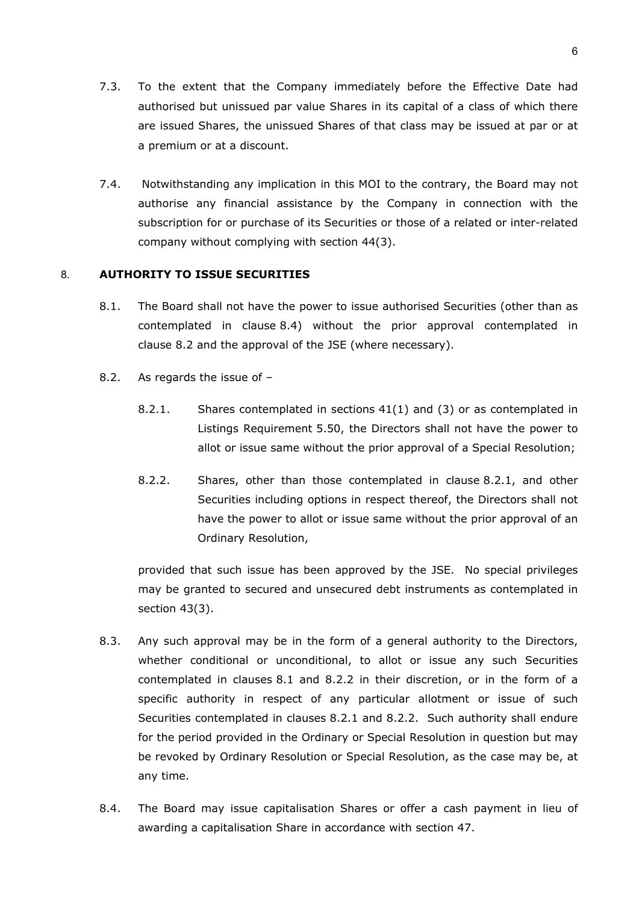- 7.3. To the extent that the Company immediately before the Effective Date had authorised but unissued par value Shares in its capital of a class of which there are issued Shares, the unissued Shares of that class may be issued at par or at a premium or at a discount.
- 7.4. Notwithstanding any implication in this MOI to the contrary, the Board may not authorise any financial assistance by the Company in connection with the subscription for or purchase of its Securities or those of a related or inter-related company without complying with section 44(3).

# <span id="page-5-3"></span>8. **AUTHORITY TO ISSUE SECURITIES**

- 8.1. The Board shall not have the power to issue authorised Securities (other than as contemplated in clause [8.4\)](#page-5-0) without the prior approval contemplated in clause [8.2](#page-5-1) and the approval of the JSE (where necessary).
- <span id="page-5-4"></span><span id="page-5-2"></span><span id="page-5-1"></span>8.2. As regards the issue of –
	- 8.2.1. Shares contemplated in sections 41(1) and (3) or as contemplated in Listings Requirement 5.50, the Directors shall not have the power to allot or issue same without the prior approval of a Special Resolution;
	- 8.2.2. Shares, other than those contemplated in clause [8.2.1,](#page-5-2) and other Securities including options in respect thereof, the Directors shall not have the power to allot or issue same without the prior approval of an Ordinary Resolution,

provided that such issue has been approved by the JSE. No special privileges may be granted to secured and unsecured debt instruments as contemplated in section 43(3).

- 8.3. Any such approval may be in the form of a general authority to the Directors, whether conditional or unconditional, to allot or issue any such Securities contemplated in clauses [8.1](#page-5-3) and [8.2.2](#page-5-4) in their discretion, or in the form of a specific authority in respect of any particular allotment or issue of such Securities contemplated in clauses [8.2.1](#page-5-2) and [8.2.2.](#page-5-4) Such authority shall endure for the period provided in the Ordinary or Special Resolution in question but may be revoked by Ordinary Resolution or Special Resolution, as the case may be, at any time.
- <span id="page-5-0"></span>8.4. The Board may issue capitalisation Shares or offer a cash payment in lieu of awarding a capitalisation Share in accordance with section 47.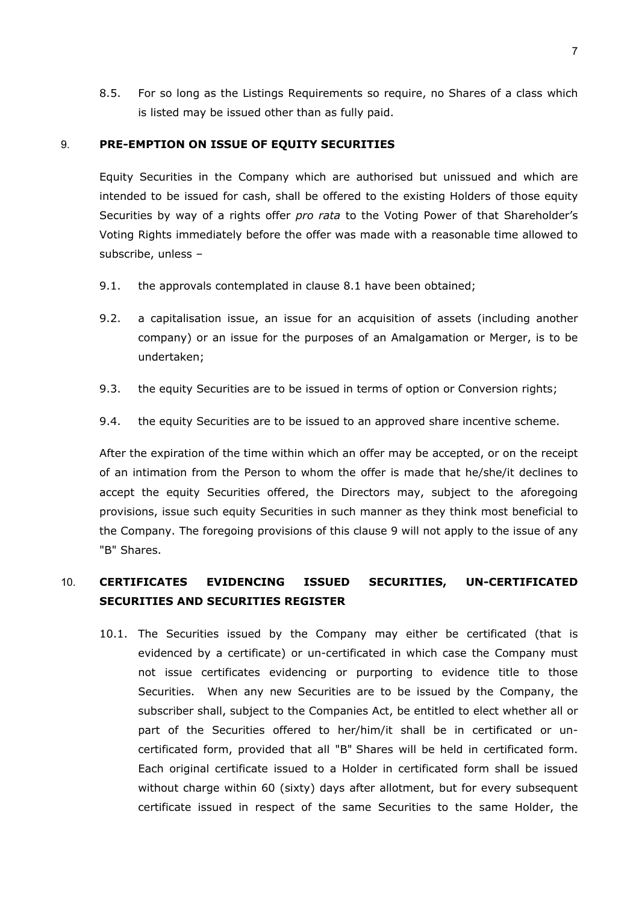8.5. For so long as the Listings Requirements so require, no Shares of a class which is listed may be issued other than as fully paid.

#### <span id="page-6-0"></span>9. **PRE-EMPTION ON ISSUE OF EQUITY SECURITIES**

Equity Securities in the Company which are authorised but unissued and which are intended to be issued for cash, shall be offered to the existing Holders of those equity Securities by way of a rights offer *pro rata* to the Voting Power of that Shareholder's Voting Rights immediately before the offer was made with a reasonable time allowed to subscribe, unless –

- 9.1. the approvals contemplated in clause [8.1](#page-5-3) have been obtained;
- 9.2. a capitalisation issue, an issue for an acquisition of assets (including another company) or an issue for the purposes of an Amalgamation or Merger, is to be undertaken;
- 9.3. the equity Securities are to be issued in terms of option or Conversion rights;
- 9.4. the equity Securities are to be issued to an approved share incentive scheme.

After the expiration of the time within which an offer may be accepted, or on the receipt of an intimation from the Person to whom the offer is made that he/she/it declines to accept the equity Securities offered, the Directors may, subject to the aforegoing provisions, issue such equity Securities in such manner as they think most beneficial to the Company. The foregoing provisions of this clause [9](#page-6-0) will not apply to the issue of any "B" Shares.

# 10. **CERTIFICATES EVIDENCING ISSUED SECURITIES, UN-CERTIFICATED SECURITIES AND SECURITIES REGISTER**

10.1. The Securities issued by the Company may either be certificated (that is evidenced by a certificate) or un-certificated in which case the Company must not issue certificates evidencing or purporting to evidence title to those Securities. When any new Securities are to be issued by the Company, the subscriber shall, subject to the Companies Act, be entitled to elect whether all or part of the Securities offered to her/him/it shall be in certificated or uncertificated form, provided that all "B" Shares will be held in certificated form. Each original certificate issued to a Holder in certificated form shall be issued without charge within 60 (sixty) days after allotment, but for every subsequent certificate issued in respect of the same Securities to the same Holder, the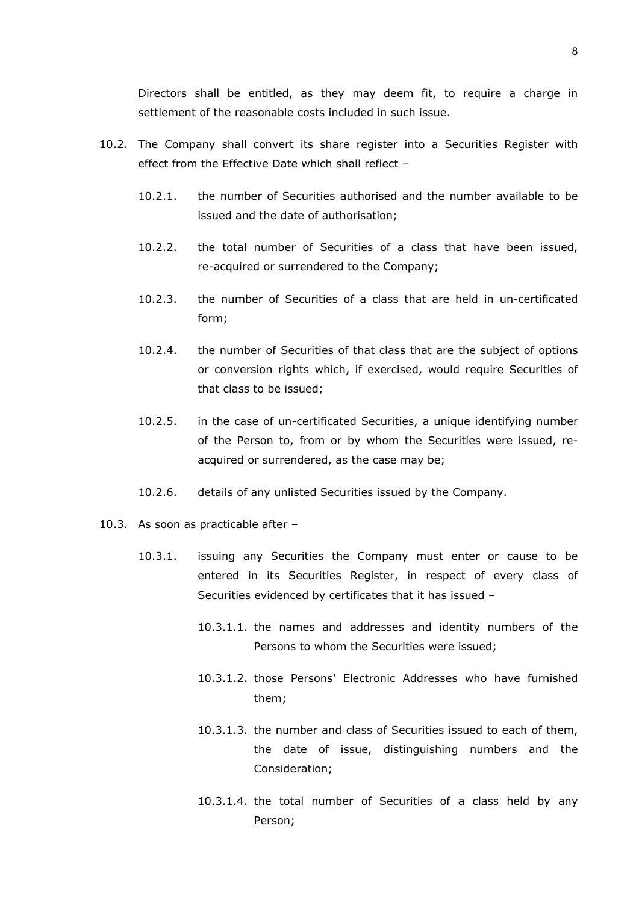Directors shall be entitled, as they may deem fit, to require a charge in settlement of the reasonable costs included in such issue.

- 10.2. The Company shall convert its share register into a Securities Register with effect from the Effective Date which shall reflect –
	- 10.2.1. the number of Securities authorised and the number available to be issued and the date of authorisation;
	- 10.2.2. the total number of Securities of a class that have been issued, re-acquired or surrendered to the Company;
	- 10.2.3. the number of Securities of a class that are held in un-certificated form;
	- 10.2.4. the number of Securities of that class that are the subject of options or conversion rights which, if exercised, would require Securities of that class to be issued;
	- 10.2.5. in the case of un-certificated Securities, a unique identifying number of the Person to, from or by whom the Securities were issued, reacquired or surrendered, as the case may be;
	- 10.2.6. details of any unlisted Securities issued by the Company.
- <span id="page-7-0"></span>10.3. As soon as practicable after –
	- 10.3.1. issuing any Securities the Company must enter or cause to be entered in its Securities Register, in respect of every class of Securities evidenced by certificates that it has issued –
		- 10.3.1.1. the names and addresses and identity numbers of the Persons to whom the Securities were issued;
		- 10.3.1.2. those Persons' Electronic Addresses who have furnished them;
		- 10.3.1.3. the number and class of Securities issued to each of them, the date of issue, distinguishing numbers and the Consideration;
		- 10.3.1.4. the total number of Securities of a class held by any Person;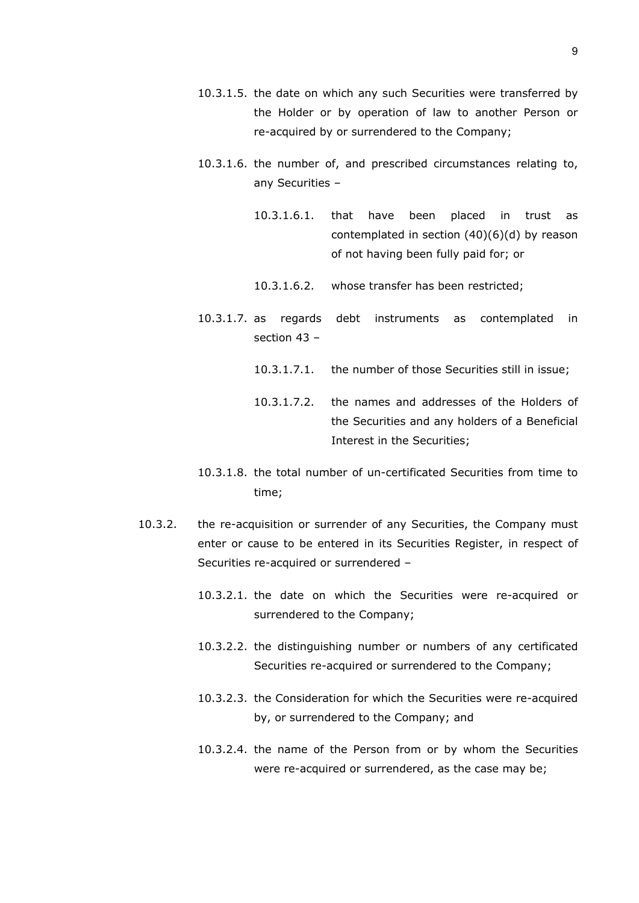- 10.3.1.5. the date on which any such Securities were transferred by the Holder or by operation of law to another Person or re-acquired by or surrendered to the Company;
- 10.3.1.6. the number of, and prescribed circumstances relating to, any Securities –
	- 10.3.1.6.1. that have been placed in trust as contemplated in section (40)(6)(d) by reason of not having been fully paid for; or
	- 10.3.1.6.2. whose transfer has been restricted;
- 10.3.1.7. as regards debt instruments as contemplated in section 43 –
	- 10.3.1.7.1. the number of those Securities still in issue;
	- 10.3.1.7.2. the names and addresses of the Holders of the Securities and any holders of a Beneficial Interest in the Securities;
- 10.3.1.8. the total number of un-certificated Securities from time to time;
- 10.3.2. the re-acquisition or surrender of any Securities, the Company must enter or cause to be entered in its Securities Register, in respect of Securities re-acquired or surrendered –
	- 10.3.2.1. the date on which the Securities were re-acquired or surrendered to the Company;
	- 10.3.2.2. the distinguishing number or numbers of any certificated Securities re-acquired or surrendered to the Company;
	- 10.3.2.3. the Consideration for which the Securities were re-acquired by, or surrendered to the Company; and
	- 10.3.2.4. the name of the Person from or by whom the Securities were re-acquired or surrendered, as the case may be;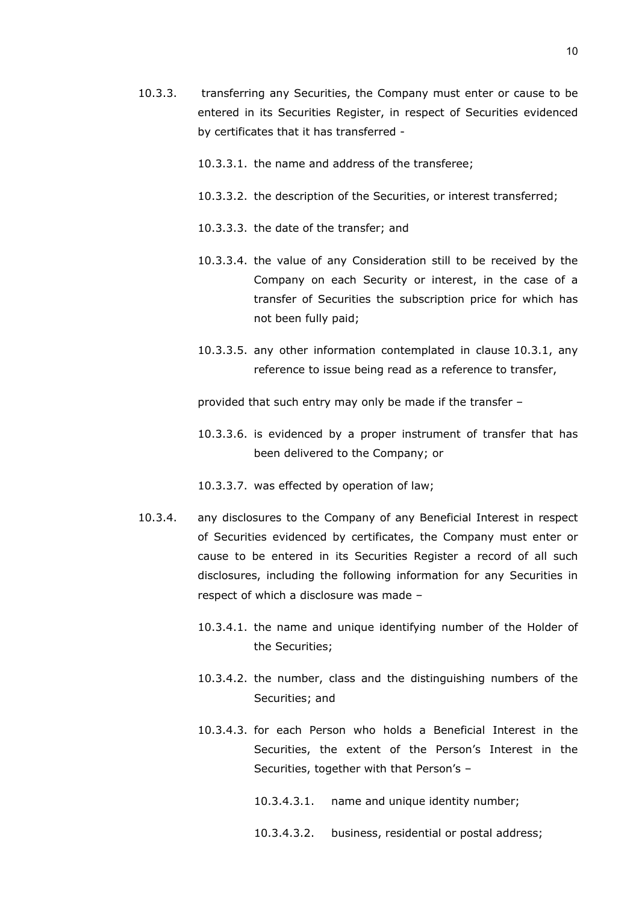- 10.3.3. transferring any Securities, the Company must enter or cause to be entered in its Securities Register, in respect of Securities evidenced by certificates that it has transferred -
	- 10.3.3.1. the name and address of the transferee;
	- 10.3.3.2. the description of the Securities, or interest transferred;
	- 10.3.3.3. the date of the transfer; and
	- 10.3.3.4. the value of any Consideration still to be received by the Company on each Security or interest, in the case of a transfer of Securities the subscription price for which has not been fully paid;
	- 10.3.3.5. any other information contemplated in clause [10.3.1,](#page-7-0) any reference to issue being read as a reference to transfer,

provided that such entry may only be made if the transfer –

- 10.3.3.6. is evidenced by a proper instrument of transfer that has been delivered to the Company; or
- 10.3.3.7. was effected by operation of law;
- 10.3.4. any disclosures to the Company of any Beneficial Interest in respect of Securities evidenced by certificates, the Company must enter or cause to be entered in its Securities Register a record of all such disclosures, including the following information for any Securities in respect of which a disclosure was made –
	- 10.3.4.1. the name and unique identifying number of the Holder of the Securities;
	- 10.3.4.2. the number, class and the distinguishing numbers of the Securities; and
	- 10.3.4.3. for each Person who holds a Beneficial Interest in the Securities, the extent of the Person's Interest in the Securities, together with that Person's –

10.3.4.3.1. name and unique identity number;

10.3.4.3.2. business, residential or postal address;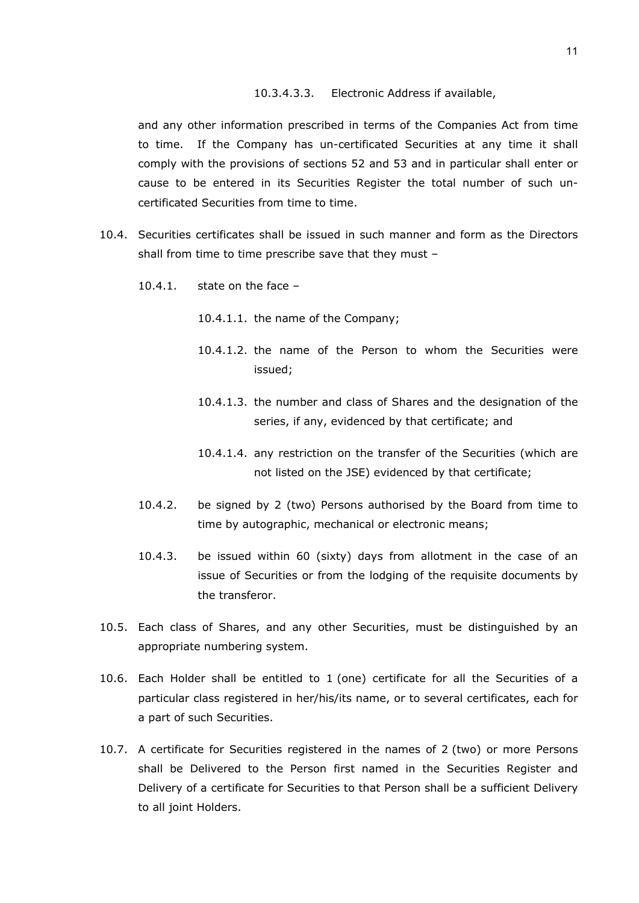#### 10.3.4.3.3. Electronic Address if available,

and any other information prescribed in terms of the Companies Act from time to time. If the Company has un-certificated Securities at any time it shall comply with the provisions of sections 52 and 53 and in particular shall enter or cause to be entered in its Securities Register the total number of such uncertificated Securities from time to time.

- 10.4. Securities certificates shall be issued in such manner and form as the Directors shall from time to time prescribe save that they must –
	- 10.4.1. state on the face
		- 10.4.1.1. the name of the Company;
		- 10.4.1.2. the name of the Person to whom the Securities were issued;
		- 10.4.1.3. the number and class of Shares and the designation of the series, if any, evidenced by that certificate; and
		- 10.4.1.4. any restriction on the transfer of the Securities (which are not listed on the JSE) evidenced by that certificate;
	- 10.4.2. be signed by 2 (two) Persons authorised by the Board from time to time by autographic, mechanical or electronic means;
	- 10.4.3. be issued within 60 (sixty) days from allotment in the case of an issue of Securities or from the lodging of the requisite documents by the transferor.
- 10.5. Each class of Shares, and any other Securities, must be distinguished by an appropriate numbering system.
- 10.6. Each Holder shall be entitled to 1 (one) certificate for all the Securities of a particular class registered in her/his/its name, or to several certificates, each for a part of such Securities.
- 10.7. A certificate for Securities registered in the names of 2 (two) or more Persons shall be Delivered to the Person first named in the Securities Register and Delivery of a certificate for Securities to that Person shall be a sufficient Delivery to all joint Holders.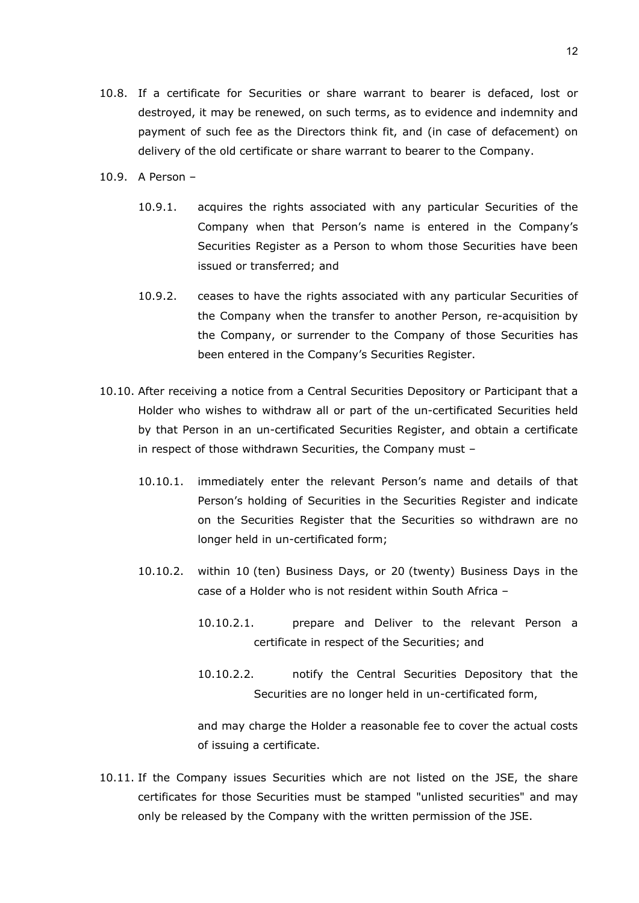- 10.8. If a certificate for Securities or share warrant to bearer is defaced, lost or destroyed, it may be renewed, on such terms, as to evidence and indemnity and payment of such fee as the Directors think fit, and (in case of defacement) on delivery of the old certificate or share warrant to bearer to the Company.
- 10.9. A Person
	- 10.9.1. acquires the rights associated with any particular Securities of the Company when that Person's name is entered in the Company's Securities Register as a Person to whom those Securities have been issued or transferred; and
	- 10.9.2. ceases to have the rights associated with any particular Securities of the Company when the transfer to another Person, re-acquisition by the Company, or surrender to the Company of those Securities has been entered in the Company's Securities Register.
- 10.10. After receiving a notice from a Central Securities Depository or Participant that a Holder who wishes to withdraw all or part of the un-certificated Securities held by that Person in an un-certificated Securities Register, and obtain a certificate in respect of those withdrawn Securities, the Company must –
	- 10.10.1. immediately enter the relevant Person's name and details of that Person's holding of Securities in the Securities Register and indicate on the Securities Register that the Securities so withdrawn are no longer held in un-certificated form;
	- 10.10.2. within 10 (ten) Business Days, or 20 (twenty) Business Days in the case of a Holder who is not resident within South Africa –
		- 10.10.2.1. prepare and Deliver to the relevant Person a certificate in respect of the Securities; and
		- 10.10.2.2. notify the Central Securities Depository that the Securities are no longer held in un-certificated form,

and may charge the Holder a reasonable fee to cover the actual costs of issuing a certificate.

10.11. If the Company issues Securities which are not listed on the JSE, the share certificates for those Securities must be stamped "unlisted securities" and may only be released by the Company with the written permission of the JSE.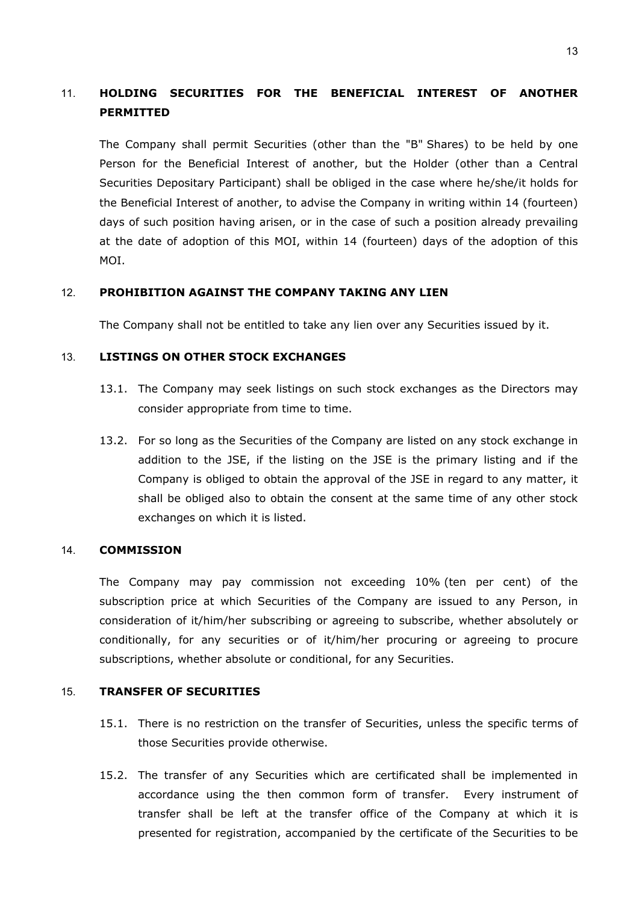# 11. **HOLDING SECURITIES FOR THE BENEFICIAL INTEREST OF ANOTHER PERMITTED**

The Company shall permit Securities (other than the "B" Shares) to be held by one Person for the Beneficial Interest of another, but the Holder (other than a Central Securities Depositary Participant) shall be obliged in the case where he/she/it holds for the Beneficial Interest of another, to advise the Company in writing within 14 (fourteen) days of such position having arisen, or in the case of such a position already prevailing at the date of adoption of this MOI, within 14 (fourteen) days of the adoption of this MOI.

## 12. **PROHIBITION AGAINST THE COMPANY TAKING ANY LIEN**

The Company shall not be entitled to take any lien over any Securities issued by it.

## 13. **LISTINGS ON OTHER STOCK EXCHANGES**

- 13.1. The Company may seek listings on such stock exchanges as the Directors may consider appropriate from time to time.
- 13.2. For so long as the Securities of the Company are listed on any stock exchange in addition to the JSE, if the listing on the JSE is the primary listing and if the Company is obliged to obtain the approval of the JSE in regard to any matter, it shall be obliged also to obtain the consent at the same time of any other stock exchanges on which it is listed.

#### 14. **COMMISSION**

The Company may pay commission not exceeding 10% (ten per cent) of the subscription price at which Securities of the Company are issued to any Person, in consideration of it/him/her subscribing or agreeing to subscribe, whether absolutely or conditionally, for any securities or of it/him/her procuring or agreeing to procure subscriptions, whether absolute or conditional, for any Securities.

#### 15. **TRANSFER OF SECURITIES**

- 15.1. There is no restriction on the transfer of Securities, unless the specific terms of those Securities provide otherwise.
- 15.2. The transfer of any Securities which are certificated shall be implemented in accordance using the then common form of transfer. Every instrument of transfer shall be left at the transfer office of the Company at which it is presented for registration, accompanied by the certificate of the Securities to be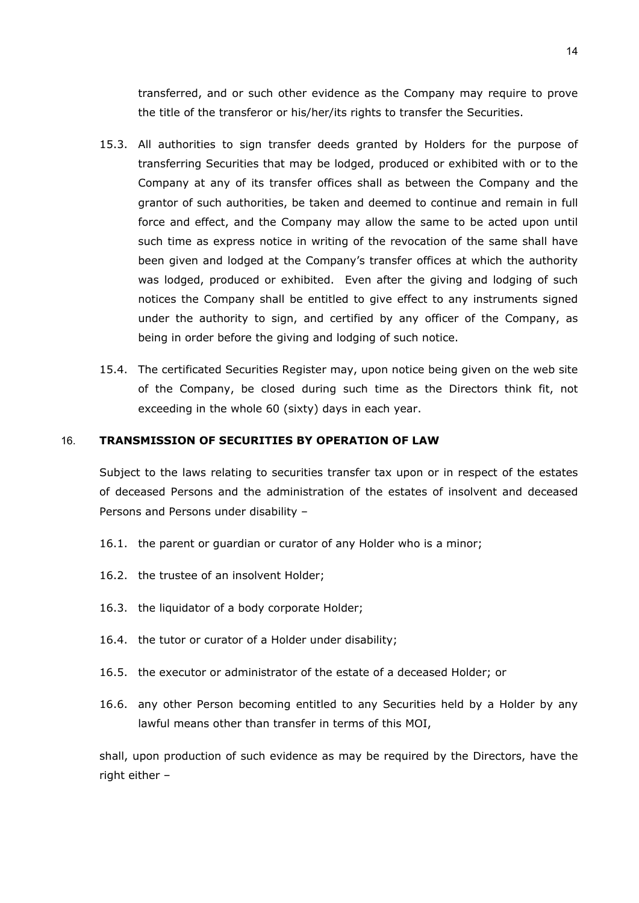transferred, and or such other evidence as the Company may require to prove the title of the transferor or his/her/its rights to transfer the Securities.

- 15.3. All authorities to sign transfer deeds granted by Holders for the purpose of transferring Securities that may be lodged, produced or exhibited with or to the Company at any of its transfer offices shall as between the Company and the grantor of such authorities, be taken and deemed to continue and remain in full force and effect, and the Company may allow the same to be acted upon until such time as express notice in writing of the revocation of the same shall have been given and lodged at the Company's transfer offices at which the authority was lodged, produced or exhibited. Even after the giving and lodging of such notices the Company shall be entitled to give effect to any instruments signed under the authority to sign, and certified by any officer of the Company, as being in order before the giving and lodging of such notice.
- 15.4. The certificated Securities Register may, upon notice being given on the web site of the Company, be closed during such time as the Directors think fit, not exceeding in the whole 60 (sixty) days in each year.

#### <span id="page-13-0"></span>16. **TRANSMISSION OF SECURITIES BY OPERATION OF LAW**

Subject to the laws relating to securities transfer tax upon or in respect of the estates of deceased Persons and the administration of the estates of insolvent and deceased Persons and Persons under disability –

- 16.1. the parent or guardian or curator of any Holder who is a minor;
- 16.2. the trustee of an insolvent Holder;
- 16.3. the liquidator of a body corporate Holder;
- 16.4. the tutor or curator of a Holder under disability;
- 16.5. the executor or administrator of the estate of a deceased Holder; or
- 16.6. any other Person becoming entitled to any Securities held by a Holder by any lawful means other than transfer in terms of this MOI,

shall, upon production of such evidence as may be required by the Directors, have the right either –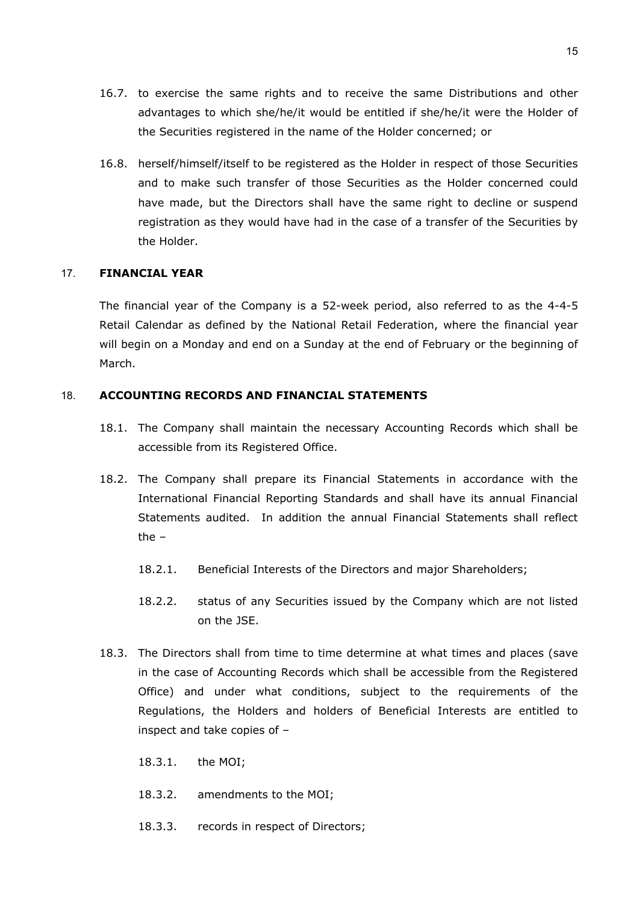- 16.7. to exercise the same rights and to receive the same Distributions and other advantages to which she/he/it would be entitled if she/he/it were the Holder of the Securities registered in the name of the Holder concerned; or
- 16.8. herself/himself/itself to be registered as the Holder in respect of those Securities and to make such transfer of those Securities as the Holder concerned could have made, but the Directors shall have the same right to decline or suspend registration as they would have had in the case of a transfer of the Securities by the Holder.

#### 17. **FINANCIAL YEAR**

The financial year of the Company is a 52-week period, also referred to as the 4-4-5 Retail Calendar as defined by the National Retail Federation, where the financial year will begin on a Monday and end on a Sunday at the end of February or the beginning of March.

## 18. **ACCOUNTING RECORDS AND FINANCIAL STATEMENTS**

- 18.1. The Company shall maintain the necessary Accounting Records which shall be accessible from its Registered Office.
- 18.2. The Company shall prepare its Financial Statements in accordance with the International Financial Reporting Standards and shall have its annual Financial Statements audited. In addition the annual Financial Statements shall reflect the –
	- 18.2.1. Beneficial Interests of the Directors and major Shareholders;
	- 18.2.2. status of any Securities issued by the Company which are not listed on the JSE.
- 18.3. The Directors shall from time to time determine at what times and places (save in the case of Accounting Records which shall be accessible from the Registered Office) and under what conditions, subject to the requirements of the Regulations, the Holders and holders of Beneficial Interests are entitled to inspect and take copies of –
	- 18.3.1. the MOI;
	- 18.3.2. amendments to the MOI;
	- 18.3.3. records in respect of Directors;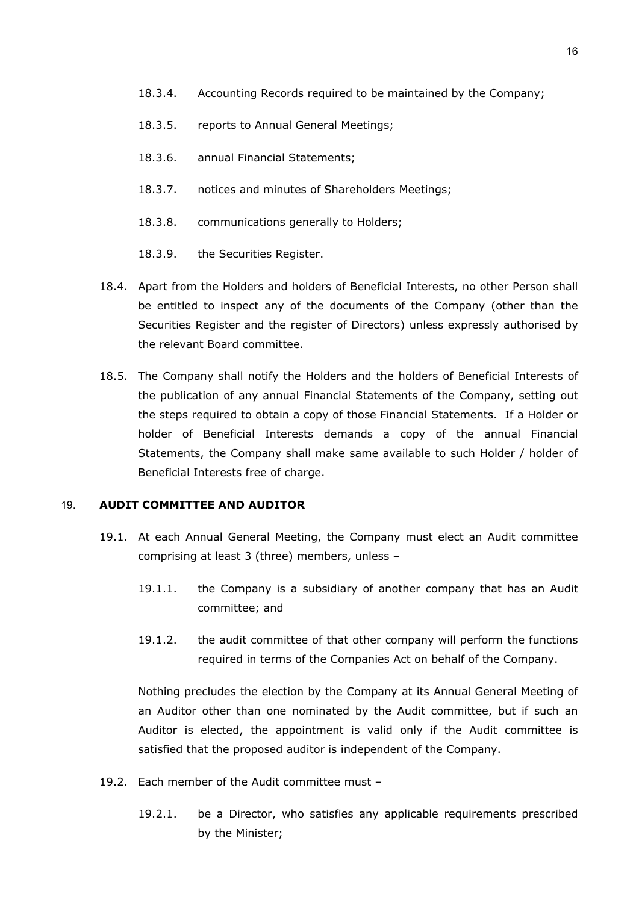- 18.3.4. Accounting Records required to be maintained by the Company;
- 18.3.5. reports to Annual General Meetings;
- 18.3.6. annual Financial Statements;
- 18.3.7. notices and minutes of Shareholders Meetings;
- 18.3.8. communications generally to Holders;
- 18.3.9. the Securities Register.
- 18.4. Apart from the Holders and holders of Beneficial Interests, no other Person shall be entitled to inspect any of the documents of the Company (other than the Securities Register and the register of Directors) unless expressly authorised by the relevant Board committee.
- 18.5. The Company shall notify the Holders and the holders of Beneficial Interests of the publication of any annual Financial Statements of the Company, setting out the steps required to obtain a copy of those Financial Statements. If a Holder or holder of Beneficial Interests demands a copy of the annual Financial Statements, the Company shall make same available to such Holder / holder of Beneficial Interests free of charge.

#### 19. **AUDIT COMMITTEE AND AUDITOR**

- 19.1. At each Annual General Meeting, the Company must elect an Audit committee comprising at least 3 (three) members, unless –
	- 19.1.1. the Company is a subsidiary of another company that has an Audit committee; and
	- 19.1.2. the audit committee of that other company will perform the functions required in terms of the Companies Act on behalf of the Company.

Nothing precludes the election by the Company at its Annual General Meeting of an Auditor other than one nominated by the Audit committee, but if such an Auditor is elected, the appointment is valid only if the Audit committee is satisfied that the proposed auditor is independent of the Company.

- 19.2. Each member of the Audit committee must
	- 19.2.1. be a Director, who satisfies any applicable requirements prescribed by the Minister;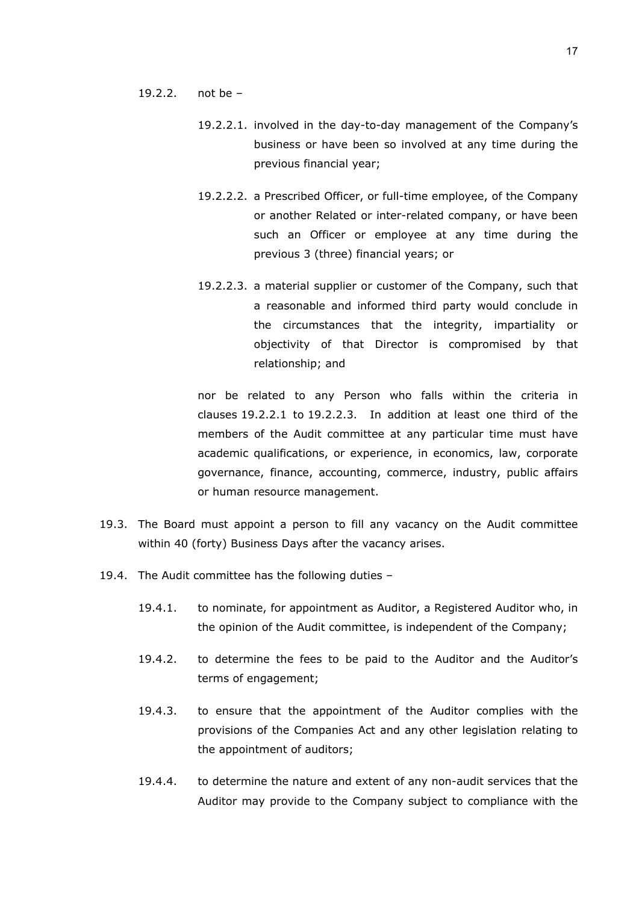#### <span id="page-16-0"></span>19.2.2. not be –

- 19.2.2.1. involved in the day-to-day management of the Company's business or have been so involved at any time during the previous financial year;
- 19.2.2.2. a Prescribed Officer, or full-time employee, of the Company or another Related or inter-related company, or have been such an Officer or employee at any time during the previous 3 (three) financial years; or
- <span id="page-16-1"></span>19.2.2.3. a material supplier or customer of the Company, such that a reasonable and informed third party would conclude in the circumstances that the integrity, impartiality or objectivity of that Director is compromised by that relationship; and

nor be related to any Person who falls within the criteria in clauses [19.2.2.1](#page-16-0) to [19.2.2.3.](#page-16-1) In addition at least one third of the members of the Audit committee at any particular time must have academic qualifications, or experience, in economics, law, corporate governance, finance, accounting, commerce, industry, public affairs or human resource management.

- 19.3. The Board must appoint a person to fill any vacancy on the Audit committee within 40 (forty) Business Days after the vacancy arises.
- <span id="page-16-2"></span>19.4. The Audit committee has the following duties –
	- 19.4.1. to nominate, for appointment as Auditor, a Registered Auditor who, in the opinion of the Audit committee, is independent of the Company;
	- 19.4.2. to determine the fees to be paid to the Auditor and the Auditor's terms of engagement;
	- 19.4.3. to ensure that the appointment of the Auditor complies with the provisions of the Companies Act and any other legislation relating to the appointment of auditors;
	- 19.4.4. to determine the nature and extent of any non-audit services that the Auditor may provide to the Company subject to compliance with the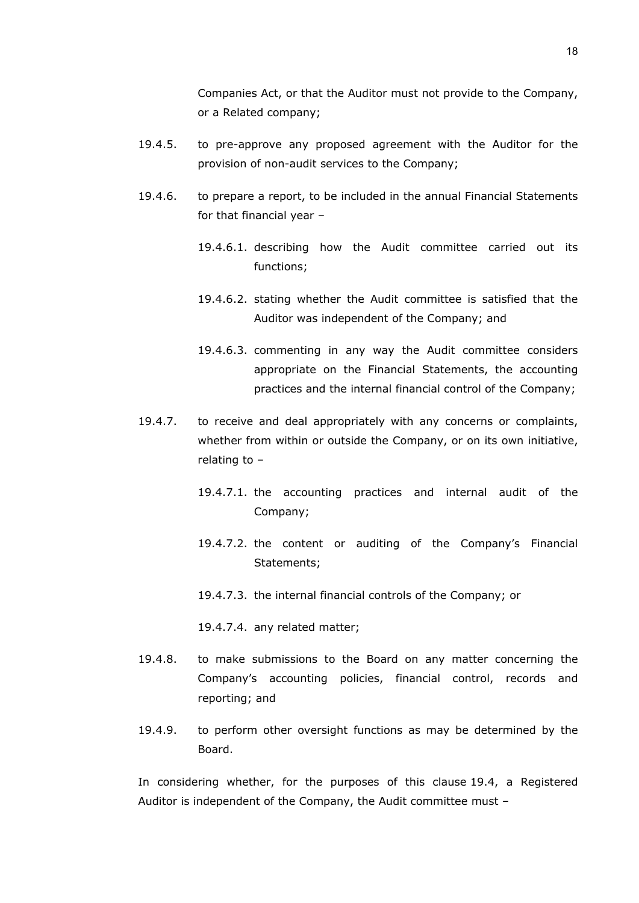Companies Act, or that the Auditor must not provide to the Company, or a Related company;

- 19.4.5. to pre-approve any proposed agreement with the Auditor for the provision of non-audit services to the Company;
- 19.4.6. to prepare a report, to be included in the annual Financial Statements for that financial year –
	- 19.4.6.1. describing how the Audit committee carried out its functions;
	- 19.4.6.2. stating whether the Audit committee is satisfied that the Auditor was independent of the Company; and
	- 19.4.6.3. commenting in any way the Audit committee considers appropriate on the Financial Statements, the accounting practices and the internal financial control of the Company;
- 19.4.7. to receive and deal appropriately with any concerns or complaints, whether from within or outside the Company, or on its own initiative, relating to –
	- 19.4.7.1. the accounting practices and internal audit of the Company;
	- 19.4.7.2. the content or auditing of the Company's Financial Statements;
	- 19.4.7.3. the internal financial controls of the Company; or

19.4.7.4. any related matter;

- 19.4.8. to make submissions to the Board on any matter concerning the Company's accounting policies, financial control, records and reporting; and
- 19.4.9. to perform other oversight functions as may be determined by the Board.

In considering whether, for the purposes of this clause [19.4,](#page-16-2) a Registered Auditor is independent of the Company, the Audit committee must –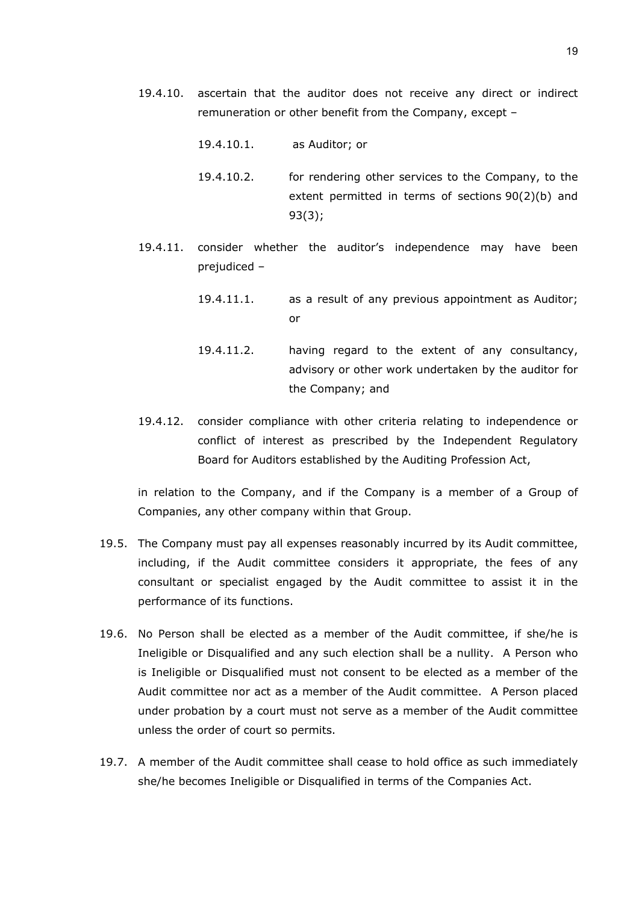- 19.4.10. ascertain that the auditor does not receive any direct or indirect remuneration or other benefit from the Company, except –
	- 19.4.10.1. as Auditor; or
	- 19.4.10.2. for rendering other services to the Company, to the extent permitted in terms of sections 90(2)(b) and 93(3);
- 19.4.11. consider whether the auditor's independence may have been prejudiced –
	- 19.4.11.1. as a result of any previous appointment as Auditor; or
	- 19.4.11.2. having regard to the extent of any consultancy, advisory or other work undertaken by the auditor for the Company; and
- 19.4.12. consider compliance with other criteria relating to independence or conflict of interest as prescribed by the Independent Regulatory Board for Auditors established by the Auditing Profession Act,

in relation to the Company, and if the Company is a member of a Group of Companies, any other company within that Group.

- 19.5. The Company must pay all expenses reasonably incurred by its Audit committee, including, if the Audit committee considers it appropriate, the fees of any consultant or specialist engaged by the Audit committee to assist it in the performance of its functions.
- 19.6. No Person shall be elected as a member of the Audit committee, if she/he is Ineligible or Disqualified and any such election shall be a nullity. A Person who is Ineligible or Disqualified must not consent to be elected as a member of the Audit committee nor act as a member of the Audit committee. A Person placed under probation by a court must not serve as a member of the Audit committee unless the order of court so permits.
- 19.7. A member of the Audit committee shall cease to hold office as such immediately she/he becomes Ineligible or Disqualified in terms of the Companies Act.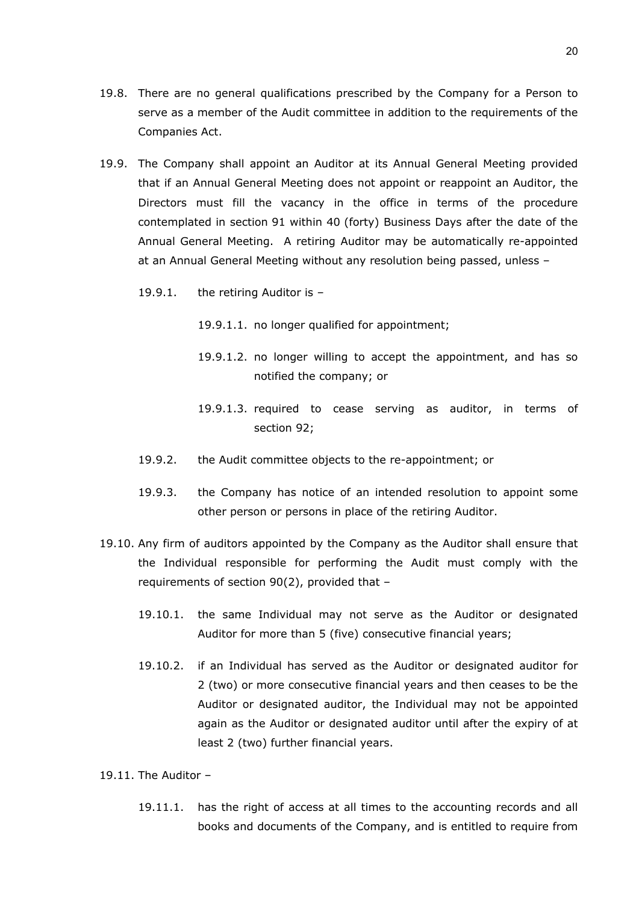- 19.8. There are no general qualifications prescribed by the Company for a Person to serve as a member of the Audit committee in addition to the requirements of the Companies Act.
- 19.9. The Company shall appoint an Auditor at its Annual General Meeting provided that if an Annual General Meeting does not appoint or reappoint an Auditor, the Directors must fill the vacancy in the office in terms of the procedure contemplated in section 91 within 40 (forty) Business Days after the date of the Annual General Meeting. A retiring Auditor may be automatically re-appointed at an Annual General Meeting without any resolution being passed, unless –
	- 19.9.1. the retiring Auditor is
		- 19.9.1.1. no longer qualified for appointment;
		- 19.9.1.2. no longer willing to accept the appointment, and has so notified the company; or
		- 19.9.1.3. required to cease serving as auditor, in terms of section 92;
	- 19.9.2. the Audit committee objects to the re-appointment; or
	- 19.9.3. the Company has notice of an intended resolution to appoint some other person or persons in place of the retiring Auditor.
- 19.10. Any firm of auditors appointed by the Company as the Auditor shall ensure that the Individual responsible for performing the Audit must comply with the requirements of section 90(2), provided that –
	- 19.10.1. the same Individual may not serve as the Auditor or designated Auditor for more than 5 (five) consecutive financial years;
	- 19.10.2. if an Individual has served as the Auditor or designated auditor for 2 (two) or more consecutive financial years and then ceases to be the Auditor or designated auditor, the Individual may not be appointed again as the Auditor or designated auditor until after the expiry of at least 2 (two) further financial years.

19.11. The Auditor  $-$ 

19.11.1. has the right of access at all times to the accounting records and all books and documents of the Company, and is entitled to require from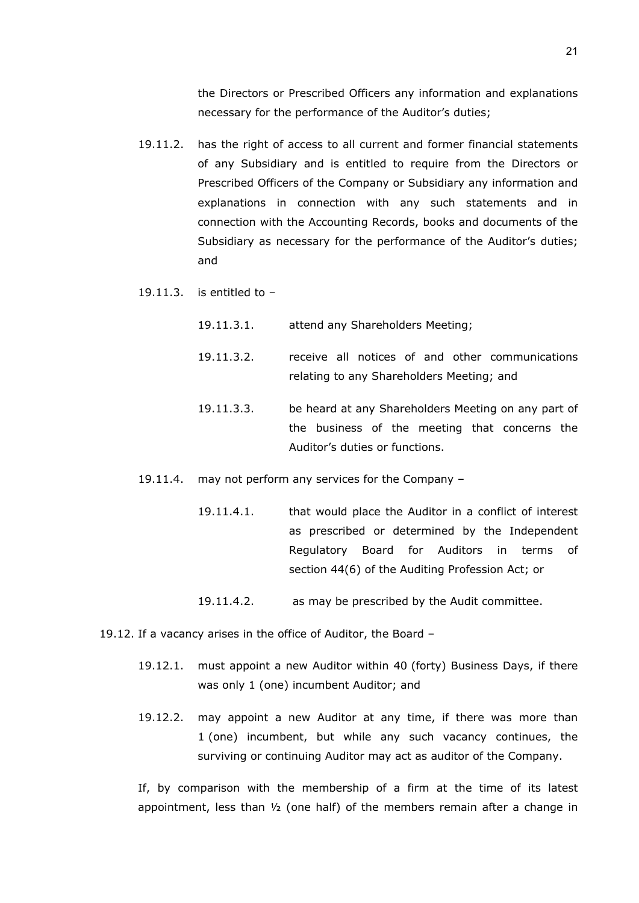the Directors or Prescribed Officers any information and explanations necessary for the performance of the Auditor's duties;

- 19.11.2. has the right of access to all current and former financial statements of any Subsidiary and is entitled to require from the Directors or Prescribed Officers of the Company or Subsidiary any information and explanations in connection with any such statements and in connection with the Accounting Records, books and documents of the Subsidiary as necessary for the performance of the Auditor's duties; and
- 19.11.3. is entitled to  $-$ 
	- 19.11.3.1. attend any Shareholders Meeting;
	- 19.11.3.2. receive all notices of and other communications relating to any Shareholders Meeting; and
	- 19.11.3.3. be heard at any Shareholders Meeting on any part of the business of the meeting that concerns the Auditor's duties or functions.
- 19.11.4. may not perform any services for the Company
	- 19.11.4.1. that would place the Auditor in a conflict of interest as prescribed or determined by the Independent Regulatory Board for Auditors in terms of section 44(6) of the Auditing Profession Act; or
	- 19.11.4.2. as may be prescribed by the Audit committee.
- <span id="page-20-0"></span>19.12. If a vacancy arises in the office of Auditor, the Board –
	- 19.12.1. must appoint a new Auditor within 40 (forty) Business Days, if there was only 1 (one) incumbent Auditor; and
	- 19.12.2. may appoint a new Auditor at any time, if there was more than 1 (one) incumbent, but while any such vacancy continues, the surviving or continuing Auditor may act as auditor of the Company.

If, by comparison with the membership of a firm at the time of its latest appointment, less than  $\frac{1}{2}$  (one half) of the members remain after a change in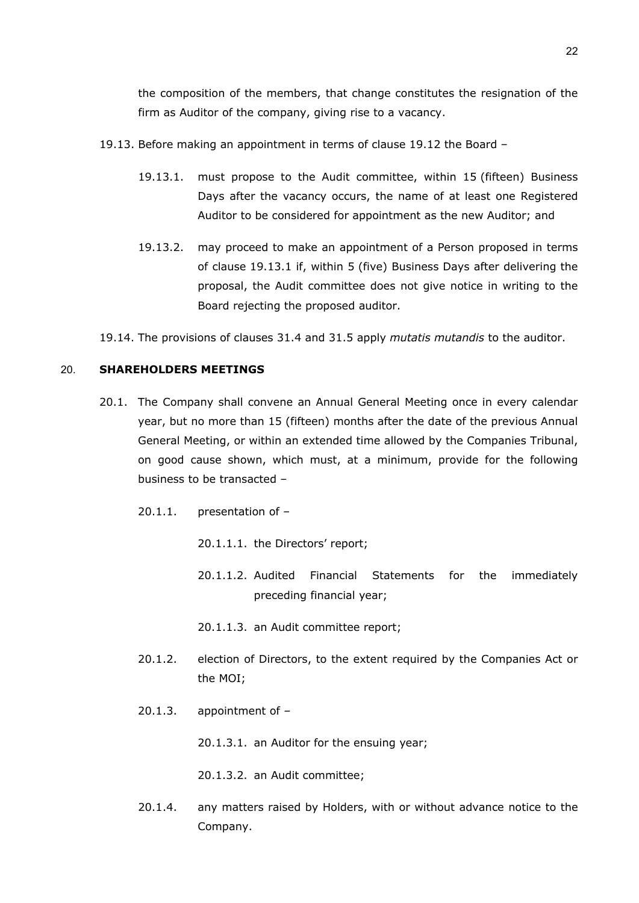the composition of the members, that change constitutes the resignation of the firm as Auditor of the company, giving rise to a vacancy.

- <span id="page-21-0"></span>19.13. Before making an appointment in terms of clause [19.12](#page-20-0) the Board –
	- 19.13.1. must propose to the Audit committee, within 15 (fifteen) Business Days after the vacancy occurs, the name of at least one Registered Auditor to be considered for appointment as the new Auditor; and
	- 19.13.2. may proceed to make an appointment of a Person proposed in terms of clause [19.13.1](#page-21-0) if, within 5 (five) Business Days after delivering the proposal, the Audit committee does not give notice in writing to the Board rejecting the proposed auditor.

19.14. The provisions of clauses [31.4](#page-45-0) and [31.5](#page-45-1) apply *mutatis mutandis* to the auditor.

## 20. **SHAREHOLDERS MEETINGS**

- 20.1. The Company shall convene an Annual General Meeting once in every calendar year, but no more than 15 (fifteen) months after the date of the previous Annual General Meeting, or within an extended time allowed by the Companies Tribunal, on good cause shown, which must, at a minimum, provide for the following business to be transacted –
	- 20.1.1. presentation of
		- 20.1.1.1. the Directors' report;
		- 20.1.1.2. Audited Financial Statements for the immediately preceding financial year;

20.1.1.3. an Audit committee report;

- 20.1.2. election of Directors, to the extent required by the Companies Act or the MOI;
- 20.1.3. appointment of –

20.1.3.1. an Auditor for the ensuing year;

20.1.3.2. an Audit committee;

20.1.4. any matters raised by Holders, with or without advance notice to the Company.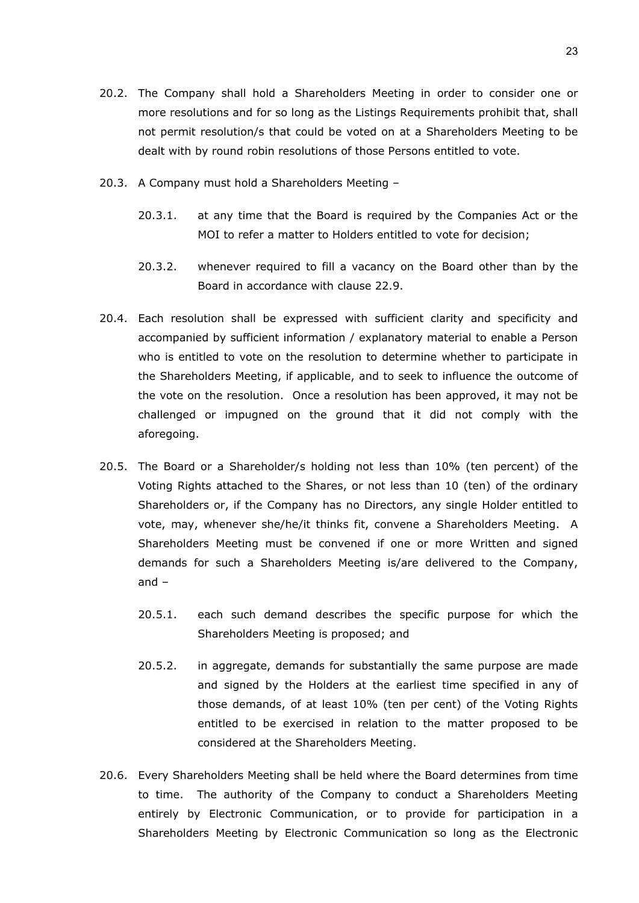- 20.2. The Company shall hold a Shareholders Meeting in order to consider one or more resolutions and for so long as the Listings Requirements prohibit that, shall not permit resolution/s that could be voted on at a Shareholders Meeting to be dealt with by round robin resolutions of those Persons entitled to vote.
- 20.3. A Company must hold a Shareholders Meeting
	- 20.3.1. at any time that the Board is required by the Companies Act or the MOI to refer a matter to Holders entitled to vote for decision;
	- 20.3.2. whenever required to fill a vacancy on the Board other than by the Board in accordance with clause [22.9.](#page-34-0)
- <span id="page-22-0"></span>20.4. Each resolution shall be expressed with sufficient clarity and specificity and accompanied by sufficient information / explanatory material to enable a Person who is entitled to vote on the resolution to determine whether to participate in the Shareholders Meeting, if applicable, and to seek to influence the outcome of the vote on the resolution. Once a resolution has been approved, it may not be challenged or impugned on the ground that it did not comply with the aforegoing.
- 20.5. The Board or a Shareholder/s holding not less than 10% (ten percent) of the Voting Rights attached to the Shares, or not less than 10 (ten) of the ordinary Shareholders or, if the Company has no Directors, any single Holder entitled to vote, may, whenever she/he/it thinks fit, convene a Shareholders Meeting. A Shareholders Meeting must be convened if one or more Written and signed demands for such a Shareholders Meeting is/are delivered to the Company, and –
	- 20.5.1. each such demand describes the specific purpose for which the Shareholders Meeting is proposed; and
	- 20.5.2. in aggregate, demands for substantially the same purpose are made and signed by the Holders at the earliest time specified in any of those demands, of at least 10% (ten per cent) of the Voting Rights entitled to be exercised in relation to the matter proposed to be considered at the Shareholders Meeting.
- 20.6. Every Shareholders Meeting shall be held where the Board determines from time to time. The authority of the Company to conduct a Shareholders Meeting entirely by Electronic Communication, or to provide for participation in a Shareholders Meeting by Electronic Communication so long as the Electronic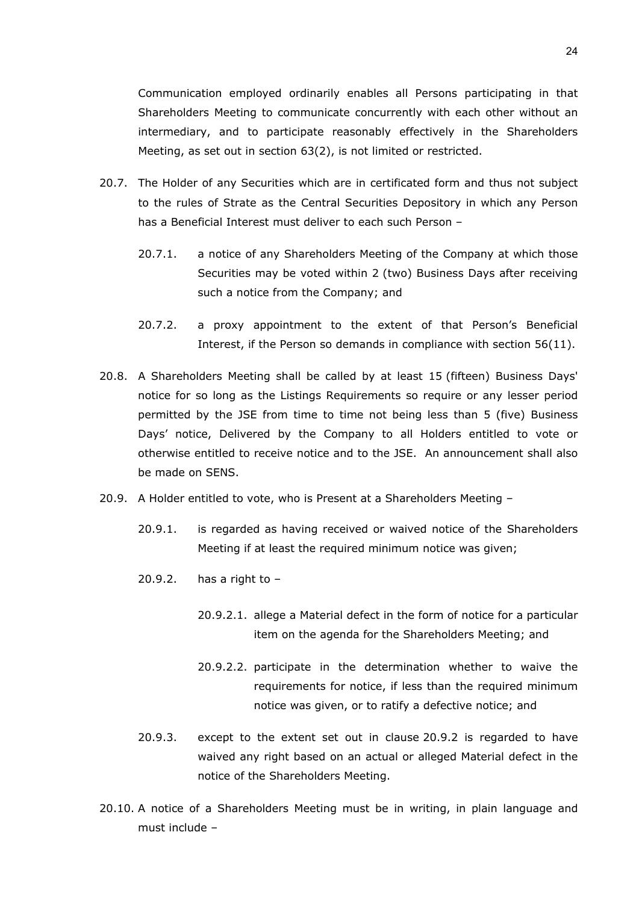Communication employed ordinarily enables all Persons participating in that Shareholders Meeting to communicate concurrently with each other without an intermediary, and to participate reasonably effectively in the Shareholders Meeting, as set out in section 63(2), is not limited or restricted.

- 20.7. The Holder of any Securities which are in certificated form and thus not subject to the rules of Strate as the Central Securities Depository in which any Person has a Beneficial Interest must deliver to each such Person –
	- 20.7.1. a notice of any Shareholders Meeting of the Company at which those Securities may be voted within 2 (two) Business Days after receiving such a notice from the Company; and
	- 20.7.2. a proxy appointment to the extent of that Person's Beneficial Interest, if the Person so demands in compliance with section 56(11).
- 20.8. A Shareholders Meeting shall be called by at least 15 (fifteen) Business Days' notice for so long as the Listings Requirements so require or any lesser period permitted by the JSE from time to time not being less than 5 (five) Business Days' notice, Delivered by the Company to all Holders entitled to vote or otherwise entitled to receive notice and to the JSE. An announcement shall also be made on SENS.
- <span id="page-23-0"></span>20.9. A Holder entitled to vote, who is Present at a Shareholders Meeting –
	- 20.9.1. is regarded as having received or waived notice of the Shareholders Meeting if at least the required minimum notice was given;
	- 20.9.2. has a right to  $-$ 
		- 20.9.2.1. allege a Material defect in the form of notice for a particular item on the agenda for the Shareholders Meeting; and
		- 20.9.2.2. participate in the determination whether to waive the requirements for notice, if less than the required minimum notice was given, or to ratify a defective notice; and
	- 20.9.3. except to the extent set out in clause [20.9.2](#page-23-0) is regarded to have waived any right based on an actual or alleged Material defect in the notice of the Shareholders Meeting.
- 20.10. A notice of a Shareholders Meeting must be in writing, in plain language and must include –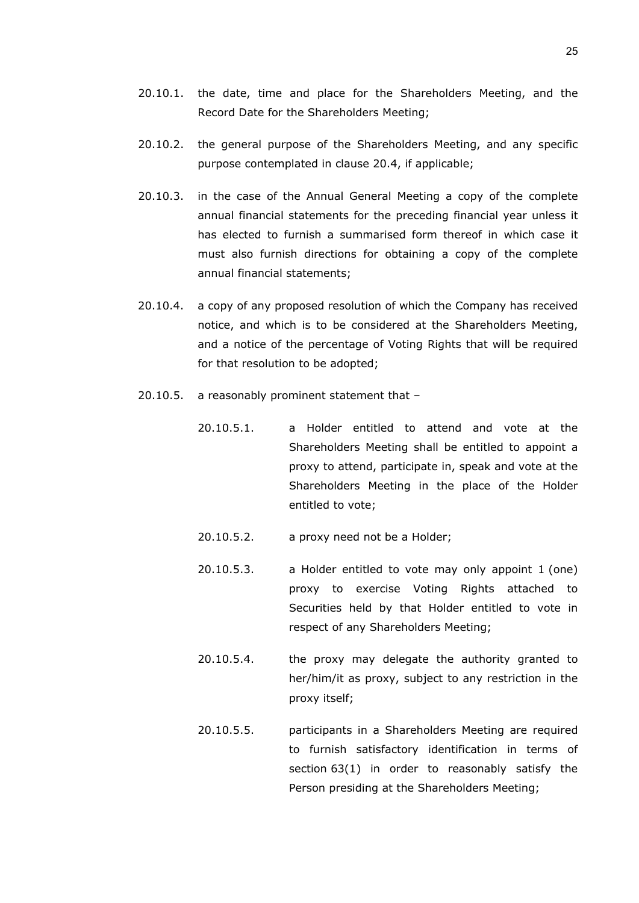- 20.10.1. the date, time and place for the Shareholders Meeting, and the Record Date for the Shareholders Meeting;
- 20.10.2. the general purpose of the Shareholders Meeting, and any specific purpose contemplated in clause [20.4,](#page-22-0) if applicable;
- 20.10.3. in the case of the Annual General Meeting a copy of the complete annual financial statements for the preceding financial year unless it has elected to furnish a summarised form thereof in which case it must also furnish directions for obtaining a copy of the complete annual financial statements;
- 20.10.4. a copy of any proposed resolution of which the Company has received notice, and which is to be considered at the Shareholders Meeting, and a notice of the percentage of Voting Rights that will be required for that resolution to be adopted;
- 20.10.5. a reasonably prominent statement that
	- 20.10.5.1. a Holder entitled to attend and vote at the Shareholders Meeting shall be entitled to appoint a proxy to attend, participate in, speak and vote at the Shareholders Meeting in the place of the Holder entitled to vote;
	- 20.10.5.2. a proxy need not be a Holder;
	- 20.10.5.3. a Holder entitled to vote may only appoint 1 (one) proxy to exercise Voting Rights attached to Securities held by that Holder entitled to vote in respect of any Shareholders Meeting;
	- 20.10.5.4. the proxy may delegate the authority granted to her/him/it as proxy, subject to any restriction in the proxy itself;
	- 20.10.5.5. participants in a Shareholders Meeting are required to furnish satisfactory identification in terms of section 63(1) in order to reasonably satisfy the Person presiding at the Shareholders Meeting;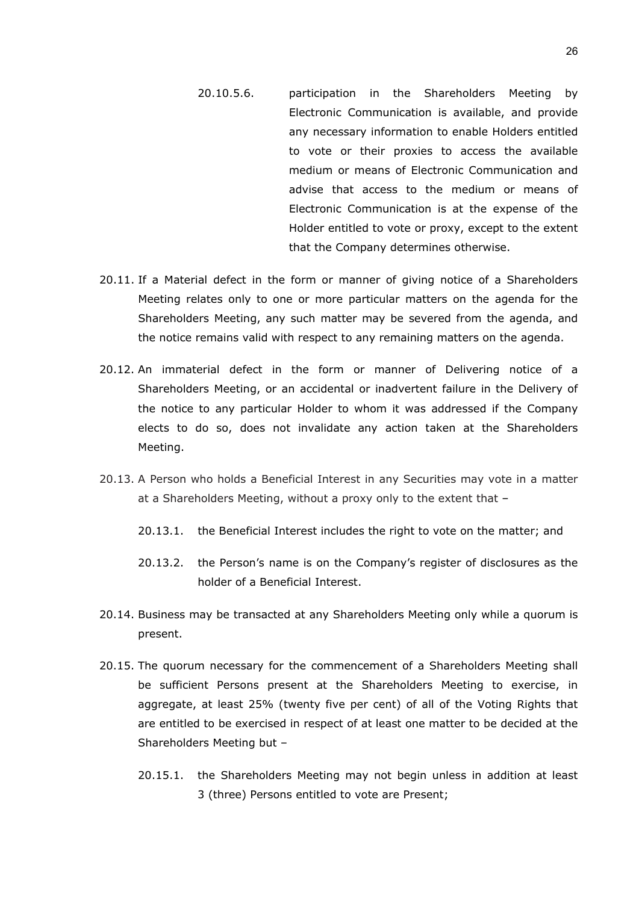- 20.10.5.6. participation in the Shareholders Meeting by Electronic Communication is available, and provide any necessary information to enable Holders entitled to vote or their proxies to access the available medium or means of Electronic Communication and advise that access to the medium or means of Electronic Communication is at the expense of the Holder entitled to vote or proxy, except to the extent that the Company determines otherwise.
- 20.11. If a Material defect in the form or manner of giving notice of a Shareholders Meeting relates only to one or more particular matters on the agenda for the Shareholders Meeting, any such matter may be severed from the agenda, and the notice remains valid with respect to any remaining matters on the agenda.
- 20.12. An immaterial defect in the form or manner of Delivering notice of a Shareholders Meeting, or an accidental or inadvertent failure in the Delivery of the notice to any particular Holder to whom it was addressed if the Company elects to do so, does not invalidate any action taken at the Shareholders Meeting.
- 20.13. A Person who holds a Beneficial Interest in any Securities may vote in a matter at a Shareholders Meeting, without a proxy only to the extent that –
	- 20.13.1. the Beneficial Interest includes the right to vote on the matter; and
	- 20.13.2. the Person's name is on the Company's register of disclosures as the holder of a Beneficial Interest.
- 20.14. Business may be transacted at any Shareholders Meeting only while a quorum is present.
- 20.15. The quorum necessary for the commencement of a Shareholders Meeting shall be sufficient Persons present at the Shareholders Meeting to exercise, in aggregate, at least 25% (twenty five per cent) of all of the Voting Rights that are entitled to be exercised in respect of at least one matter to be decided at the Shareholders Meeting but –
	- 20.15.1. the Shareholders Meeting may not begin unless in addition at least 3 (three) Persons entitled to vote are Present;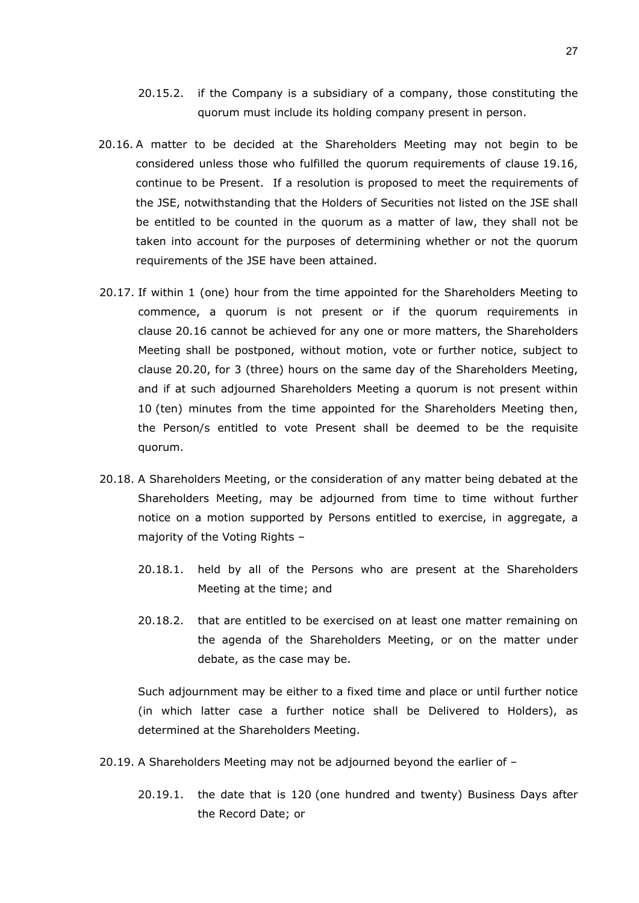- 20.15.2. if the Company is a subsidiary of a company, those constituting the quorum must include its holding company present in person.
- <span id="page-26-0"></span>20.16. A matter to be decided at the Shareholders Meeting may not begin to be considered unless those who fulfilled the quorum requirements of clause 19.16, continue to be Present. If a resolution is proposed to meet the requirements of the JSE, notwithstanding that the Holders of Securities not listed on the JSE shall be entitled to be counted in the quorum as a matter of law, they shall not be taken into account for the purposes of determining whether or not the quorum requirements of the JSE have been attained.
- <span id="page-26-1"></span>20.17. If within 1 (one) hour from the time appointed for the Shareholders Meeting to commence, a quorum is not present or if the quorum requirements in clause [20.16](#page-26-0) cannot be achieved for any one or more matters, the Shareholders Meeting shall be postponed, without motion, vote or further notice, subject to clause [20.20,](#page-27-0) for 3 (three) hours on the same day of the Shareholders Meeting, and if at such adjourned Shareholders Meeting a quorum is not present within 10 (ten) minutes from the time appointed for the Shareholders Meeting then, the Person/s entitled to vote Present shall be deemed to be the requisite quorum.
- 20.18. A Shareholders Meeting, or the consideration of any matter being debated at the Shareholders Meeting, may be adjourned from time to time without further notice on a motion supported by Persons entitled to exercise, in aggregate, a majority of the Voting Rights –
	- 20.18.1. held by all of the Persons who are present at the Shareholders Meeting at the time; and
	- 20.18.2. that are entitled to be exercised on at least one matter remaining on the agenda of the Shareholders Meeting, or on the matter under debate, as the case may be.

Such adjournment may be either to a fixed time and place or until further notice (in which latter case a further notice shall be Delivered to Holders), as determined at the Shareholders Meeting.

- 20.19. A Shareholders Meeting may not be adjourned beyond the earlier of
	- 20.19.1. the date that is 120 (one hundred and twenty) Business Days after the Record Date; or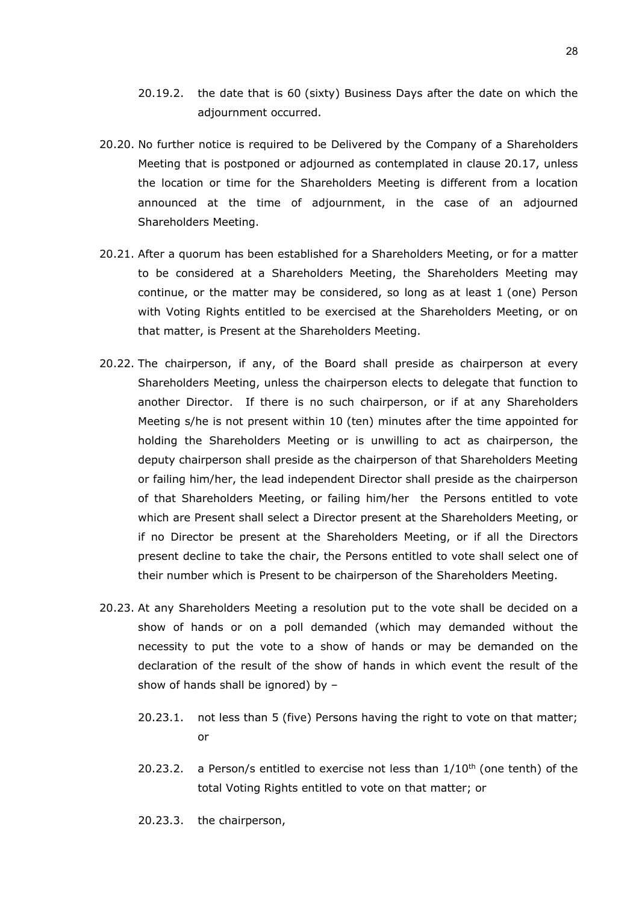- 20.19.2. the date that is 60 (sixty) Business Days after the date on which the adjournment occurred.
- <span id="page-27-0"></span>20.20. No further notice is required to be Delivered by the Company of a Shareholders Meeting that is postponed or adjourned as contemplated in clause [20.17,](#page-26-1) unless the location or time for the Shareholders Meeting is different from a location announced at the time of adjournment, in the case of an adjourned Shareholders Meeting.
- 20.21. After a quorum has been established for a Shareholders Meeting, or for a matter to be considered at a Shareholders Meeting, the Shareholders Meeting may continue, or the matter may be considered, so long as at least 1 (one) Person with Voting Rights entitled to be exercised at the Shareholders Meeting, or on that matter, is Present at the Shareholders Meeting.
- 20.22. The chairperson, if any, of the Board shall preside as chairperson at every Shareholders Meeting, unless the chairperson elects to delegate that function to another Director. If there is no such chairperson, or if at any Shareholders Meeting s/he is not present within 10 (ten) minutes after the time appointed for holding the Shareholders Meeting or is unwilling to act as chairperson, the deputy chairperson shall preside as the chairperson of that Shareholders Meeting or failing him/her, the lead independent Director shall preside as the chairperson of that Shareholders Meeting, or failing him/her the Persons entitled to vote which are Present shall select a Director present at the Shareholders Meeting, or if no Director be present at the Shareholders Meeting, or if all the Directors present decline to take the chair, the Persons entitled to vote shall select one of their number which is Present to be chairperson of the Shareholders Meeting.
- 20.23. At any Shareholders Meeting a resolution put to the vote shall be decided on a show of hands or on a poll demanded (which may demanded without the necessity to put the vote to a show of hands or may be demanded on the declaration of the result of the show of hands in which event the result of the show of hands shall be ignored) by –
	- 20.23.1. not less than 5 (five) Persons having the right to vote on that matter; or
	- 20.23.2. a Person/s entitled to exercise not less than  $1/10<sup>th</sup>$  (one tenth) of the total Voting Rights entitled to vote on that matter; or
	- 20.23.3. the chairperson,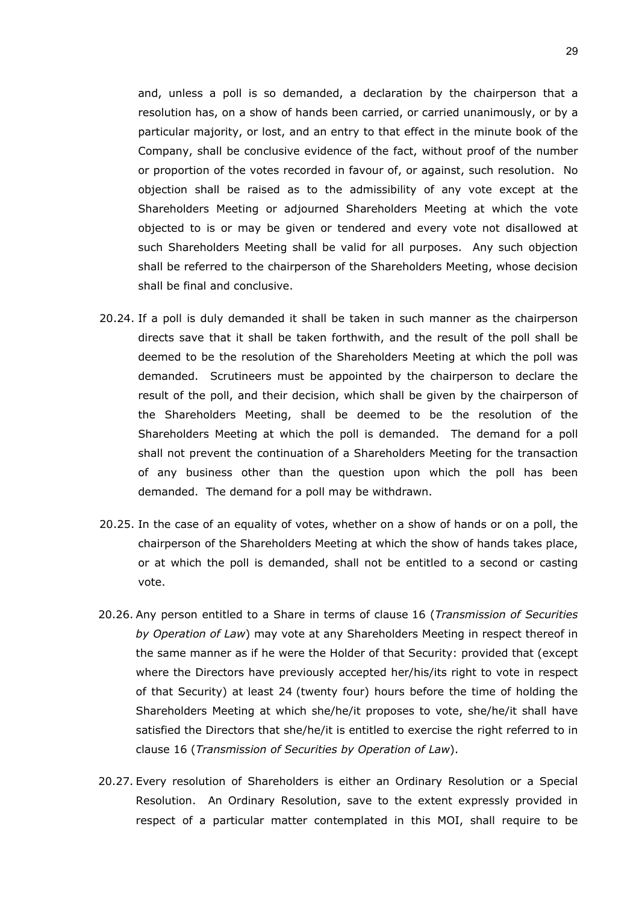and, unless a poll is so demanded, a declaration by the chairperson that a resolution has, on a show of hands been carried, or carried unanimously, or by a particular majority, or lost, and an entry to that effect in the minute book of the Company, shall be conclusive evidence of the fact, without proof of the number or proportion of the votes recorded in favour of, or against, such resolution. No objection shall be raised as to the admissibility of any vote except at the Shareholders Meeting or adjourned Shareholders Meeting at which the vote objected to is or may be given or tendered and every vote not disallowed at such Shareholders Meeting shall be valid for all purposes. Any such objection shall be referred to the chairperson of the Shareholders Meeting, whose decision shall be final and conclusive.

- 20.24. If a poll is duly demanded it shall be taken in such manner as the chairperson directs save that it shall be taken forthwith, and the result of the poll shall be deemed to be the resolution of the Shareholders Meeting at which the poll was demanded. Scrutineers must be appointed by the chairperson to declare the result of the poll, and their decision, which shall be given by the chairperson of the Shareholders Meeting, shall be deemed to be the resolution of the Shareholders Meeting at which the poll is demanded. The demand for a poll shall not prevent the continuation of a Shareholders Meeting for the transaction of any business other than the question upon which the poll has been demanded. The demand for a poll may be withdrawn.
- 20.25. In the case of an equality of votes, whether on a show of hands or on a poll, the chairperson of the Shareholders Meeting at which the show of hands takes place, or at which the poll is demanded, shall not be entitled to a second or casting vote.
- 20.26. Any person entitled to a Share in terms of clause [16](#page-13-0) (*Transmission of Securities by Operation of Law*) may vote at any Shareholders Meeting in respect thereof in the same manner as if he were the Holder of that Security: provided that (except where the Directors have previously accepted her/his/its right to vote in respect of that Security) at least 24 (twenty four) hours before the time of holding the Shareholders Meeting at which she/he/it proposes to vote, she/he/it shall have satisfied the Directors that she/he/it is entitled to exercise the right referred to in clause [16](#page-13-0) (*Transmission of Securities by Operation of Law*).
- 20.27. Every resolution of Shareholders is either an Ordinary Resolution or a Special Resolution. An Ordinary Resolution, save to the extent expressly provided in respect of a particular matter contemplated in this MOI, shall require to be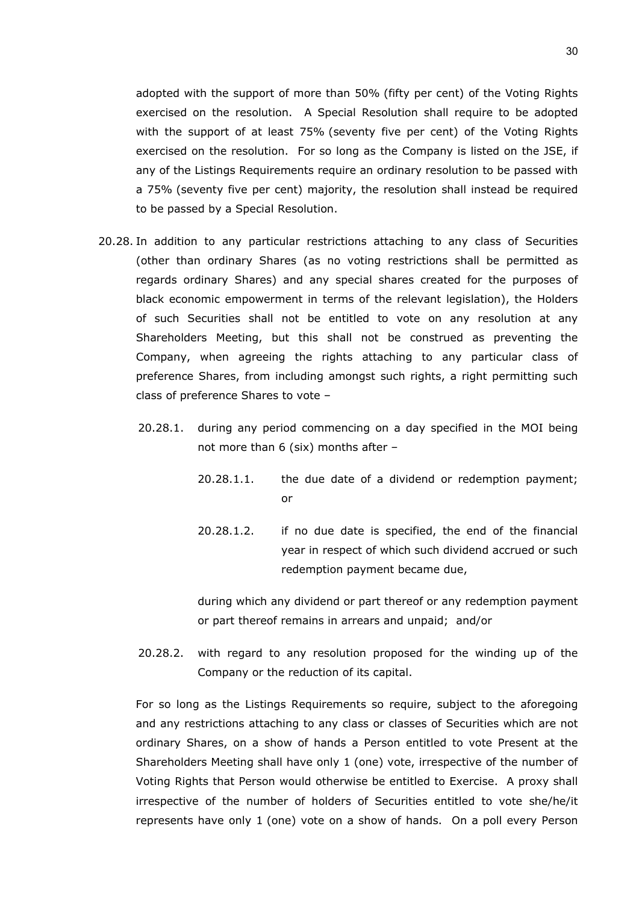adopted with the support of more than 50% (fifty per cent) of the Voting Rights exercised on the resolution. A Special Resolution shall require to be adopted with the support of at least 75% (seventy five per cent) of the Voting Rights exercised on the resolution. For so long as the Company is listed on the JSE, if any of the Listings Requirements require an ordinary resolution to be passed with a 75% (seventy five per cent) majority, the resolution shall instead be required to be passed by a Special Resolution.

- 20.28. In addition to any particular restrictions attaching to any class of Securities (other than ordinary Shares (as no voting restrictions shall be permitted as regards ordinary Shares) and any special shares created for the purposes of black economic empowerment in terms of the relevant legislation), the Holders of such Securities shall not be entitled to vote on any resolution at any Shareholders Meeting, but this shall not be construed as preventing the Company, when agreeing the rights attaching to any particular class of preference Shares, from including amongst such rights, a right permitting such class of preference Shares to vote –
	- 20.28.1. during any period commencing on a day specified in the MOI being not more than 6 (six) months after –
		- 20.28.1.1. the due date of a dividend or redemption payment; or
		- 20.28.1.2. if no due date is specified, the end of the financial year in respect of which such dividend accrued or such redemption payment became due,

during which any dividend or part thereof or any redemption payment or part thereof remains in arrears and unpaid; and/or

20.28.2. with regard to any resolution proposed for the winding up of the Company or the reduction of its capital.

For so long as the Listings Requirements so require, subject to the aforegoing and any restrictions attaching to any class or classes of Securities which are not ordinary Shares, on a show of hands a Person entitled to vote Present at the Shareholders Meeting shall have only 1 (one) vote, irrespective of the number of Voting Rights that Person would otherwise be entitled to Exercise. A proxy shall irrespective of the number of holders of Securities entitled to vote she/he/it represents have only 1 (one) vote on a show of hands. On a poll every Person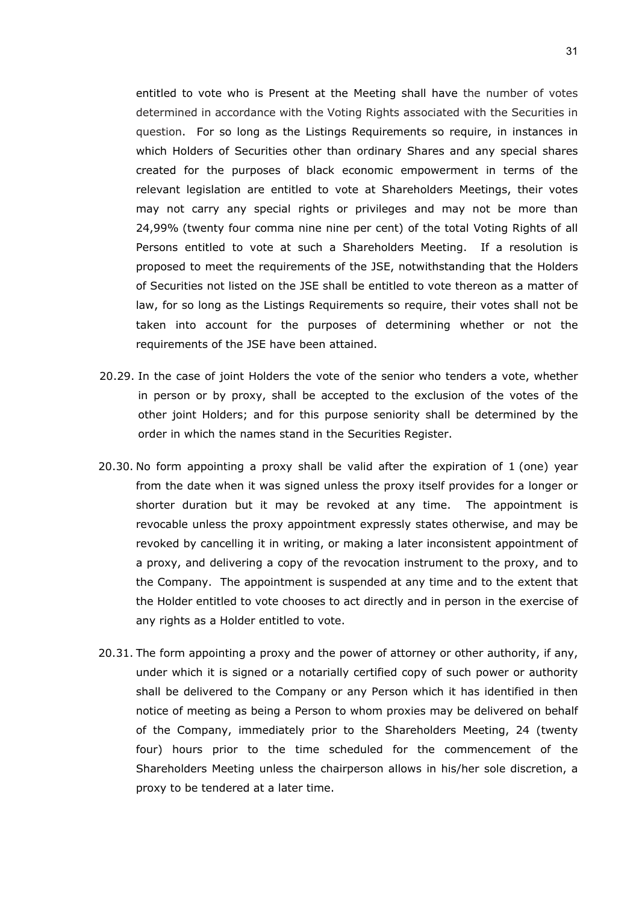entitled to vote who is Present at the Meeting shall have the number of votes determined in accordance with the Voting Rights associated with the Securities in question. For so long as the Listings Requirements so require, in instances in which Holders of Securities other than ordinary Shares and any special shares created for the purposes of black economic empowerment in terms of the relevant legislation are entitled to vote at Shareholders Meetings, their votes may not carry any special rights or privileges and may not be more than 24,99% (twenty four comma nine nine per cent) of the total Voting Rights of all Persons entitled to vote at such a Shareholders Meeting. If a resolution is proposed to meet the requirements of the JSE, notwithstanding that the Holders of Securities not listed on the JSE shall be entitled to vote thereon as a matter of law, for so long as the Listings Requirements so require, their votes shall not be taken into account for the purposes of determining whether or not the requirements of the JSE have been attained.

- 20.29. In the case of joint Holders the vote of the senior who tenders a vote, whether in person or by proxy, shall be accepted to the exclusion of the votes of the other joint Holders; and for this purpose seniority shall be determined by the order in which the names stand in the Securities Register.
- 20.30. No form appointing a proxy shall be valid after the expiration of 1 (one) year from the date when it was signed unless the proxy itself provides for a longer or shorter duration but it may be revoked at any time. The appointment is revocable unless the proxy appointment expressly states otherwise, and may be revoked by cancelling it in writing, or making a later inconsistent appointment of a proxy, and delivering a copy of the revocation instrument to the proxy, and to the Company. The appointment is suspended at any time and to the extent that the Holder entitled to vote chooses to act directly and in person in the exercise of any rights as a Holder entitled to vote.
- 20.31. The form appointing a proxy and the power of attorney or other authority, if any, under which it is signed or a notarially certified copy of such power or authority shall be delivered to the Company or any Person which it has identified in then notice of meeting as being a Person to whom proxies may be delivered on behalf of the Company, immediately prior to the Shareholders Meeting, 24 (twenty four) hours prior to the time scheduled for the commencement of the Shareholders Meeting unless the chairperson allows in his/her sole discretion, a proxy to be tendered at a later time.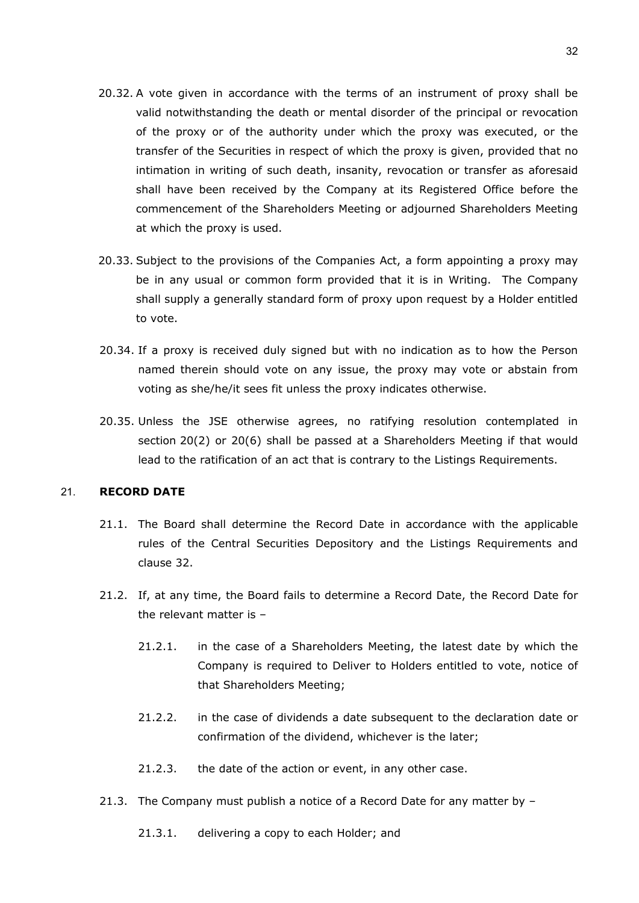- 20.32. A vote given in accordance with the terms of an instrument of proxy shall be valid notwithstanding the death or mental disorder of the principal or revocation of the proxy or of the authority under which the proxy was executed, or the transfer of the Securities in respect of which the proxy is given, provided that no intimation in writing of such death, insanity, revocation or transfer as aforesaid shall have been received by the Company at its Registered Office before the commencement of the Shareholders Meeting or adjourned Shareholders Meeting at which the proxy is used.
- 20.33. Subject to the provisions of the Companies Act, a form appointing a proxy may be in any usual or common form provided that it is in Writing. The Company shall supply a generally standard form of proxy upon request by a Holder entitled to vote.
- 20.34. If a proxy is received duly signed but with no indication as to how the Person named therein should vote on any issue, the proxy may vote or abstain from voting as she/he/it sees fit unless the proxy indicates otherwise.
- 20.35. Unless the JSE otherwise agrees, no ratifying resolution contemplated in section 20(2) or 20(6) shall be passed at a Shareholders Meeting if that would lead to the ratification of an act that is contrary to the Listings Requirements.

#### 21. **RECORD DATE**

- 21.1. The Board shall determine the Record Date in accordance with the applicable rules of the Central Securities Depository and the Listings Requirements and clause [32.](#page-46-0)
- 21.2. If, at any time, the Board fails to determine a Record Date, the Record Date for the relevant matter is –
	- 21.2.1. in the case of a Shareholders Meeting, the latest date by which the Company is required to Deliver to Holders entitled to vote, notice of that Shareholders Meeting;
	- 21.2.2. in the case of dividends a date subsequent to the declaration date or confirmation of the dividend, whichever is the later;
	- 21.2.3. the date of the action or event, in any other case.
- 21.3. The Company must publish a notice of a Record Date for any matter by
	- 21.3.1. delivering a copy to each Holder; and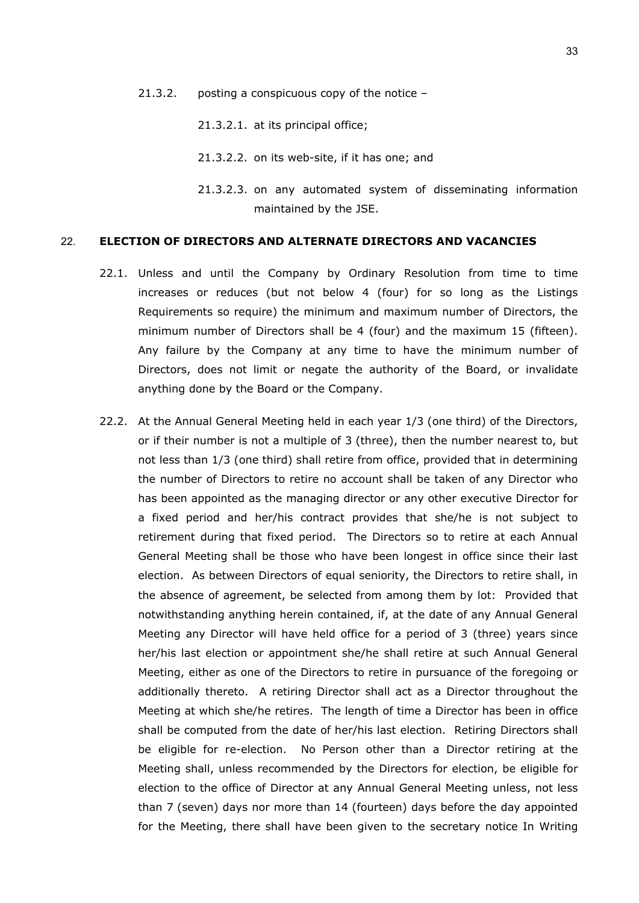- 21.3.2. posting a conspicuous copy of the notice
	- 21.3.2.1. at its principal office;
	- 21.3.2.2. on its web-site, if it has one; and
	- 21.3.2.3. on any automated system of disseminating information maintained by the JSE.

#### 22. **ELECTION OF DIRECTORS AND ALTERNATE DIRECTORS AND VACANCIES**

- 22.1. Unless and until the Company by Ordinary Resolution from time to time increases or reduces (but not below 4 (four) for so long as the Listings Requirements so require) the minimum and maximum number of Directors, the minimum number of Directors shall be 4 (four) and the maximum 15 (fifteen). Any failure by the Company at any time to have the minimum number of Directors, does not limit or negate the authority of the Board, or invalidate anything done by the Board or the Company.
- <span id="page-32-0"></span>22.2. At the Annual General Meeting held in each year 1/3 (one third) of the Directors, or if their number is not a multiple of 3 (three), then the number nearest to, but not less than 1/3 (one third) shall retire from office, provided that in determining the number of Directors to retire no account shall be taken of any Director who has been appointed as the managing director or any other executive Director for a fixed period and her/his contract provides that she/he is not subject to retirement during that fixed period. The Directors so to retire at each Annual General Meeting shall be those who have been longest in office since their last election. As between Directors of equal seniority, the Directors to retire shall, in the absence of agreement, be selected from among them by lot: Provided that notwithstanding anything herein contained, if, at the date of any Annual General Meeting any Director will have held office for a period of 3 (three) years since her/his last election or appointment she/he shall retire at such Annual General Meeting, either as one of the Directors to retire in pursuance of the foregoing or additionally thereto. A retiring Director shall act as a Director throughout the Meeting at which she/he retires. The length of time a Director has been in office shall be computed from the date of her/his last election. Retiring Directors shall be eligible for re-election. No Person other than a Director retiring at the Meeting shall, unless recommended by the Directors for election, be eligible for election to the office of Director at any Annual General Meeting unless, not less than 7 (seven) days nor more than 14 (fourteen) days before the day appointed for the Meeting, there shall have been given to the secretary notice In Writing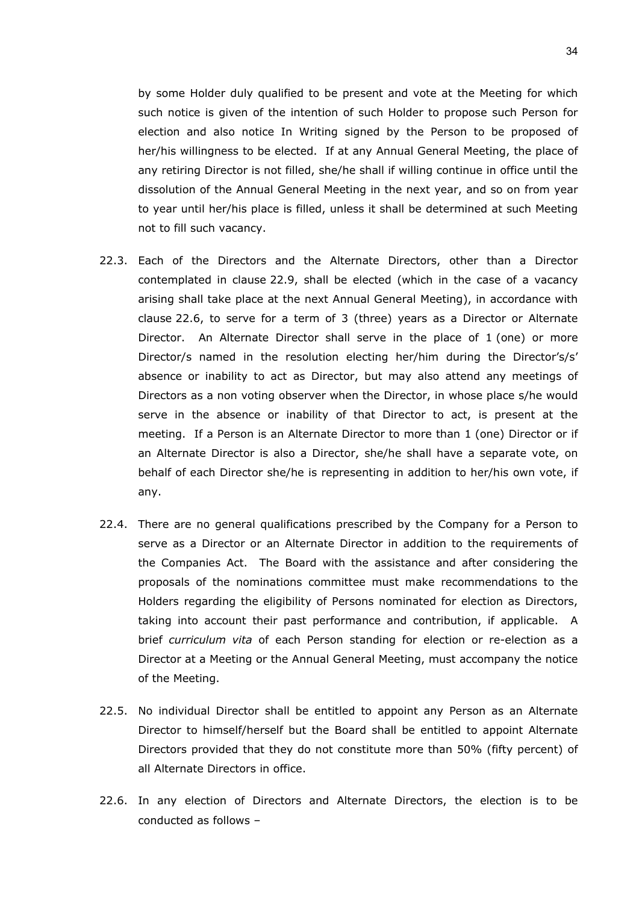by some Holder duly qualified to be present and vote at the Meeting for which such notice is given of the intention of such Holder to propose such Person for election and also notice In Writing signed by the Person to be proposed of her/his willingness to be elected. If at any Annual General Meeting, the place of any retiring Director is not filled, she/he shall if willing continue in office until the dissolution of the Annual General Meeting in the next year, and so on from year to year until her/his place is filled, unless it shall be determined at such Meeting not to fill such vacancy.

- <span id="page-33-1"></span>22.3. Each of the Directors and the Alternate Directors, other than a Director contemplated in clause [22.9,](#page-34-0) shall be elected (which in the case of a vacancy arising shall take place at the next Annual General Meeting), in accordance with clause [22.6,](#page-33-0) to serve for a term of 3 (three) years as a Director or Alternate Director. An Alternate Director shall serve in the place of 1 (one) or more Director/s named in the resolution electing her/him during the Director's/s' absence or inability to act as Director, but may also attend any meetings of Directors as a non voting observer when the Director, in whose place s/he would serve in the absence or inability of that Director to act, is present at the meeting. If a Person is an Alternate Director to more than 1 (one) Director or if an Alternate Director is also a Director, she/he shall have a separate vote, on behalf of each Director she/he is representing in addition to her/his own vote, if any.
- 22.4. There are no general qualifications prescribed by the Company for a Person to serve as a Director or an Alternate Director in addition to the requirements of the Companies Act. The Board with the assistance and after considering the proposals of the nominations committee must make recommendations to the Holders regarding the eligibility of Persons nominated for election as Directors, taking into account their past performance and contribution, if applicable. A brief *curriculum vita* of each Person standing for election or re-election as a Director at a Meeting or the Annual General Meeting, must accompany the notice of the Meeting.
- 22.5. No individual Director shall be entitled to appoint any Person as an Alternate Director to himself/herself but the Board shall be entitled to appoint Alternate Directors provided that they do not constitute more than 50% (fifty percent) of all Alternate Directors in office.
- <span id="page-33-0"></span>22.6. In any election of Directors and Alternate Directors, the election is to be conducted as follows –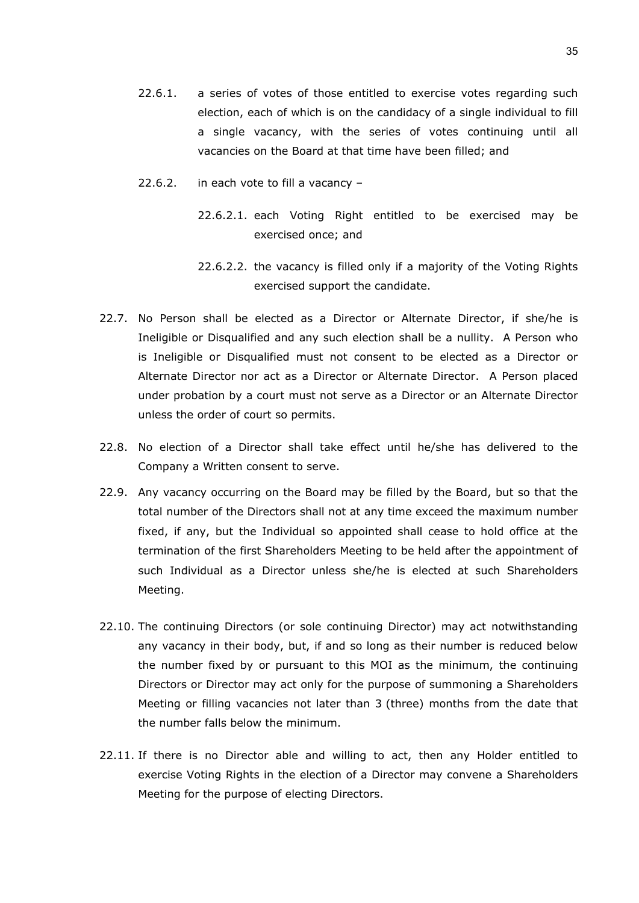- 22.6.1. a series of votes of those entitled to exercise votes regarding such election, each of which is on the candidacy of a single individual to fill a single vacancy, with the series of votes continuing until all vacancies on the Board at that time have been filled; and
- 22.6.2. in each vote to fill a vacancy
	- 22.6.2.1. each Voting Right entitled to be exercised may be exercised once; and
	- 22.6.2.2. the vacancy is filled only if a majority of the Voting Rights exercised support the candidate.
- 22.7. No Person shall be elected as a Director or Alternate Director, if she/he is Ineligible or Disqualified and any such election shall be a nullity. A Person who is Ineligible or Disqualified must not consent to be elected as a Director or Alternate Director nor act as a Director or Alternate Director. A Person placed under probation by a court must not serve as a Director or an Alternate Director unless the order of court so permits.
- 22.8. No election of a Director shall take effect until he/she has delivered to the Company a Written consent to serve.
- <span id="page-34-0"></span>22.9. Any vacancy occurring on the Board may be filled by the Board, but so that the total number of the Directors shall not at any time exceed the maximum number fixed, if any, but the Individual so appointed shall cease to hold office at the termination of the first Shareholders Meeting to be held after the appointment of such Individual as a Director unless she/he is elected at such Shareholders Meeting.
- 22.10. The continuing Directors (or sole continuing Director) may act notwithstanding any vacancy in their body, but, if and so long as their number is reduced below the number fixed by or pursuant to this MOI as the minimum, the continuing Directors or Director may act only for the purpose of summoning a Shareholders Meeting or filling vacancies not later than 3 (three) months from the date that the number falls below the minimum.
- 22.11. If there is no Director able and willing to act, then any Holder entitled to exercise Voting Rights in the election of a Director may convene a Shareholders Meeting for the purpose of electing Directors.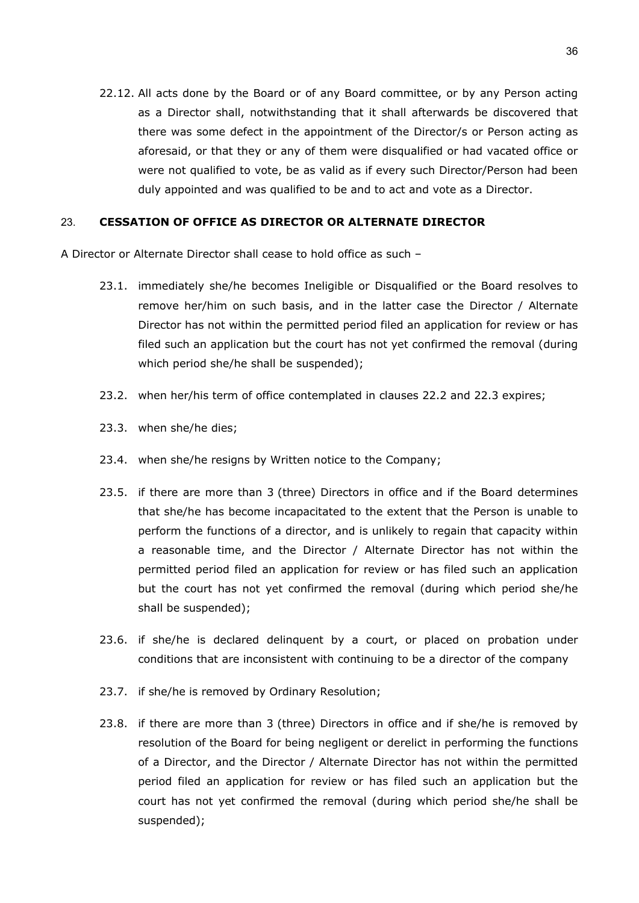22.12. All acts done by the Board or of any Board committee, or by any Person acting as a Director shall, notwithstanding that it shall afterwards be discovered that there was some defect in the appointment of the Director/s or Person acting as aforesaid, or that they or any of them were disqualified or had vacated office or were not qualified to vote, be as valid as if every such Director/Person had been duly appointed and was qualified to be and to act and vote as a Director.

# 23. **CESSATION OF OFFICE AS DIRECTOR OR ALTERNATE DIRECTOR**

A Director or Alternate Director shall cease to hold office as such –

- 23.1. immediately she/he becomes Ineligible or Disqualified or the Board resolves to remove her/him on such basis, and in the latter case the Director / Alternate Director has not within the permitted period filed an application for review or has filed such an application but the court has not yet confirmed the removal (during which period she/he shall be suspended);
- 23.2. when her/his term of office contemplated in clauses [22.2](#page-32-0) and [22.3](#page-33-1) expires;
- 23.3. when she/he dies;
- 23.4. when she/he resigns by Written notice to the Company;
- 23.5. if there are more than 3 (three) Directors in office and if the Board determines that she/he has become incapacitated to the extent that the Person is unable to perform the functions of a director, and is unlikely to regain that capacity within a reasonable time, and the Director / Alternate Director has not within the permitted period filed an application for review or has filed such an application but the court has not yet confirmed the removal (during which period she/he shall be suspended);
- 23.6. if she/he is declared delinquent by a court, or placed on probation under conditions that are inconsistent with continuing to be a director of the company
- 23.7. if she/he is removed by Ordinary Resolution;
- 23.8. if there are more than 3 (three) Directors in office and if she/he is removed by resolution of the Board for being negligent or derelict in performing the functions of a Director, and the Director / Alternate Director has not within the permitted period filed an application for review or has filed such an application but the court has not yet confirmed the removal (during which period she/he shall be suspended);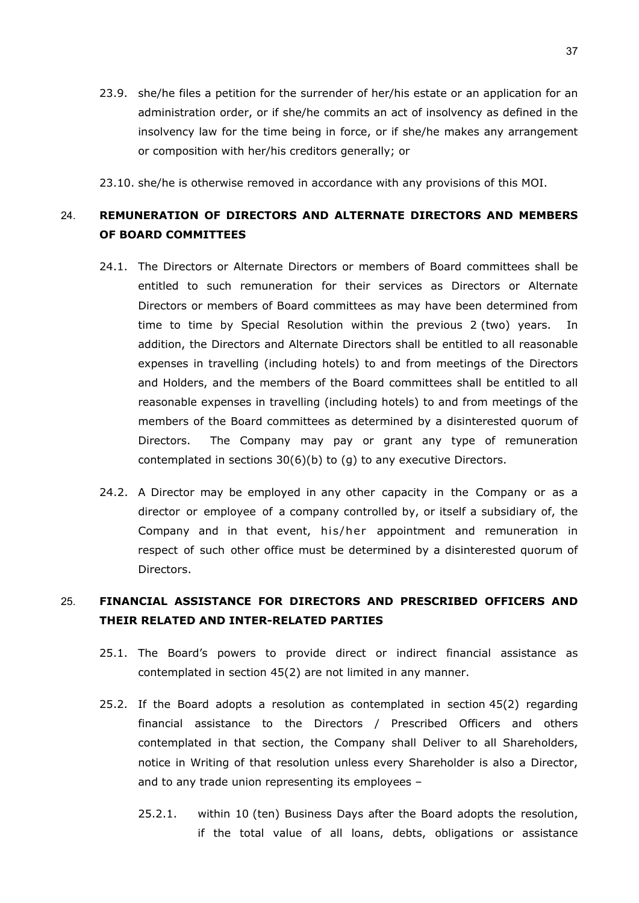23.9. she/he files a petition for the surrender of her/his estate or an application for an administration order, or if she/he commits an act of insolvency as defined in the insolvency law for the time being in force, or if she/he makes any arrangement or composition with her/his creditors generally; or

23.10. she/he is otherwise removed in accordance with any provisions of this MOI.

# 24. **REMUNERATION OF DIRECTORS AND ALTERNATE DIRECTORS AND MEMBERS OF BOARD COMMITTEES**

- 24.1. The Directors or Alternate Directors or members of Board committees shall be entitled to such remuneration for their services as Directors or Alternate Directors or members of Board committees as may have been determined from time to time by Special Resolution within the previous 2 (two) years. In addition, the Directors and Alternate Directors shall be entitled to all reasonable expenses in travelling (including hotels) to and from meetings of the Directors and Holders, and the members of the Board committees shall be entitled to all reasonable expenses in travelling (including hotels) to and from meetings of the members of the Board committees as determined by a disinterested quorum of Directors. The Company may pay or grant any type of remuneration contemplated in sections 30(6)(b) to (g) to any executive Directors.
- 24.2. A Director may be employed in any other capacity in the Company or as a director or employee of a company controlled by, or itself a subsidiary of, the Company and in that event, his/her appointment and remuneration in respect of such other office must be determined by a disinterested quorum of Directors.

# 25. **FINANCIAL ASSISTANCE FOR DIRECTORS AND PRESCRIBED OFFICERS AND THEIR RELATED AND INTER-RELATED PARTIES**

- 25.1. The Board's powers to provide direct or indirect financial assistance as contemplated in section 45(2) are not limited in any manner.
- 25.2. If the Board adopts a resolution as contemplated in section 45(2) regarding financial assistance to the Directors / Prescribed Officers and others contemplated in that section, the Company shall Deliver to all Shareholders, notice in Writing of that resolution unless every Shareholder is also a Director, and to any trade union representing its employees –
	- 25.2.1. within 10 (ten) Business Days after the Board adopts the resolution, if the total value of all loans, debts, obligations or assistance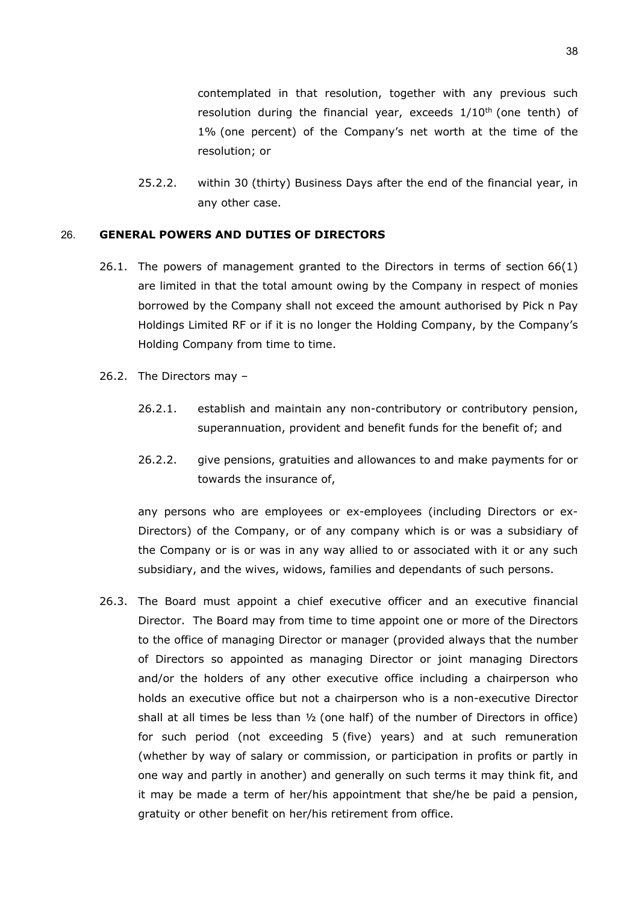contemplated in that resolution, together with any previous such resolution during the financial year, exceeds  $1/10<sup>th</sup>$  (one tenth) of 1% (one percent) of the Company's net worth at the time of the resolution; or

25.2.2. within 30 (thirty) Business Days after the end of the financial year, in any other case.

## 26. **GENERAL POWERS AND DUTIES OF DIRECTORS**

- 26.1. The powers of management granted to the Directors in terms of section 66(1) are limited in that the total amount owing by the Company in respect of monies borrowed by the Company shall not exceed the amount authorised by Pick n Pay Holdings Limited RF or if it is no longer the Holding Company, by the Company's Holding Company from time to time.
- 26.2. The Directors may
	- 26.2.1. establish and maintain any non-contributory or contributory pension, superannuation, provident and benefit funds for the benefit of; and
	- 26.2.2. give pensions, gratuities and allowances to and make payments for or towards the insurance of,

any persons who are employees or ex-employees (including Directors or ex-Directors) of the Company, or of any company which is or was a subsidiary of the Company or is or was in any way allied to or associated with it or any such subsidiary, and the wives, widows, families and dependants of such persons.

26.3. The Board must appoint a chief executive officer and an executive financial Director. The Board may from time to time appoint one or more of the Directors to the office of managing Director or manager (provided always that the number of Directors so appointed as managing Director or joint managing Directors and/or the holders of any other executive office including a chairperson who holds an executive office but not a chairperson who is a non-executive Director shall at all times be less than  $\frac{1}{2}$  (one half) of the number of Directors in office) for such period (not exceeding 5 (five) years) and at such remuneration (whether by way of salary or commission, or participation in profits or partly in one way and partly in another) and generally on such terms it may think fit, and it may be made a term of her/his appointment that she/he be paid a pension, gratuity or other benefit on her/his retirement from office.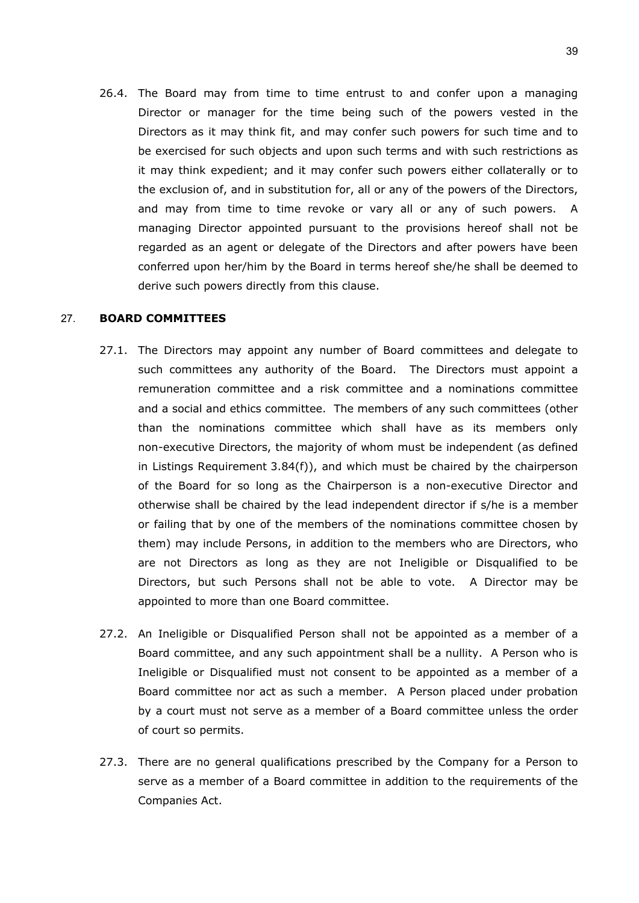26.4. The Board may from time to time entrust to and confer upon a managing Director or manager for the time being such of the powers vested in the Directors as it may think fit, and may confer such powers for such time and to be exercised for such objects and upon such terms and with such restrictions as it may think expedient; and it may confer such powers either collaterally or to the exclusion of, and in substitution for, all or any of the powers of the Directors, and may from time to time revoke or vary all or any of such powers. A managing Director appointed pursuant to the provisions hereof shall not be regarded as an agent or delegate of the Directors and after powers have been conferred upon her/him by the Board in terms hereof she/he shall be deemed to derive such powers directly from this clause.

## 27. **BOARD COMMITTEES**

- 27.1. The Directors may appoint any number of Board committees and delegate to such committees any authority of the Board. The Directors must appoint a remuneration committee and a risk committee and a nominations committee and a social and ethics committee. The members of any such committees (other than the nominations committee which shall have as its members only non-executive Directors, the majority of whom must be independent (as defined in Listings Requirement 3.84(f)), and which must be chaired by the chairperson of the Board for so long as the Chairperson is a non-executive Director and otherwise shall be chaired by the lead independent director if s/he is a member or failing that by one of the members of the nominations committee chosen by them) may include Persons, in addition to the members who are Directors, who are not Directors as long as they are not Ineligible or Disqualified to be Directors, but such Persons shall not be able to vote. A Director may be appointed to more than one Board committee.
- 27.2. An Ineligible or Disqualified Person shall not be appointed as a member of a Board committee, and any such appointment shall be a nullity. A Person who is Ineligible or Disqualified must not consent to be appointed as a member of a Board committee nor act as such a member. A Person placed under probation by a court must not serve as a member of a Board committee unless the order of court so permits.
- 27.3. There are no general qualifications prescribed by the Company for a Person to serve as a member of a Board committee in addition to the requirements of the Companies Act.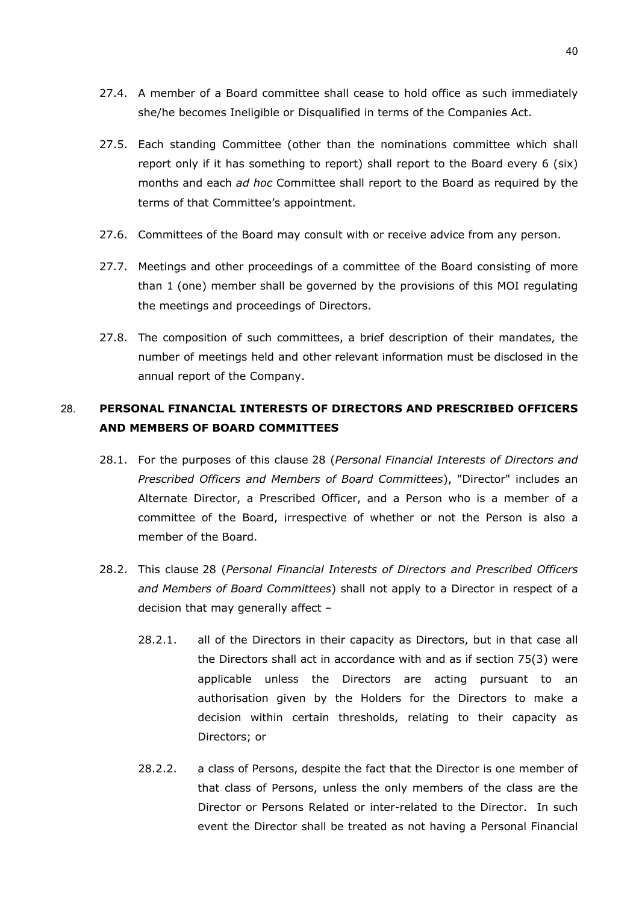- 27.4. A member of a Board committee shall cease to hold office as such immediately she/he becomes Ineligible or Disqualified in terms of the Companies Act.
- 27.5. Each standing Committee (other than the nominations committee which shall report only if it has something to report) shall report to the Board every 6 (six) months and each *ad hoc* Committee shall report to the Board as required by the terms of that Committee's appointment.
- 27.6. Committees of the Board may consult with or receive advice from any person.
- 27.7. Meetings and other proceedings of a committee of the Board consisting of more than 1 (one) member shall be governed by the provisions of this MOI regulating the meetings and proceedings of Directors.
- 27.8. The composition of such committees, a brief description of their mandates, the number of meetings held and other relevant information must be disclosed in the annual report of the Company.

# <span id="page-39-0"></span>28. **PERSONAL FINANCIAL INTERESTS OF DIRECTORS AND PRESCRIBED OFFICERS AND MEMBERS OF BOARD COMMITTEES**

- 28.1. For the purposes of this clause [28](#page-39-0) (*Personal Financial Interests of Directors and Prescribed Officers and Members of Board Committees*), "Director" includes an Alternate Director, a Prescribed Officer, and a Person who is a member of a committee of the Board, irrespective of whether or not the Person is also a member of the Board.
- <span id="page-39-1"></span>28.2. This clause [28](#page-39-0) (*Personal Financial Interests of Directors and Prescribed Officers and Members of Board Committees*) shall not apply to a Director in respect of a decision that may generally affect –
	- 28.2.1. all of the Directors in their capacity as Directors, but in that case all the Directors shall act in accordance with and as if section 75(3) were applicable unless the Directors are acting pursuant to an authorisation given by the Holders for the Directors to make a decision within certain thresholds, relating to their capacity as Directors; or
	- 28.2.2. a class of Persons, despite the fact that the Director is one member of that class of Persons, unless the only members of the class are the Director or Persons Related or inter-related to the Director. In such event the Director shall be treated as not having a Personal Financial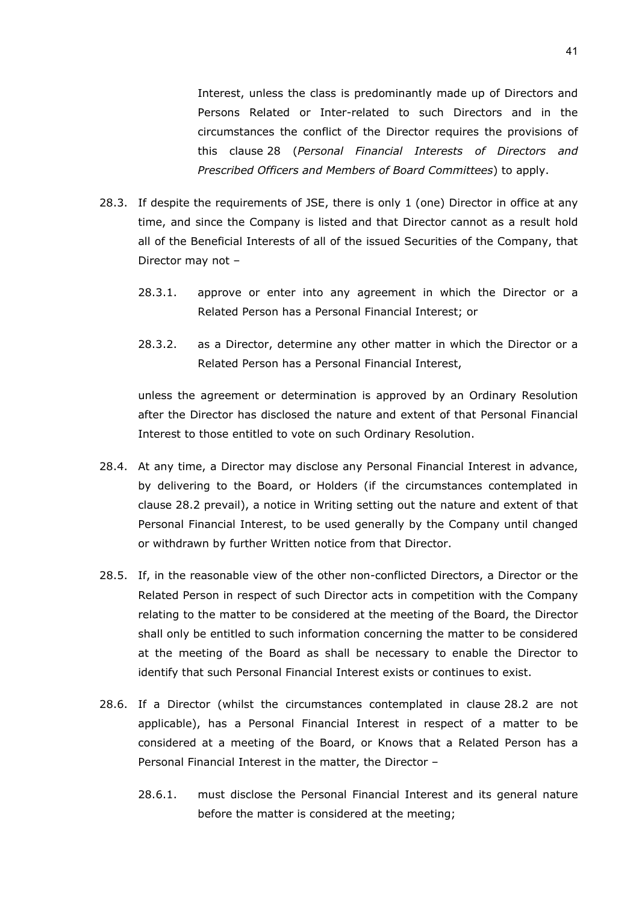Interest, unless the class is predominantly made up of Directors and Persons Related or Inter-related to such Directors and in the circumstances the conflict of the Director requires the provisions of this clause [28](#page-39-0) (*Personal Financial Interests of Directors and Prescribed Officers and Members of Board Committees*) to apply.

- 28.3. If despite the requirements of JSE, there is only 1 (one) Director in office at any time, and since the Company is listed and that Director cannot as a result hold all of the Beneficial Interests of all of the issued Securities of the Company, that Director may not –
	- 28.3.1. approve or enter into any agreement in which the Director or a Related Person has a Personal Financial Interest; or
	- 28.3.2. as a Director, determine any other matter in which the Director or a Related Person has a Personal Financial Interest,

unless the agreement or determination is approved by an Ordinary Resolution after the Director has disclosed the nature and extent of that Personal Financial Interest to those entitled to vote on such Ordinary Resolution.

- 28.4. At any time, a Director may disclose any Personal Financial Interest in advance, by delivering to the Board, or Holders (if the circumstances contemplated in clause [28.2](#page-39-1) prevail), a notice in Writing setting out the nature and extent of that Personal Financial Interest, to be used generally by the Company until changed or withdrawn by further Written notice from that Director.
- <span id="page-40-0"></span>28.5. If, in the reasonable view of the other non-conflicted Directors, a Director or the Related Person in respect of such Director acts in competition with the Company relating to the matter to be considered at the meeting of the Board, the Director shall only be entitled to such information concerning the matter to be considered at the meeting of the Board as shall be necessary to enable the Director to identify that such Personal Financial Interest exists or continues to exist.
- 28.6. If a Director (whilst the circumstances contemplated in clause [28.2](#page-39-1) are not applicable), has a Personal Financial Interest in respect of a matter to be considered at a meeting of the Board, or Knows that a Related Person has a Personal Financial Interest in the matter, the Director –
	- 28.6.1. must disclose the Personal Financial Interest and its general nature before the matter is considered at the meeting;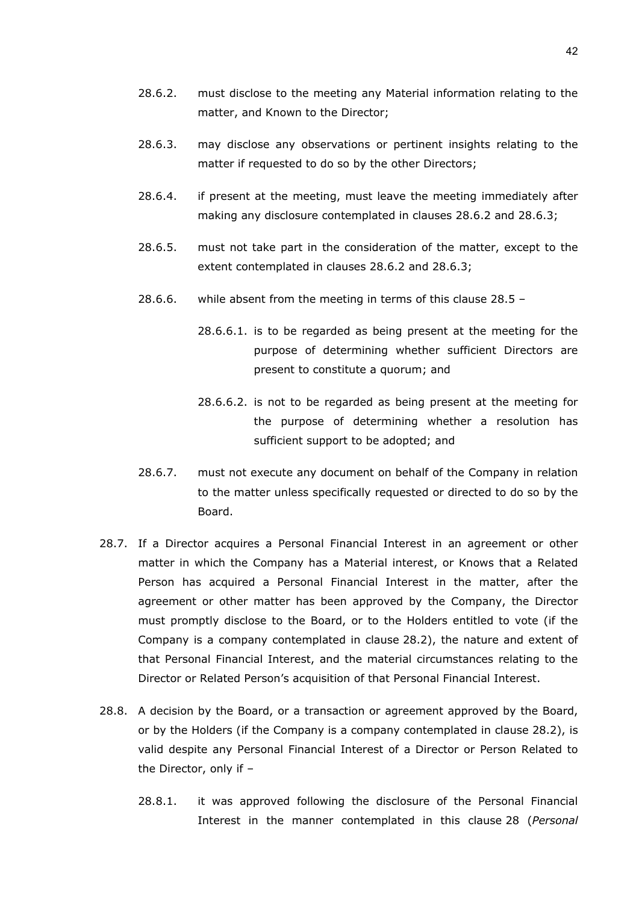- <span id="page-41-0"></span>28.6.2. must disclose to the meeting any Material information relating to the matter, and Known to the Director;
- <span id="page-41-1"></span>28.6.3. may disclose any observations or pertinent insights relating to the matter if requested to do so by the other Directors;
- 28.6.4. if present at the meeting, must leave the meeting immediately after making any disclosure contemplated in clauses [28.6.2](#page-41-0) and [28.6.3;](#page-41-1)
- 28.6.5. must not take part in the consideration of the matter, except to the extent contemplated in clauses [28.6.2](#page-41-0) and [28.6.3;](#page-41-1)
- 28.6.6. while absent from the meeting in terms of this clause [28.5](#page-40-0)
	- 28.6.6.1. is to be regarded as being present at the meeting for the purpose of determining whether sufficient Directors are present to constitute a quorum; and
	- 28.6.6.2. is not to be regarded as being present at the meeting for the purpose of determining whether a resolution has sufficient support to be adopted; and
- 28.6.7. must not execute any document on behalf of the Company in relation to the matter unless specifically requested or directed to do so by the Board.
- 28.7. If a Director acquires a Personal Financial Interest in an agreement or other matter in which the Company has a Material interest, or Knows that a Related Person has acquired a Personal Financial Interest in the matter, after the agreement or other matter has been approved by the Company, the Director must promptly disclose to the Board, or to the Holders entitled to vote (if the Company is a company contemplated in clause [28.2\)](#page-39-1), the nature and extent of that Personal Financial Interest, and the material circumstances relating to the Director or Related Person's acquisition of that Personal Financial Interest.
- 28.8. A decision by the Board, or a transaction or agreement approved by the Board, or by the Holders (if the Company is a company contemplated in clause [28.2\)](#page-39-1), is valid despite any Personal Financial Interest of a Director or Person Related to the Director, only if –
	- 28.8.1. it was approved following the disclosure of the Personal Financial Interest in the manner contemplated in this clause [28](#page-39-0) (*Personal*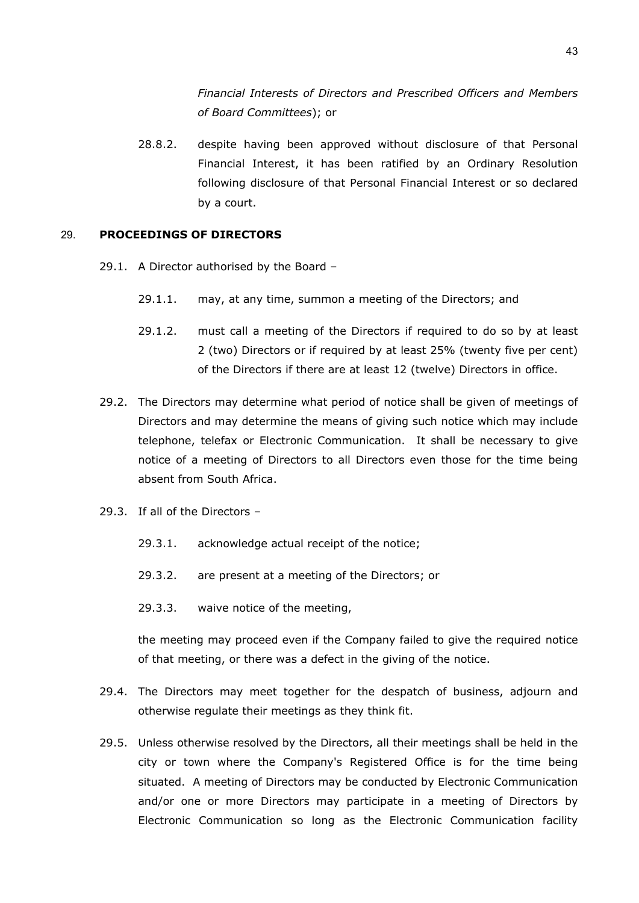*Financial Interests of Directors and Prescribed Officers and Members of Board Committees*); or

28.8.2. despite having been approved without disclosure of that Personal Financial Interest, it has been ratified by an Ordinary Resolution following disclosure of that Personal Financial Interest or so declared by a court.

## 29. **PROCEEDINGS OF DIRECTORS**

- 29.1. A Director authorised by the Board
	- 29.1.1. may, at any time, summon a meeting of the Directors; and
	- 29.1.2. must call a meeting of the Directors if required to do so by at least 2 (two) Directors or if required by at least 25% (twenty five per cent) of the Directors if there are at least 12 (twelve) Directors in office.
- 29.2. The Directors may determine what period of notice shall be given of meetings of Directors and may determine the means of giving such notice which may include telephone, telefax or Electronic Communication. It shall be necessary to give notice of a meeting of Directors to all Directors even those for the time being absent from South Africa.
- 29.3. If all of the Directors
	- 29.3.1. acknowledge actual receipt of the notice;
	- 29.3.2. are present at a meeting of the Directors; or
	- 29.3.3. waive notice of the meeting,

the meeting may proceed even if the Company failed to give the required notice of that meeting, or there was a defect in the giving of the notice.

- 29.4. The Directors may meet together for the despatch of business, adjourn and otherwise regulate their meetings as they think fit.
- 29.5. Unless otherwise resolved by the Directors, all their meetings shall be held in the city or town where the Company's Registered Office is for the time being situated. A meeting of Directors may be conducted by Electronic Communication and/or one or more Directors may participate in a meeting of Directors by Electronic Communication so long as the Electronic Communication facility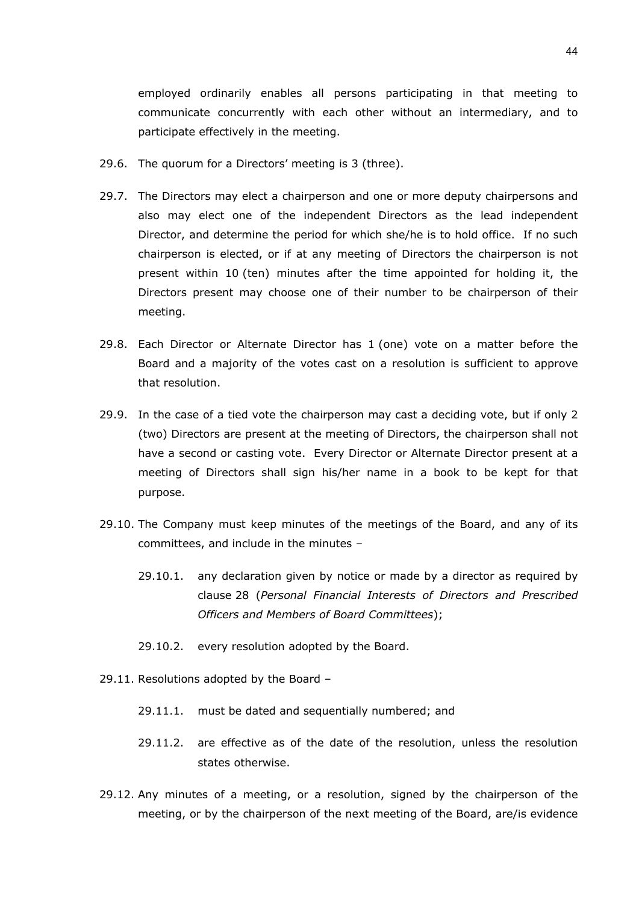employed ordinarily enables all persons participating in that meeting to communicate concurrently with each other without an intermediary, and to participate effectively in the meeting.

- 29.6. The quorum for a Directors' meeting is 3 (three).
- 29.7. The Directors may elect a chairperson and one or more deputy chairpersons and also may elect one of the independent Directors as the lead independent Director, and determine the period for which she/he is to hold office. If no such chairperson is elected, or if at any meeting of Directors the chairperson is not present within 10 (ten) minutes after the time appointed for holding it, the Directors present may choose one of their number to be chairperson of their meeting.
- 29.8. Each Director or Alternate Director has 1 (one) vote on a matter before the Board and a majority of the votes cast on a resolution is sufficient to approve that resolution.
- 29.9. In the case of a tied vote the chairperson may cast a deciding vote, but if only 2 (two) Directors are present at the meeting of Directors, the chairperson shall not have a second or casting vote. Every Director or Alternate Director present at a meeting of Directors shall sign his/her name in a book to be kept for that purpose.
- <span id="page-43-0"></span>29.10. The Company must keep minutes of the meetings of the Board, and any of its committees, and include in the minutes –
	- 29.10.1. any declaration given by notice or made by a director as required by clause [28](#page-39-0) (*Personal Financial Interests of Directors and Prescribed Officers and Members of Board Committees*);
	- 29.10.2. every resolution adopted by the Board.
- 29.11. Resolutions adopted by the Board
	- 29.11.1. must be dated and sequentially numbered; and
	- 29.11.2. are effective as of the date of the resolution, unless the resolution states otherwise.
- 29.12. Any minutes of a meeting, or a resolution, signed by the chairperson of the meeting, or by the chairperson of the next meeting of the Board, are/is evidence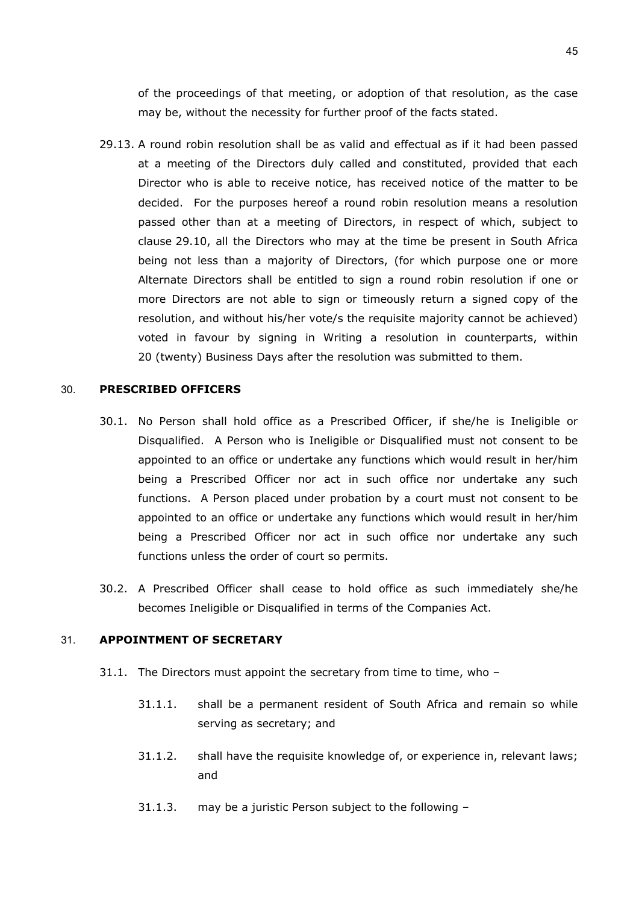of the proceedings of that meeting, or adoption of that resolution, as the case may be, without the necessity for further proof of the facts stated.

29.13. A round robin resolution shall be as valid and effectual as if it had been passed at a meeting of the Directors duly called and constituted, provided that each Director who is able to receive notice, has received notice of the matter to be decided. For the purposes hereof a round robin resolution means a resolution passed other than at a meeting of Directors, in respect of which, subject to clause [29.10,](#page-43-0) all the Directors who may at the time be present in South Africa being not less than a majority of Directors, (for which purpose one or more Alternate Directors shall be entitled to sign a round robin resolution if one or more Directors are not able to sign or timeously return a signed copy of the resolution, and without his/her vote/s the requisite majority cannot be achieved) voted in favour by signing in Writing a resolution in counterparts, within 20 (twenty) Business Days after the resolution was submitted to them.

## 30. **PRESCRIBED OFFICERS**

- 30.1. No Person shall hold office as a Prescribed Officer, if she/he is Ineligible or Disqualified. A Person who is Ineligible or Disqualified must not consent to be appointed to an office or undertake any functions which would result in her/him being a Prescribed Officer nor act in such office nor undertake any such functions. A Person placed under probation by a court must not consent to be appointed to an office or undertake any functions which would result in her/him being a Prescribed Officer nor act in such office nor undertake any such functions unless the order of court so permits.
- 30.2. A Prescribed Officer shall cease to hold office as such immediately she/he becomes Ineligible or Disqualified in terms of the Companies Act.

## 31. **APPOINTMENT OF SECRETARY**

- <span id="page-44-2"></span><span id="page-44-1"></span><span id="page-44-0"></span>31.1. The Directors must appoint the secretary from time to time, who –
	- 31.1.1. shall be a permanent resident of South Africa and remain so while serving as secretary; and
	- 31.1.2. shall have the requisite knowledge of, or experience in, relevant laws; and
	- 31.1.3. may be a juristic Person subject to the following –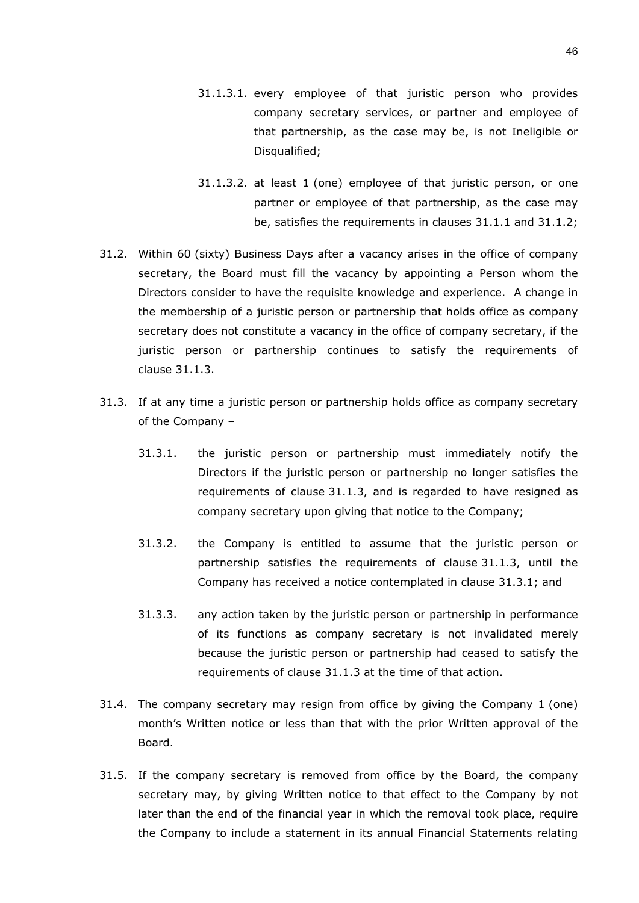- 31.1.3.1. every employee of that juristic person who provides company secretary services, or partner and employee of that partnership, as the case may be, is not Ineligible or Disqualified;
- 31.1.3.2. at least 1 (one) employee of that juristic person, or one partner or employee of that partnership, as the case may be, satisfies the requirements in clauses [31.1.1](#page-44-0) and [31.1.2;](#page-44-1)
- 31.2. Within 60 (sixty) Business Days after a vacancy arises in the office of company secretary, the Board must fill the vacancy by appointing a Person whom the Directors consider to have the requisite knowledge and experience. A change in the membership of a juristic person or partnership that holds office as company secretary does not constitute a vacancy in the office of company secretary, if the juristic person or partnership continues to satisfy the requirements of clause [31.1.3.](#page-44-2)
- <span id="page-45-0"></span>31.3. If at any time a juristic person or partnership holds office as company secretary of the Company –
	- 31.3.1. the juristic person or partnership must immediately notify the Directors if the juristic person or partnership no longer satisfies the requirements of clause [31.1.3,](#page-44-2) and is regarded to have resigned as company secretary upon giving that notice to the Company;
	- 31.3.2. the Company is entitled to assume that the juristic person or partnership satisfies the requirements of clause [31.1.3,](#page-44-2) until the Company has received a notice contemplated in clause [31.3.1;](#page-45-0) and
	- 31.3.3. any action taken by the juristic person or partnership in performance of its functions as company secretary is not invalidated merely because the juristic person or partnership had ceased to satisfy the requirements of clause [31.1.3](#page-44-2) at the time of that action.
- 31.4. The company secretary may resign from office by giving the Company 1 (one) month's Written notice or less than that with the prior Written approval of the Board.
- 31.5. If the company secretary is removed from office by the Board, the company secretary may, by giving Written notice to that effect to the Company by not later than the end of the financial year in which the removal took place, require the Company to include a statement in its annual Financial Statements relating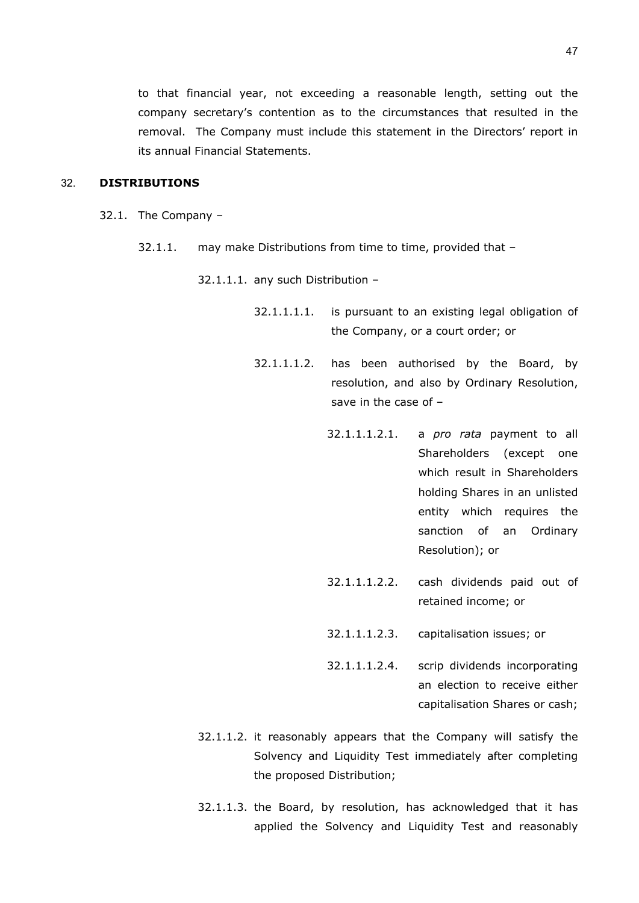to that financial year, not exceeding a reasonable length, setting out the company secretary's contention as to the circumstances that resulted in the removal. The Company must include this statement in the Directors' report in its annual Financial Statements.

## 32. **DISTRIBUTIONS**

- <span id="page-46-2"></span><span id="page-46-0"></span>32.1. The Company –
	- 32.1.1. may make Distributions from time to time, provided that –

32.1.1.1. any such Distribution –

- 32.1.1.1.1. is pursuant to an existing legal obligation of the Company, or a court order; or
- 32.1.1.1.2. has been authorised by the Board, by resolution, and also by Ordinary Resolution, save in the case of –
	- 32.1.1.1.2.1. a *pro rata* payment to all Shareholders (except one which result in Shareholders holding Shares in an unlisted entity which requires the sanction of an Ordinary Resolution); or
	- 32.1.1.1.2.2. cash dividends paid out of retained income; or
	- 32.1.1.1.2.3. capitalisation issues; or
	- 32.1.1.1.2.4. scrip dividends incorporating an election to receive either capitalisation Shares or cash;
- 32.1.1.2. it reasonably appears that the Company will satisfy the Solvency and Liquidity Test immediately after completing the proposed Distribution;
- <span id="page-46-1"></span>32.1.1.3. the Board, by resolution, has acknowledged that it has applied the Solvency and Liquidity Test and reasonably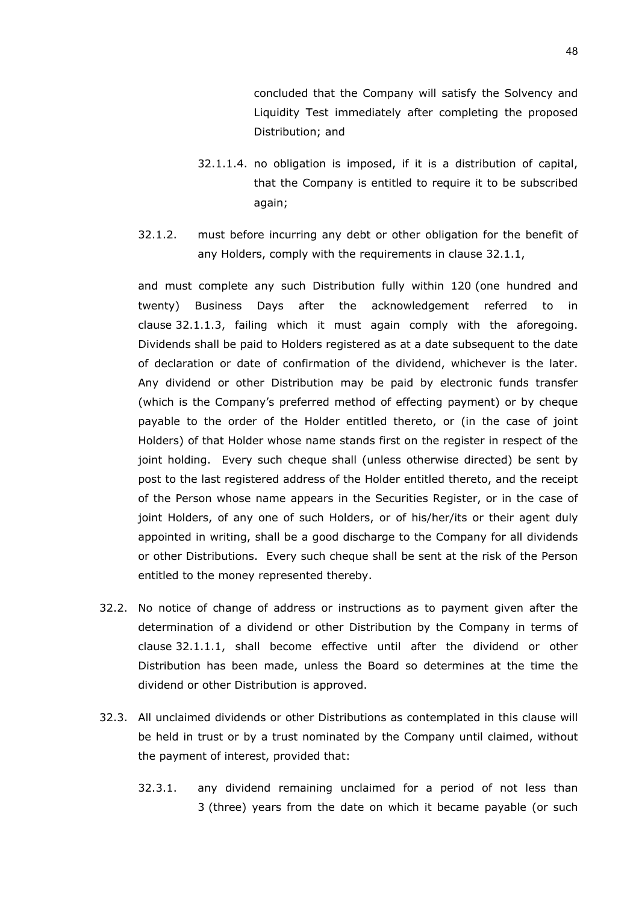concluded that the Company will satisfy the Solvency and Liquidity Test immediately after completing the proposed Distribution; and

- 32.1.1.4. no obligation is imposed, if it is a distribution of capital, that the Company is entitled to require it to be subscribed again;
- 32.1.2. must before incurring any debt or other obligation for the benefit of any Holders, comply with the requirements in clause [32.1.1,](#page-46-0)

and must complete any such Distribution fully within 120 (one hundred and twenty) Business Days after the acknowledgement referred to in clause [32.1.1.3,](#page-46-1) failing which it must again comply with the aforegoing. Dividends shall be paid to Holders registered as at a date subsequent to the date of declaration or date of confirmation of the dividend, whichever is the later. Any dividend or other Distribution may be paid by electronic funds transfer (which is the Company's preferred method of effecting payment) or by cheque payable to the order of the Holder entitled thereto, or (in the case of joint Holders) of that Holder whose name stands first on the register in respect of the joint holding. Every such cheque shall (unless otherwise directed) be sent by post to the last registered address of the Holder entitled thereto, and the receipt of the Person whose name appears in the Securities Register, or in the case of joint Holders, of any one of such Holders, or of his/her/its or their agent duly appointed in writing, shall be a good discharge to the Company for all dividends or other Distributions. Every such cheque shall be sent at the risk of the Person entitled to the money represented thereby.

- 32.2. No notice of change of address or instructions as to payment given after the determination of a dividend or other Distribution by the Company in terms of clause [32.1.1.1,](#page-46-2) shall become effective until after the dividend or other Distribution has been made, unless the Board so determines at the time the dividend or other Distribution is approved.
- <span id="page-47-1"></span><span id="page-47-0"></span>32.3. All unclaimed dividends or other Distributions as contemplated in this clause will be held in trust or by a trust nominated by the Company until claimed, without the payment of interest, provided that:
	- 32.3.1. any dividend remaining unclaimed for a period of not less than 3 (three) years from the date on which it became payable (or such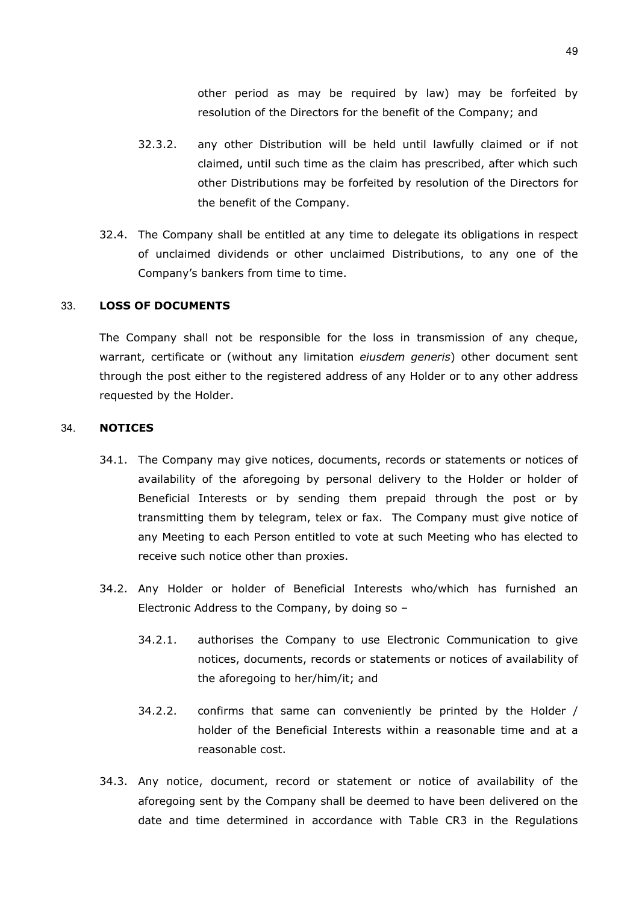other period as may be required by law) may be forfeited by resolution of the Directors for the benefit of the Company; and

- 32.3.2. any other Distribution will be held until lawfully claimed or if not claimed, until such time as the claim has prescribed, after which such other Distributions may be forfeited by resolution of the Directors for the benefit of the Company.
- <span id="page-48-0"></span>32.4. The Company shall be entitled at any time to delegate its obligations in respect of unclaimed dividends or other unclaimed Distributions, to any one of the Company's bankers from time to time.

#### 33. **LOSS OF DOCUMENTS**

The Company shall not be responsible for the loss in transmission of any cheque, warrant, certificate or (without any limitation *eiusdem generis*) other document sent through the post either to the registered address of any Holder or to any other address requested by the Holder.

#### 34. **NOTICES**

- 34.1. The Company may give notices, documents, records or statements or notices of availability of the aforegoing by personal delivery to the Holder or holder of Beneficial Interests or by sending them prepaid through the post or by transmitting them by telegram, telex or fax. The Company must give notice of any Meeting to each Person entitled to vote at such Meeting who has elected to receive such notice other than proxies.
- 34.2. Any Holder or holder of Beneficial Interests who/which has furnished an Electronic Address to the Company, by doing so –
	- 34.2.1. authorises the Company to use Electronic Communication to give notices, documents, records or statements or notices of availability of the aforegoing to her/him/it; and
	- 34.2.2. confirms that same can conveniently be printed by the Holder / holder of the Beneficial Interests within a reasonable time and at a reasonable cost.
- 34.3. Any notice, document, record or statement or notice of availability of the aforegoing sent by the Company shall be deemed to have been delivered on the date and time determined in accordance with Table CR3 in the Regulations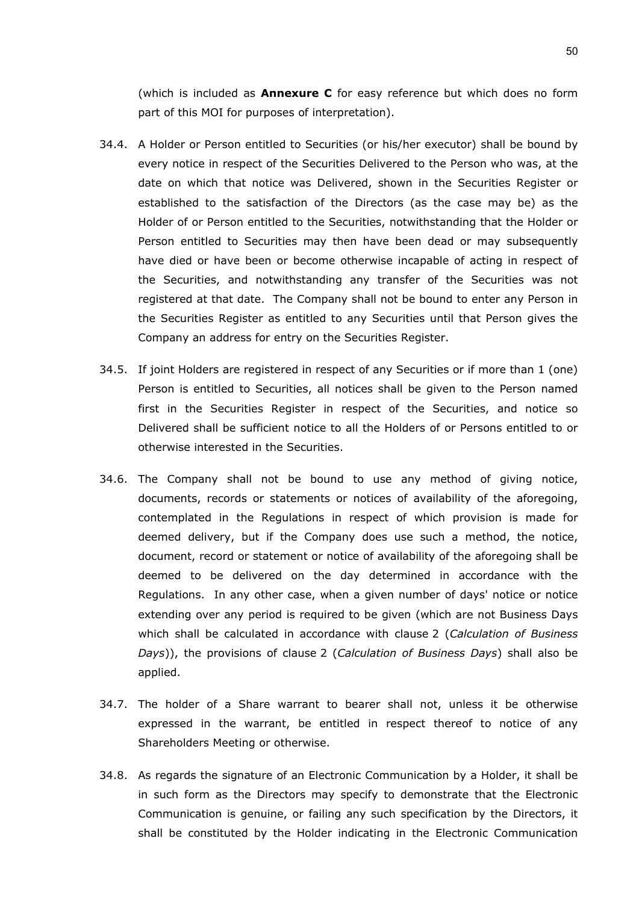(which is included as **Annexure C** for easy reference but which does no form part of this MOI for purposes of interpretation).

- 34.4. A Holder or Person entitled to Securities (or his/her executor) shall be bound by every notice in respect of the Securities Delivered to the Person who was, at the date on which that notice was Delivered, shown in the Securities Register or established to the satisfaction of the Directors (as the case may be) as the Holder of or Person entitled to the Securities, notwithstanding that the Holder or Person entitled to Securities may then have been dead or may subsequently have died or have been or become otherwise incapable of acting in respect of the Securities, and notwithstanding any transfer of the Securities was not registered at that date. The Company shall not be bound to enter any Person in the Securities Register as entitled to any Securities until that Person gives the Company an address for entry on the Securities Register.
- 34.5. If joint Holders are registered in respect of any Securities or if more than 1 (one) Person is entitled to Securities, all notices shall be given to the Person named first in the Securities Register in respect of the Securities, and notice so Delivered shall be sufficient notice to all the Holders of or Persons entitled to or otherwise interested in the Securities.
- 34.6. The Company shall not be bound to use any method of giving notice, documents, records or statements or notices of availability of the aforegoing, contemplated in the Regulations in respect of which provision is made for deemed delivery, but if the Company does use such a method, the notice, document, record or statement or notice of availability of the aforegoing shall be deemed to be delivered on the day determined in accordance with the Regulations. In any other case, when a given number of days' notice or notice extending over any period is required to be given (which are not Business Days which shall be calculated in accordance with clause [2](#page-3-0) (*Calculation of Business Days*)), the provisions of clause [2](#page-3-0) (*Calculation of Business Days*) shall also be applied.
- 34.7. The holder of a Share warrant to bearer shall not, unless it be otherwise expressed in the warrant, be entitled in respect thereof to notice of any Shareholders Meeting or otherwise.
- 34.8. As regards the signature of an Electronic Communication by a Holder, it shall be in such form as the Directors may specify to demonstrate that the Electronic Communication is genuine, or failing any such specification by the Directors, it shall be constituted by the Holder indicating in the Electronic Communication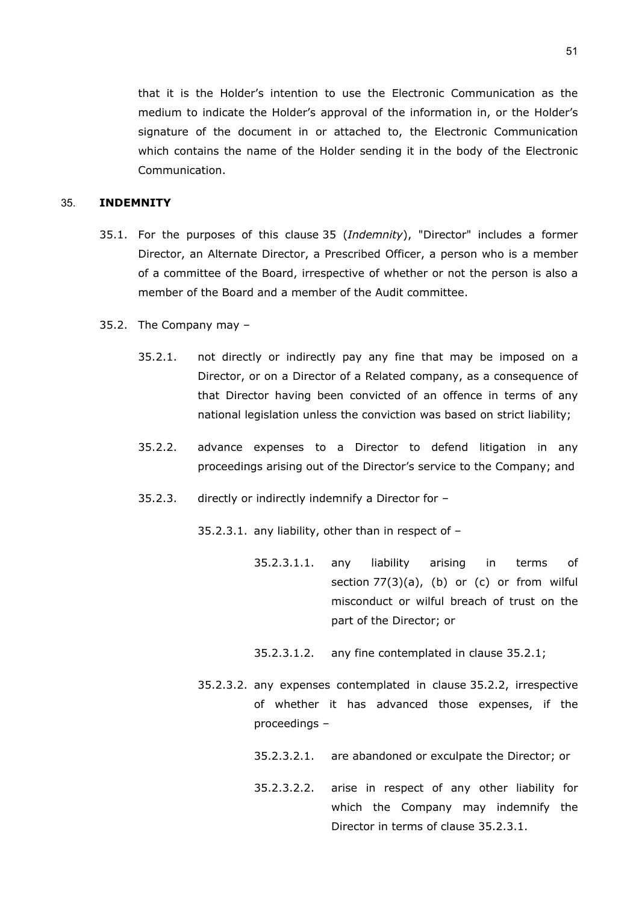that it is the Holder's intention to use the Electronic Communication as the medium to indicate the Holder's approval of the information in, or the Holder's signature of the document in or attached to, the Electronic Communication which contains the name of the Holder sending it in the body of the Electronic Communication.

### <span id="page-50-0"></span>35. **INDEMNITY**

- 35.1. For the purposes of this clause [35](#page-50-0) (*Indemnity*), "Director" includes a former Director, an Alternate Director, a Prescribed Officer, a person who is a member of a committee of the Board, irrespective of whether or not the person is also a member of the Board and a member of the Audit committee.
- <span id="page-50-2"></span><span id="page-50-1"></span>35.2. The Company may –
	- 35.2.1. not directly or indirectly pay any fine that may be imposed on a Director, or on a Director of a Related company, as a consequence of that Director having been convicted of an offence in terms of any national legislation unless the conviction was based on strict liability;
	- 35.2.2. advance expenses to a Director to defend litigation in any proceedings arising out of the Director's service to the Company; and
	- 35.2.3. directly or indirectly indemnify a Director for –

<span id="page-50-4"></span><span id="page-50-3"></span>35.2.3.1. any liability, other than in respect of –

- 35.2.3.1.1. any liability arising in terms of section  $77(3)(a)$ , (b) or (c) or from wilful misconduct or wilful breach of trust on the part of the Director; or
- 35.2.3.1.2. any fine contemplated in clause [35.2.1;](#page-50-1)
- <span id="page-50-5"></span>35.2.3.2. any expenses contemplated in clause [35.2.2,](#page-50-2) irrespective of whether it has advanced those expenses, if the proceedings –
	- 35.2.3.2.1. are abandoned or exculpate the Director; or
	- 35.2.3.2.2. arise in respect of any other liability for which the Company may indemnify the Director in terms of clause [35.2.3.1.](#page-50-3)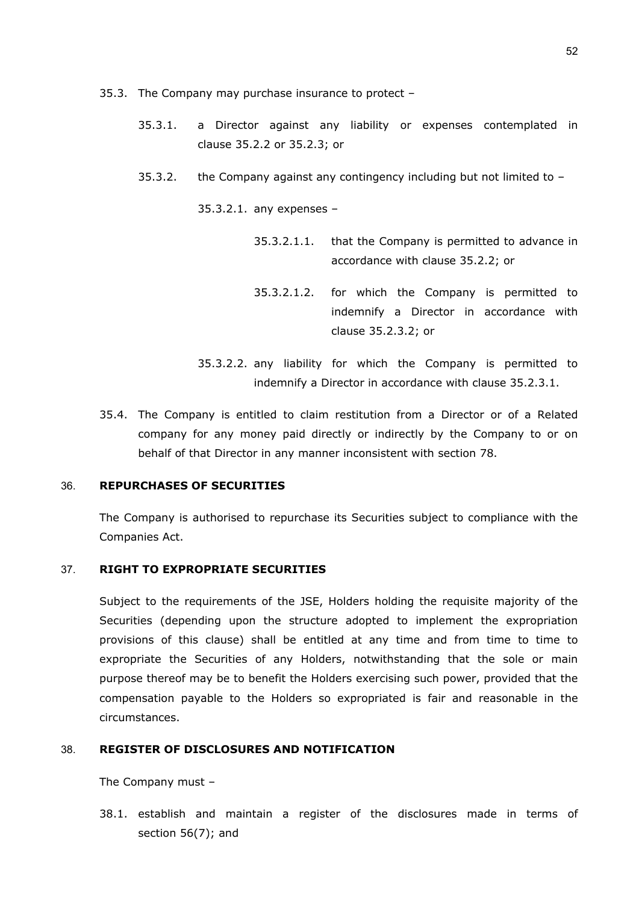- 35.3. The Company may purchase insurance to protect
	- 35.3.1. a Director against any liability or expenses contemplated in clause [35.2.2](#page-50-2) or [35.2.3;](#page-50-4) or
	- 35.3.2. the Company against any contingency including but not limited to –

35.3.2.1. any expenses –

- 35.3.2.1.1. that the Company is permitted to advance in accordance with clause [35.2.2;](#page-50-2) or
- 35.3.2.1.2. for which the Company is permitted to indemnify a Director in accordance with clause [35.2.3.2;](#page-50-5) or
- 35.3.2.2. any liability for which the Company is permitted to indemnify a Director in accordance with clause [35.2.3.1.](#page-50-3)
- 35.4. The Company is entitled to claim restitution from a Director or of a Related company for any money paid directly or indirectly by the Company to or on behalf of that Director in any manner inconsistent with section 78.

## 36. **REPURCHASES OF SECURITIES**

The Company is authorised to repurchase its Securities subject to compliance with the Companies Act.

## 37. **RIGHT TO EXPROPRIATE SECURITIES**

Subject to the requirements of the JSE, Holders holding the requisite majority of the Securities (depending upon the structure adopted to implement the expropriation provisions of this clause) shall be entitled at any time and from time to time to expropriate the Securities of any Holders, notwithstanding that the sole or main purpose thereof may be to benefit the Holders exercising such power, provided that the compensation payable to the Holders so expropriated is fair and reasonable in the circumstances.

#### 38. **REGISTER OF DISCLOSURES AND NOTIFICATION**

The Company must –

38.1. establish and maintain a register of the disclosures made in terms of section 56(7); and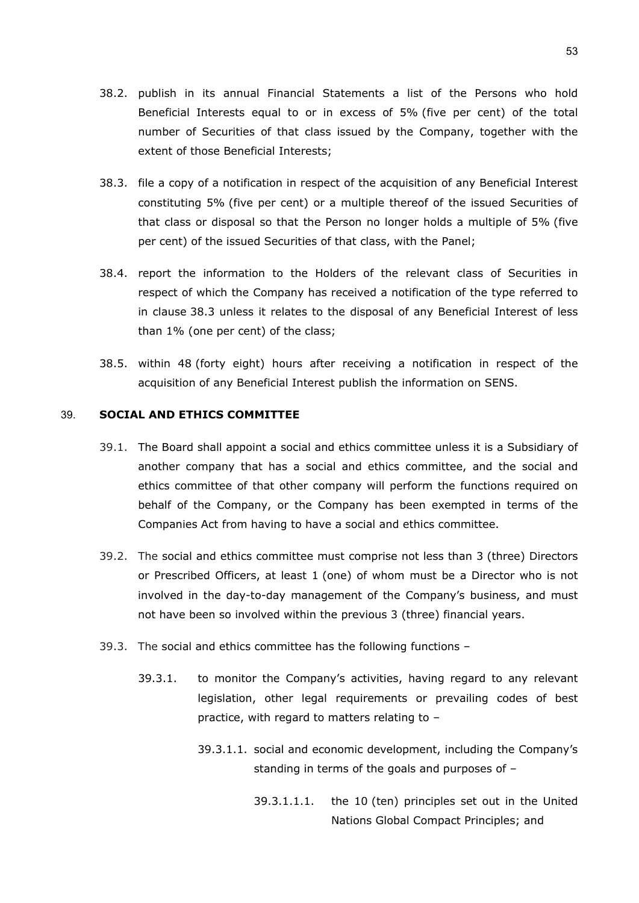- 38.2. publish in its annual Financial Statements a list of the Persons who hold Beneficial Interests equal to or in excess of 5% (five per cent) of the total number of Securities of that class issued by the Company, together with the extent of those Beneficial Interests;
- <span id="page-52-0"></span>38.3. file a copy of a notification in respect of the acquisition of any Beneficial Interest constituting 5% (five per cent) or a multiple thereof of the issued Securities of that class or disposal so that the Person no longer holds a multiple of 5% (five per cent) of the issued Securities of that class, with the Panel;
- 38.4. report the information to the Holders of the relevant class of Securities in respect of which the Company has received a notification of the type referred to in clause [38.3](#page-52-0) unless it relates to the disposal of any Beneficial Interest of less than 1% (one per cent) of the class;
- 38.5. within 48 (forty eight) hours after receiving a notification in respect of the acquisition of any Beneficial Interest publish the information on SENS.

## 39. **SOCIAL AND ETHICS COMMITTEE**

- 39.1. The Board shall appoint a social and ethics committee unless it is a Subsidiary of another company that has a social and ethics committee, and the social and ethics committee of that other company will perform the functions required on behalf of the Company, or the Company has been exempted in terms of the Companies Act from having to have a social and ethics committee.
- 39.2. The social and ethics committee must comprise not less than 3 (three) Directors or Prescribed Officers, at least 1 (one) of whom must be a Director who is not involved in the day-to-day management of the Company's business, and must not have been so involved within the previous 3 (three) financial years.
- 39.3. The social and ethics committee has the following functions
	- 39.3.1. to monitor the Company's activities, having regard to any relevant legislation, other legal requirements or prevailing codes of best practice, with regard to matters relating to –
		- 39.3.1.1. social and economic development, including the Company's standing in terms of the goals and purposes of –
			- 39.3.1.1.1. the 10 (ten) principles set out in the United Nations Global Compact Principles; and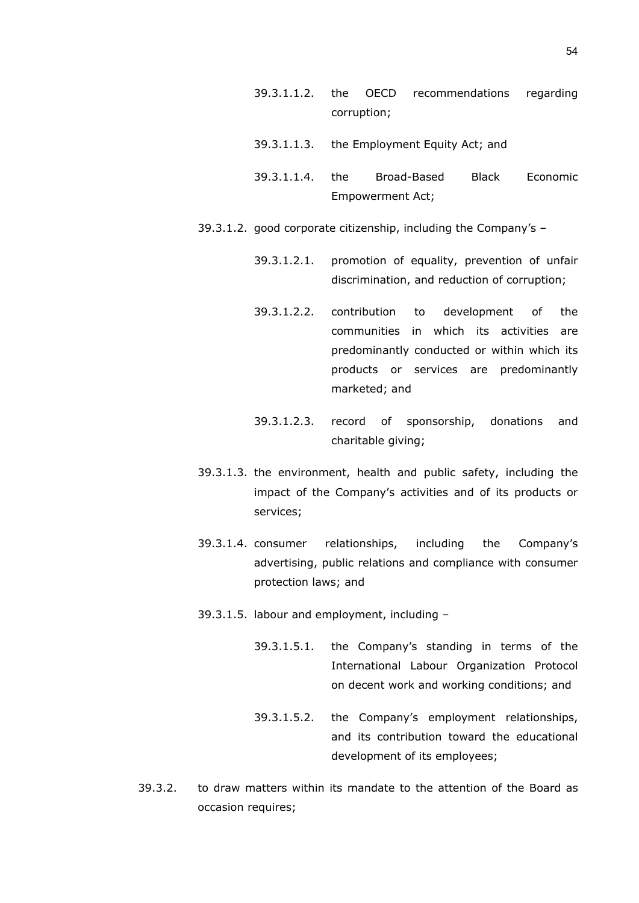- 39.3.1.1.2. the OECD recommendations regarding corruption;
- 39.3.1.1.3. the Employment Equity Act; and
- 39.3.1.1.4. the Broad-Based Black Economic Empowerment Act;
- 39.3.1.2. good corporate citizenship, including the Company's
	- 39.3.1.2.1. promotion of equality, prevention of unfair discrimination, and reduction of corruption;
	- 39.3.1.2.2. contribution to development of the communities in which its activities are predominantly conducted or within which its products or services are predominantly marketed; and
	- 39.3.1.2.3. record of sponsorship, donations and charitable giving;
- 39.3.1.3. the environment, health and public safety, including the impact of the Company's activities and of its products or services;
- 39.3.1.4. consumer relationships, including the Company's advertising, public relations and compliance with consumer protection laws; and
- 39.3.1.5. labour and employment, including
	- 39.3.1.5.1. the Company's standing in terms of the International Labour Organization Protocol on decent work and working conditions; and
	- 39.3.1.5.2. the Company's employment relationships, and its contribution toward the educational development of its employees;
- 39.3.2. to draw matters within its mandate to the attention of the Board as occasion requires;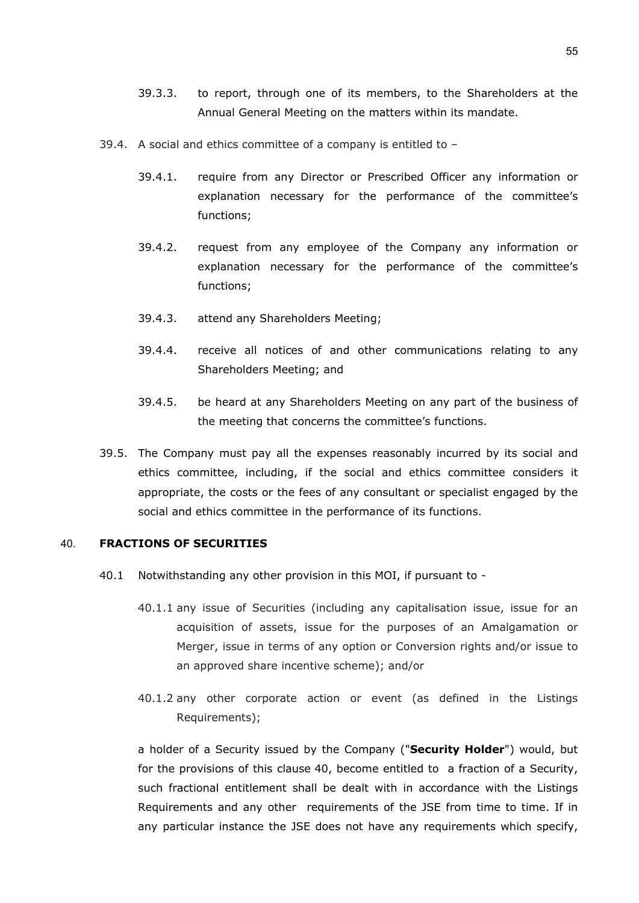- 39.3.3. to report, through one of its members, to the Shareholders at the Annual General Meeting on the matters within its mandate.
- 39.4. A social and ethics committee of a company is entitled to
	- 39.4.1. require from any Director or Prescribed Officer any information or explanation necessary for the performance of the committee's functions;
	- 39.4.2. request from any employee of the Company any information or explanation necessary for the performance of the committee's functions;
	- 39.4.3. attend any Shareholders Meeting;
	- 39.4.4. receive all notices of and other communications relating to any Shareholders Meeting; and
	- 39.4.5. be heard at any Shareholders Meeting on any part of the business of the meeting that concerns the committee's functions.
- 39.5. The Company must pay all the expenses reasonably incurred by its social and ethics committee, including, if the social and ethics committee considers it appropriate, the costs or the fees of any consultant or specialist engaged by the social and ethics committee in the performance of its functions.

## <span id="page-54-1"></span><span id="page-54-0"></span>40. **FRACTIONS OF SECURITIES**

- 40.1 Notwithstanding any other provision in this MOI, if pursuant to
	- 40.1.1 any issue of Securities (including any capitalisation issue, issue for an acquisition of assets, issue for the purposes of an Amalgamation or Merger, issue in terms of any option or Conversion rights and/or issue to an approved share incentive scheme); and/or
	- 40.1.2 any other corporate action or event (as defined in the Listings Requirements);

a holder of a Security issued by the Company ("**Security Holder**") would, but for the provisions of this clause [40,](#page-54-0) become entitled to a fraction of a Security, such fractional entitlement shall be dealt with in accordance with the Listings Requirements and any other requirements of the JSE from time to time. If in any particular instance the JSE does not have any requirements which specify,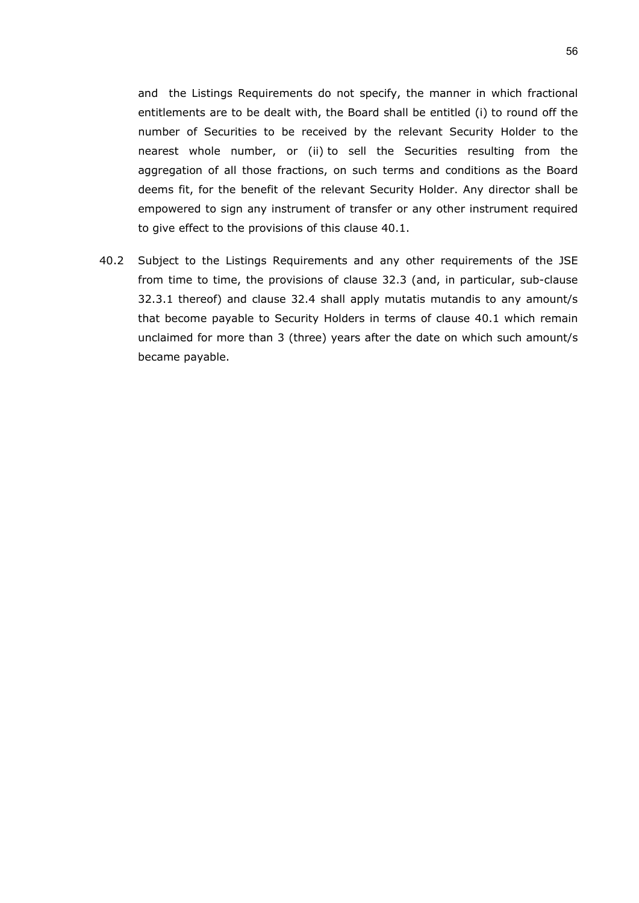and the Listings Requirements do not specify, the manner in which fractional entitlements are to be dealt with, the Board shall be entitled (i) to round off the number of Securities to be received by the relevant Security Holder to the nearest whole number, or (ii) to sell the Securities resulting from the aggregation of all those fractions, on such terms and conditions as the Board deems fit, for the benefit of the relevant Security Holder. Any director shall be empowered to sign any instrument of transfer or any other instrument required to give effect to the provisions of this clause [40.1.](#page-54-1)

40.2 Subject to the Listings Requirements and any other requirements of the JSE from time to time, the provisions of clause [32.3](#page-47-0) (and, in particular, sub-clause [32.3.1](#page-47-1) thereof) and clause [32.4](#page-48-0) shall apply mutatis mutandis to any amount/s that become payable to Security Holders in terms of clause [40.1](#page-54-1) which remain unclaimed for more than 3 (three) years after the date on which such amount/s became payable.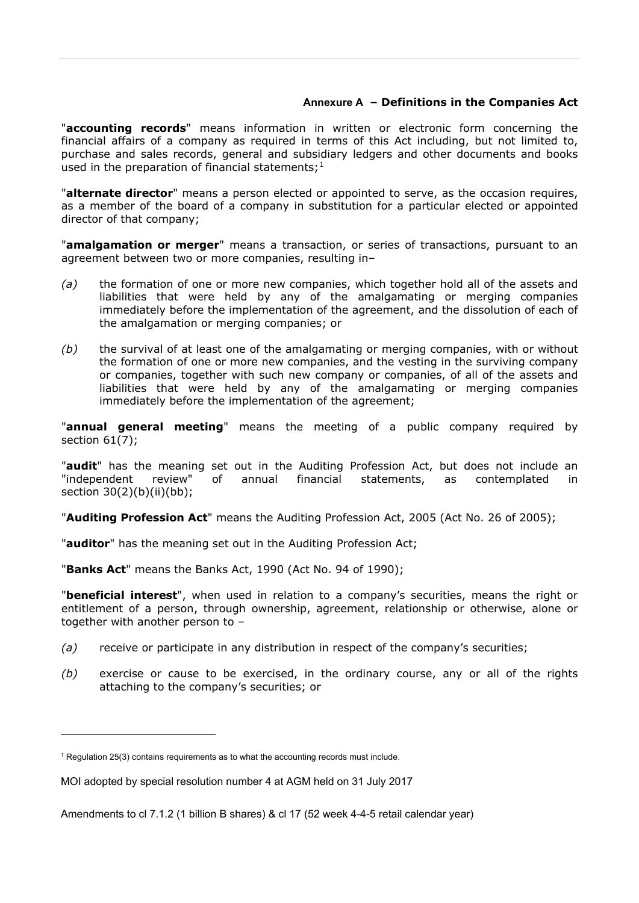## **Annexure A – Definitions in the Companies Act**

"**accounting records**" means information in written or electronic form concerning the financial affairs of a company as required in terms of this Act including, but not limited to, purchase and sales records, general and subsidiary ledgers and other documents and books used in the preparation of financial statements; $1$ 

"**alternate director**" means a person elected or appointed to serve, as the occasion requires, as a member of the board of a company in substitution for a particular elected or appointed director of that company;

"**amalgamation or merger**" means a transaction, or series of transactions, pursuant to an agreement between two or more companies, resulting in–

- *(a)* the formation of one or more new companies, which together hold all of the assets and liabilities that were held by any of the amalgamating or merging companies immediately before the implementation of the agreement, and the dissolution of each of the amalgamation or merging companies; or
- *(b)* the survival of at least one of the amalgamating or merging companies, with or without the formation of one or more new companies, and the vesting in the surviving company or companies, together with such new company or companies, of all of the assets and liabilities that were held by any of the amalgamating or merging companies immediately before the implementation of the agreement;

"**annual general meeting**" means the meeting of a public company required by section 61(7);

"**audit**" has the meaning set out in the Auditing Profession Act, but does not include an "independent review" of annual financial statements, as contemplated in section 30(2)(b)(ii)(bb);

"**Auditing Profession Act**" means the Auditing Profession Act, 2005 (Act No. 26 of 2005);

"**auditor**" has the meaning set out in the Auditing Profession Act;

"**Banks Act**" means the Banks Act, 1990 (Act No. 94 of 1990);

"**beneficial interest**", when used in relation to a company's securities, means the right or entitlement of a person, through ownership, agreement, relationship or otherwise, alone or together with another person to –

- *(a)* receive or participate in any distribution in respect of the company's securities;
- *(b)* exercise or cause to be exercised, in the ordinary course, any or all of the rights attaching to the company's securities; or

<span id="page-56-0"></span> $1$  Regulation 25(3) contains requirements as to what the accounting records must include.

MOI adopted by special resolution number 4 at AGM held on 31 July 2017

Amendments to cl 7.1.2 (1 billion B shares) & cl 17 (52 week 4-4-5 retail calendar year)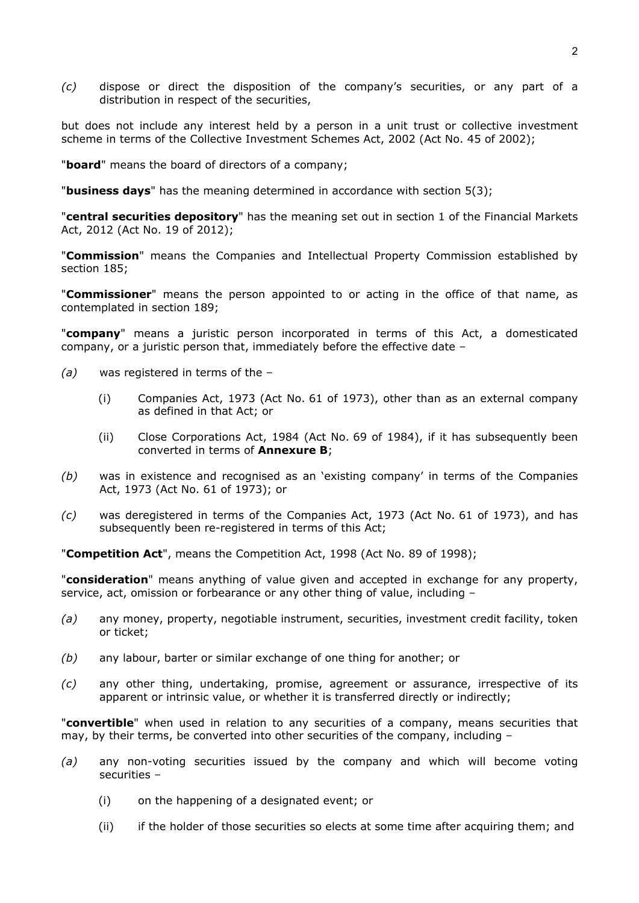*(c)* dispose or direct the disposition of the company's securities, or any part of a distribution in respect of the securities,

but does not include any interest held by a person in a unit trust or collective investment scheme in terms of the Collective Investment Schemes Act, 2002 (Act No. 45 of 2002);

"**board**" means the board of directors of a company;

"**business days**" has the meaning determined in accordance with section 5(3);

"**central securities depository**" has the meaning set out in section 1 of the Financial Markets Act, 2012 (Act No. 19 of 2012);

"**Commission**" means the Companies and Intellectual Property Commission established by section 185;

"**Commissioner**" means the person appointed to or acting in the office of that name, as contemplated in section 189;

"**company**" means a juristic person incorporated in terms of this Act, a domesticated company, or a juristic person that, immediately before the effective date –

- *(a)* was registered in terms of the
	- (i) Companies Act, 1973 (Act No. 61 of 1973), other than as an external company as defined in that Act; or
	- (ii) Close Corporations Act, 1984 (Act No. 69 of 1984), if it has subsequently been converted in terms of **[Annexure B](#page-63-0)**;
- *(b)* was in existence and recognised as an 'existing company' in terms of the Companies Act, 1973 (Act No. 61 of 1973); or
- *(c)* was deregistered in terms of the Companies Act, 1973 (Act No. 61 of 1973), and has subsequently been re-registered in terms of this Act;

"**Competition Act**", means the Competition Act, 1998 (Act No. 89 of 1998);

"**consideration**" means anything of value given and accepted in exchange for any property, service, act, omission or forbearance or any other thing of value, including –

- *(a)* any money, property, negotiable instrument, securities, investment credit facility, token or ticket;
- *(b)* any labour, barter or similar exchange of one thing for another; or
- *(c)* any other thing, undertaking, promise, agreement or assurance, irrespective of its apparent or intrinsic value, or whether it is transferred directly or indirectly;

"**convertible**" when used in relation to any securities of a company, means securities that may, by their terms, be converted into other securities of the company, including –

- *(a)* any non-voting securities issued by the company and which will become voting securities –
	- (i) on the happening of a designated event; or
	- (ii) if the holder of those securities so elects at some time after acquiring them; and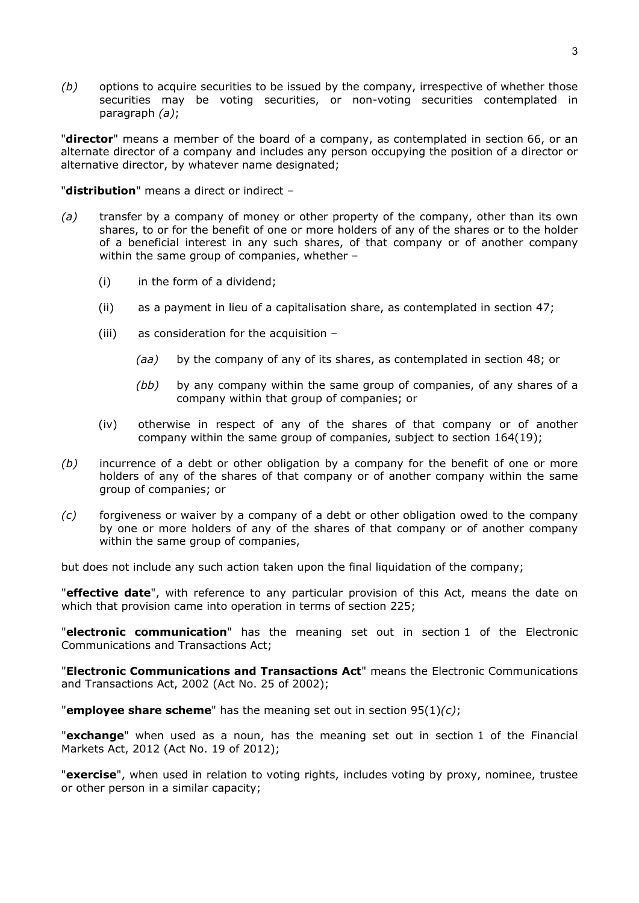*(b)* options to acquire securities to be issued by the company, irrespective of whether those securities may be voting securities, or non-voting securities contemplated in paragraph *(a)*;

"**director**" means a member of the board of a company, as contemplated in section 66, or an alternate director of a company and includes any person occupying the position of a director or alternative director, by whatever name designated;

"**distribution**" means a direct or indirect –

- *(a)* transfer by a company of money or other property of the company, other than its own shares, to or for the benefit of one or more holders of any of the shares or to the holder of a beneficial interest in any such shares, of that company or of another company within the same group of companies, whether –
	- (i) in the form of a dividend;
	- (ii) as a payment in lieu of a capitalisation share, as contemplated in section 47;
	- (iii) as consideration for the acquisition
		- *(aa)* by the company of any of its shares, as contemplated in section 48; or
		- *(bb)* by any company within the same group of companies, of any shares of a company within that group of companies; or
	- (iv) otherwise in respect of any of the shares of that company or of another company within the same group of companies, subject to section 164(19);
- *(b)* incurrence of a debt or other obligation by a company for the benefit of one or more holders of any of the shares of that company or of another company within the same group of companies; or
- *(c)* forgiveness or waiver by a company of a debt or other obligation owed to the company by one or more holders of any of the shares of that company or of another company within the same group of companies,

but does not include any such action taken upon the final liquidation of the company;

"**effective date**", with reference to any particular provision of this Act, means the date on which that provision came into operation in terms of section 225;

"**electronic communication**" has the meaning set out in section 1 of the Electronic Communications and Transactions Act;

"**Electronic Communications and Transactions Act**" means the Electronic Communications and Transactions Act, 2002 (Act No. 25 of 2002);

"**employee share scheme**" has the meaning set out in section 95(1)*(c)*;

"**exchange**" when used as a noun, has the meaning set out in section 1 of the Financial Markets Act, 2012 (Act No. 19 of 2012);

"**exercise**", when used in relation to voting rights, includes voting by proxy, nominee, trustee or other person in a similar capacity;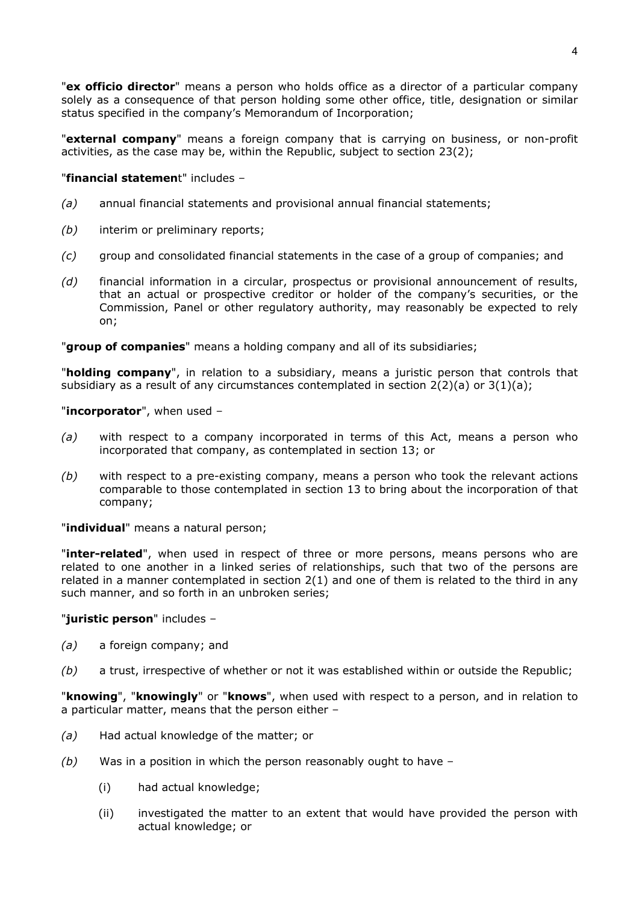"**ex officio director**" means a person who holds office as a director of a particular company solely as a consequence of that person holding some other office, title, designation or similar status specified in the company's Memorandum of Incorporation;

"**external company**" means a foreign company that is carrying on business, or non-profit activities, as the case may be, within the Republic, subject to section 23(2);

### "**financial statemen**t" includes –

- *(a)* annual financial statements and provisional annual financial statements;
- *(b)* interim or preliminary reports;
- *(c)* group and consolidated financial statements in the case of a group of companies; and
- *(d)* financial information in a circular, prospectus or provisional announcement of results, that an actual or prospective creditor or holder of the company's securities, or the Commission, Panel or other regulatory authority, may reasonably be expected to rely on;

"**group of companies**" means a holding company and all of its subsidiaries;

"**holding company**", in relation to a subsidiary, means a juristic person that controls that subsidiary as a result of any circumstances contemplated in section  $2(2)(a)$  or  $3(1)(a)$ ;

#### "**incorporator**", when used –

- *(a)* with respect to a company incorporated in terms of this Act, means a person who incorporated that company, as contemplated in section 13; or
- *(b)* with respect to a pre-existing company, means a person who took the relevant actions comparable to those contemplated in section 13 to bring about the incorporation of that company;

"**individual**" means a natural person;

"**inter-related**", when used in respect of three or more persons, means persons who are related to one another in a linked series of relationships, such that two of the persons are related in a manner contemplated in section 2(1) and one of them is related to the third in any such manner, and so forth in an unbroken series;

#### "**juristic person**" includes –

- *(a)* a foreign company; and
- *(b)* a trust, irrespective of whether or not it was established within or outside the Republic;

"**knowing**", "**knowingly**" or "**knows**", when used with respect to a person, and in relation to a particular matter, means that the person either –

- *(a)* Had actual knowledge of the matter; or
- *(b)* Was in a position in which the person reasonably ought to have
	- (i) had actual knowledge;
	- (ii) investigated the matter to an extent that would have provided the person with actual knowledge; or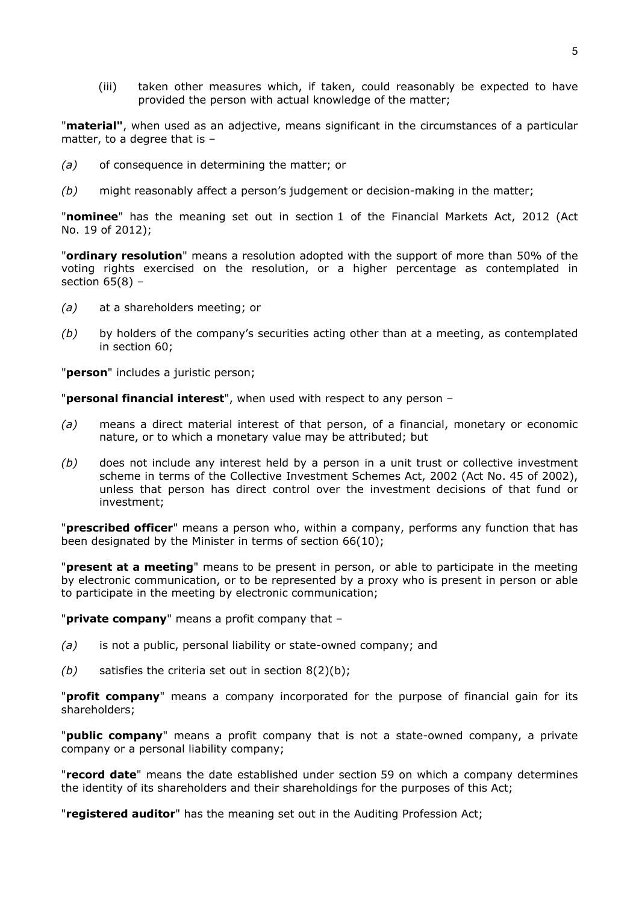(iii) taken other measures which, if taken, could reasonably be expected to have provided the person with actual knowledge of the matter;

"**material"**, when used as an adjective, means significant in the circumstances of a particular matter, to a degree that is –

- *(a)* of consequence in determining the matter; or
- *(b)* might reasonably affect a person's judgement or decision-making in the matter;

"**nominee**" has the meaning set out in section 1 of the Financial Markets Act, 2012 (Act No. 19 of 2012);

"**ordinary resolution**" means a resolution adopted with the support of more than 50% of the voting rights exercised on the resolution, or a higher percentage as contemplated in section  $65(8)$  –

- *(a)* at a shareholders meeting; or
- *(b)* by holders of the company's securities acting other than at a meeting, as contemplated in section 60;

"**person**" includes a juristic person;

"**personal financial interest**", when used with respect to any person –

- *(a)* means a direct material interest of that person, of a financial, monetary or economic nature, or to which a monetary value may be attributed; but
- *(b)* does not include any interest held by a person in a unit trust or collective investment scheme in terms of the Collective Investment Schemes Act, 2002 (Act No. 45 of 2002), unless that person has direct control over the investment decisions of that fund or investment;

"**prescribed officer**" means a person who, within a company, performs any function that has been designated by the Minister in terms of section 66(10);

"**present at a meeting**" means to be present in person, or able to participate in the meeting by electronic communication, or to be represented by a proxy who is present in person or able to participate in the meeting by electronic communication;

"**private company**" means a profit company that –

- *(a)* is not a public, personal liability or state-owned company; and
- *(b)* satisfies the criteria set out in section 8(2)(b);

"**profit company**" means a company incorporated for the purpose of financial gain for its shareholders;

"**public company**" means a profit company that is not a state-owned company, a private company or a personal liability company;

"**record date**" means the date established under section 59 on which a company determines the identity of its shareholders and their shareholdings for the purposes of this Act;

"**registered auditor**" has the meaning set out in the Auditing Profession Act;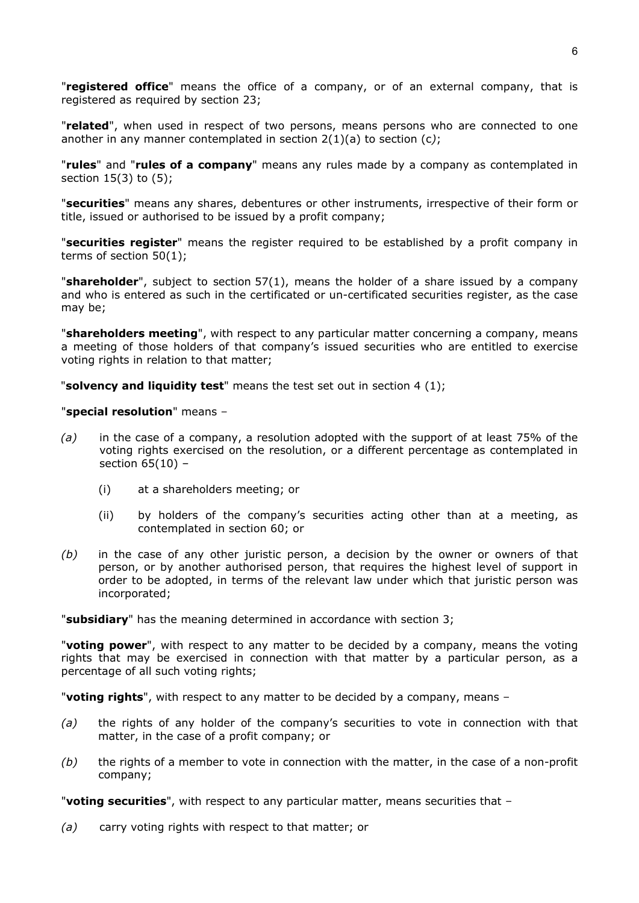"**registered office**" means the office of a company, or of an external company, that is registered as required by section 23;

"**related**", when used in respect of two persons, means persons who are connected to one another in any manner contemplated in section 2(1)(a) to section (c*)*;

"**rules**" and "**rules of a company**" means any rules made by a company as contemplated in section 15(3) to (5);

"**securities**" means any shares, debentures or other instruments, irrespective of their form or title, issued or authorised to be issued by a profit company;

"**securities register**" means the register required to be established by a profit company in terms of section 50(1);

"**shareholder**", subject to section 57(1), means the holder of a share issued by a company and who is entered as such in the certificated or un-certificated securities register, as the case may be;

"**shareholders meeting**", with respect to any particular matter concerning a company, means a meeting of those holders of that company's issued securities who are entitled to exercise voting rights in relation to that matter;

"**solvency and liquidity test**" means the test set out in [section 4](http://www.mylexisnexis.co.za/nxt/gateway.dll/jilc/kilc/egqg/30oib/40oib/80oib#g69) (1);

#### "**special resolution**" means –

- *(a)* in the case of a company, a resolution adopted with the support of at least 75% of the voting rights exercised on the resolution, or a different percentage as contemplated in section 65(10) –
	- (i) at a shareholders meeting; or
	- (ii) by holders of the company's securities acting other than at a meeting, as contemplated in section 60; or
- *(b)* in the case of any other juristic person, a decision by the owner or owners of that person, or by another authorised person, that requires the highest level of support in order to be adopted, in terms of the relevant law under which that juristic person was incorporated;

"**subsidiary**" has the meaning determined in accordance with section 3;

"**voting power**", with respect to any matter to be decided by a company, means the voting rights that may be exercised in connection with that matter by a particular person, as a percentage of all such voting rights;

"**voting rights**", with respect to any matter to be decided by a company, means –

- *(a)* the rights of any holder of the company's securities to vote in connection with that matter, in the case of a profit company; or
- *(b)* the rights of a member to vote in connection with the matter, in the case of a non-profit company;

"**voting securities**", with respect to any particular matter, means securities that –

*(a)* carry voting rights with respect to that matter; or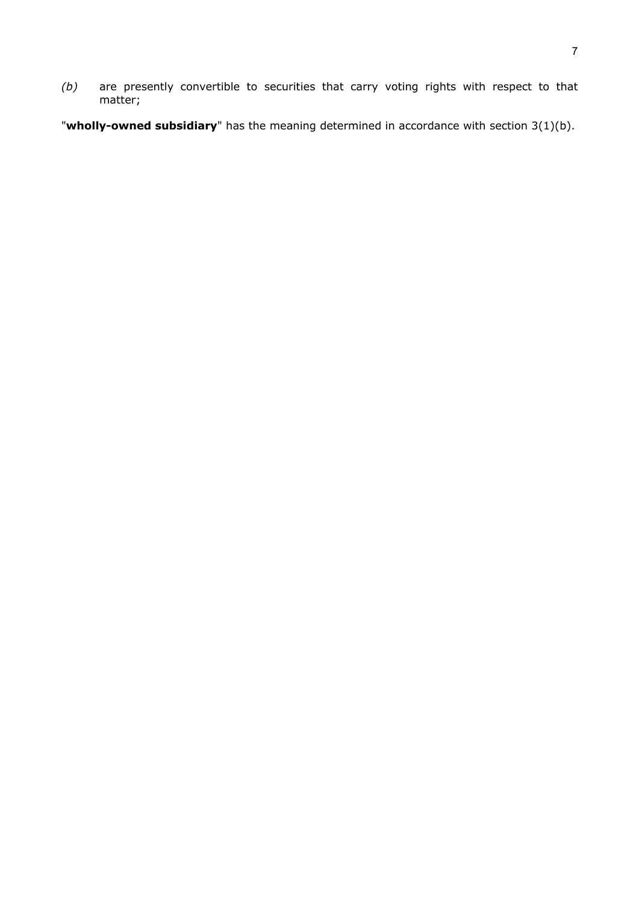*(b)* are presently convertible to securities that carry voting rights with respect to that matter;

"**wholly-owned subsidiary**" has the meaning determined in accordance with section 3(1)(b).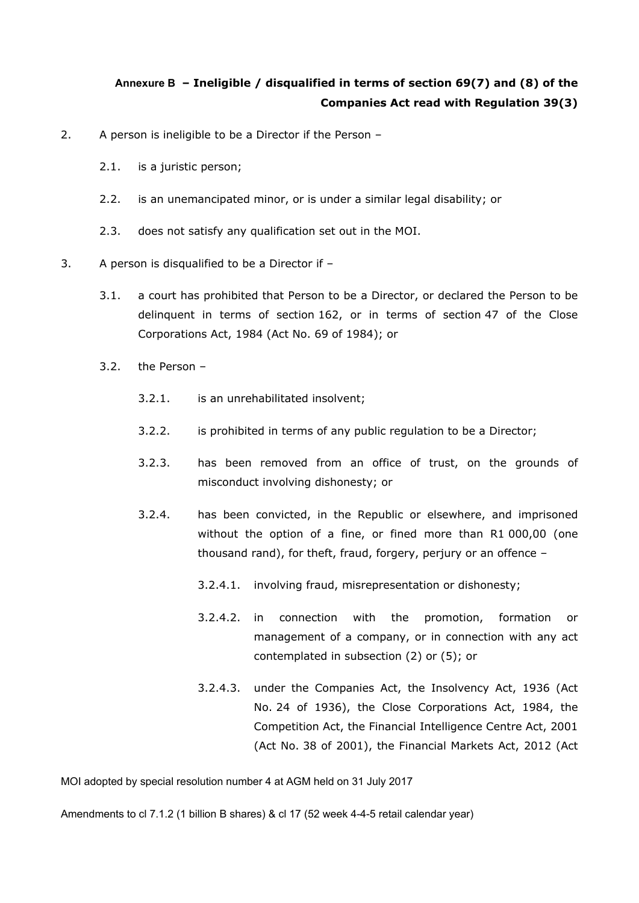# <span id="page-63-0"></span>**Annexure B – Ineligible / disqualified in terms of section 69(7) and (8) of the Companies Act read with Regulation 39(3)**

- 2. A person is ineligible to be a Director if the Person
	- 2.1. is a juristic person;
	- 2.2. is an unemancipated minor, or is under a similar legal disability; or
	- 2.3. does not satisfy any qualification set out in the MOI.
- 3. A person is disqualified to be a Director if
	- 3.1. a court has prohibited that Person to be a Director, or declared the Person to be delinquent in terms of section 162, or in terms of section 47 of the Close Corporations Act, 1984 (Act No. 69 of 1984); or
	- 3.2. the Person
		- 3.2.1. is an unrehabilitated insolvent;
		- 3.2.2. is prohibited in terms of any public regulation to be a Director;
		- 3.2.3. has been removed from an office of trust, on the grounds of misconduct involving dishonesty; or
		- 3.2.4. has been convicted, in the Republic or elsewhere, and imprisoned without the option of a fine, or fined more than R1 000,00 (one thousand rand), for theft, fraud, forgery, perjury or an offence –
			- 3.2.4.1. involving fraud, misrepresentation or dishonesty;
			- 3.2.4.2. in connection with the promotion, formation or management of a company, or in connection with any act contemplated in subsection (2) or (5); or
			- 3.2.4.3. under the Companies Act, the Insolvency Act, 1936 (Act No. 24 of 1936), the Close Corporations Act, 1984, the Competition Act, the Financial Intelligence Centre Act, 2001 (Act No. 38 of 2001), the Financial Markets Act, 2012 (Act

MOI adopted by special resolution number 4 at AGM held on 31 July 2017

Amendments to cl 7.1.2 (1 billion B shares) & cl 17 (52 week 4-4-5 retail calendar year)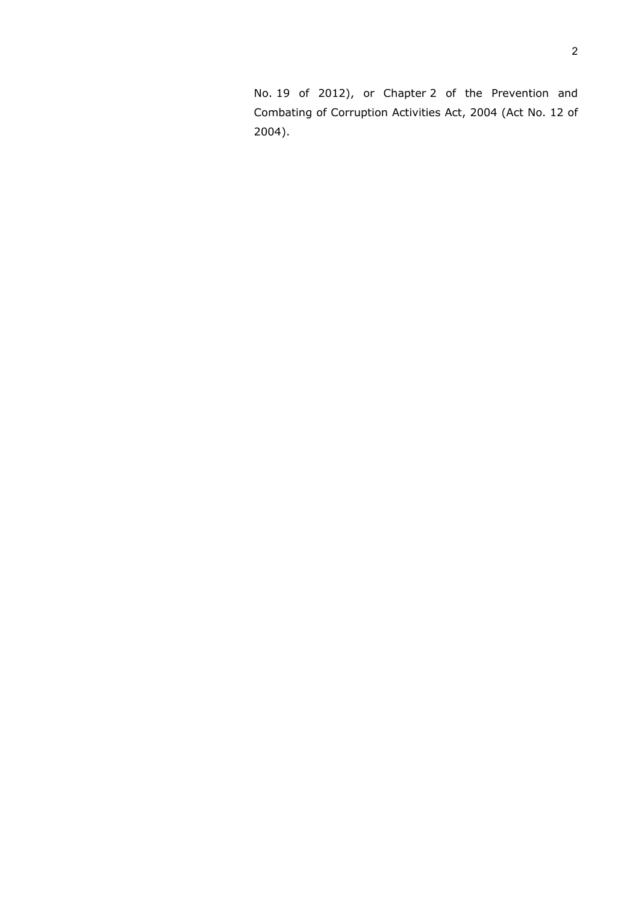No. 19 of 2012), or Chapter 2 of the Prevention and Combating of Corruption Activities Act, 2004 (Act No. 12 of 2004).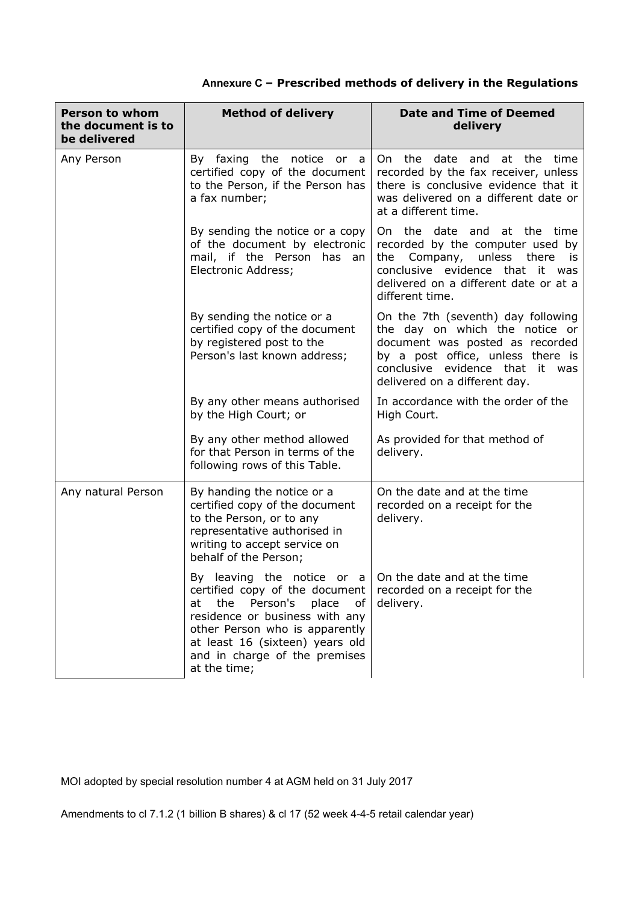| Annexure C - Prescribed methods of delivery in the Regulations |  |  |
|----------------------------------------------------------------|--|--|
|----------------------------------------------------------------|--|--|

| <b>Person to whom</b><br>the document is to<br>be delivered | <b>Method of delivery</b>                                                                                                                                                                                                                                                                                                      | <b>Date and Time of Deemed</b><br>delivery                                                                                                                                                                          |
|-------------------------------------------------------------|--------------------------------------------------------------------------------------------------------------------------------------------------------------------------------------------------------------------------------------------------------------------------------------------------------------------------------|---------------------------------------------------------------------------------------------------------------------------------------------------------------------------------------------------------------------|
| Any Person                                                  | By faxing the notice or<br>a a<br>certified copy of the document<br>to the Person, if the Person has<br>a fax number;                                                                                                                                                                                                          | On the<br>date and at the time<br>recorded by the fax receiver, unless<br>there is conclusive evidence that it<br>was delivered on a different date or<br>at a different time.                                      |
|                                                             | By sending the notice or a copy<br>of the document by electronic<br>mail, if the Person has an<br>Electronic Address;                                                                                                                                                                                                          | On the date and at the time<br>recorded by the computer used by<br>the Company, unless there is<br>conclusive evidence that it was<br>delivered on a different date or at a<br>different time.                      |
|                                                             | By sending the notice or a<br>certified copy of the document<br>by registered post to the<br>Person's last known address;                                                                                                                                                                                                      | On the 7th (seventh) day following<br>the day on which the notice or<br>document was posted as recorded<br>by a post office, unless there is<br>conclusive evidence that<br>it was<br>delivered on a different day. |
|                                                             | By any other means authorised<br>by the High Court; or                                                                                                                                                                                                                                                                         | In accordance with the order of the<br>High Court.                                                                                                                                                                  |
|                                                             | By any other method allowed<br>for that Person in terms of the<br>following rows of this Table.                                                                                                                                                                                                                                | As provided for that method of<br>delivery.                                                                                                                                                                         |
| Any natural Person                                          | By handing the notice or a<br>certified copy of the document<br>to the Person, or to any<br>representative authorised in<br>writing to accept service on<br>behalf of the Person;                                                                                                                                              | On the date and at the time<br>recorded on a receipt for the<br>delivery.                                                                                                                                           |
|                                                             | By leaving the notice or $a \mid 0n$ the date and at the time<br>certified copy of the document $ $ recorded on a receipt for the<br>Person's place<br>the<br>at<br>of<br>residence or business with any<br>other Person who is apparently<br>at least 16 (sixteen) years old<br>and in charge of the premises<br>at the time; | delivery.                                                                                                                                                                                                           |

MOI adopted by special resolution number 4 at AGM held on 31 July 2017

Amendments to cl 7.1.2 (1 billion B shares) & cl 17 (52 week 4-4-5 retail calendar year)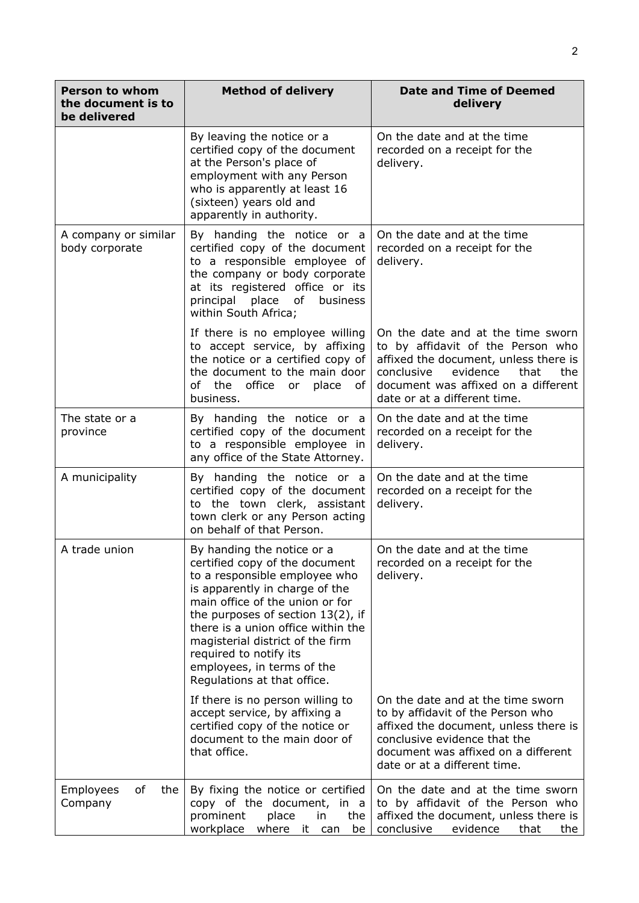| <b>Person to whom</b><br>the document is to<br>be delivered | <b>Method of delivery</b>                                                                                                                                                                                                                                                                                                                                                   | <b>Date and Time of Deemed</b><br>delivery                                                                                                                                                                                      |
|-------------------------------------------------------------|-----------------------------------------------------------------------------------------------------------------------------------------------------------------------------------------------------------------------------------------------------------------------------------------------------------------------------------------------------------------------------|---------------------------------------------------------------------------------------------------------------------------------------------------------------------------------------------------------------------------------|
|                                                             | By leaving the notice or a<br>certified copy of the document<br>at the Person's place of<br>employment with any Person<br>who is apparently at least 16<br>(sixteen) years old and<br>apparently in authority.                                                                                                                                                              | On the date and at the time<br>recorded on a receipt for the<br>delivery.                                                                                                                                                       |
| A company or similar<br>body corporate                      | By handing the notice or a<br>certified copy of the document<br>to a responsible employee of<br>the company or body corporate<br>at its registered office or its<br>place<br>of<br>principal<br>business<br>within South Africa;                                                                                                                                            | On the date and at the time<br>recorded on a receipt for the<br>delivery.                                                                                                                                                       |
|                                                             | If there is no employee willing<br>to accept service, by affixing<br>the notice or a certified copy of<br>the document to the main door<br>of the office or place<br>of<br>business.                                                                                                                                                                                        | On the date and at the time sworn<br>to by affidavit of the Person who<br>affixed the document, unless there is<br>conclusive<br>evidence<br>that<br>the<br>document was affixed on a different<br>date or at a different time. |
| The state or a<br>province                                  | By handing the notice or a<br>certified copy of the document<br>to a responsible employee in<br>any office of the State Attorney.                                                                                                                                                                                                                                           | On the date and at the time<br>recorded on a receipt for the<br>delivery.                                                                                                                                                       |
| A municipality                                              | By handing the notice or a<br>certified copy of the document<br>to the town clerk, assistant<br>town clerk or any Person acting<br>on behalf of that Person.                                                                                                                                                                                                                | On the date and at the time<br>recorded on a receipt for the<br>delivery.                                                                                                                                                       |
| A trade union                                               | By handing the notice or a<br>certified copy of the document<br>to a responsible employee who<br>is apparently in charge of the<br>main office of the union or for<br>the purposes of section $13(2)$ , if<br>there is a union office within the<br>magisterial district of the firm<br>required to notify its<br>employees, in terms of the<br>Regulations at that office. | On the date and at the time<br>recorded on a receipt for the<br>delivery.                                                                                                                                                       |
|                                                             | If there is no person willing to<br>accept service, by affixing a<br>certified copy of the notice or<br>document to the main door of<br>that office.                                                                                                                                                                                                                        | On the date and at the time sworn<br>to by affidavit of the Person who<br>affixed the document, unless there is<br>conclusive evidence that the<br>document was affixed on a different<br>date or at a different time.          |
| Employees<br>of<br>the<br>Company                           | By fixing the notice or certified<br>copy of the document, in a<br>prominent<br>place<br>the<br>in.<br>workplace<br>where it can<br>be                                                                                                                                                                                                                                      | On the date and at the time sworn<br>to by affidavit of the Person who<br>affixed the document, unless there is<br>conclusive<br>evidence<br>that<br>the                                                                        |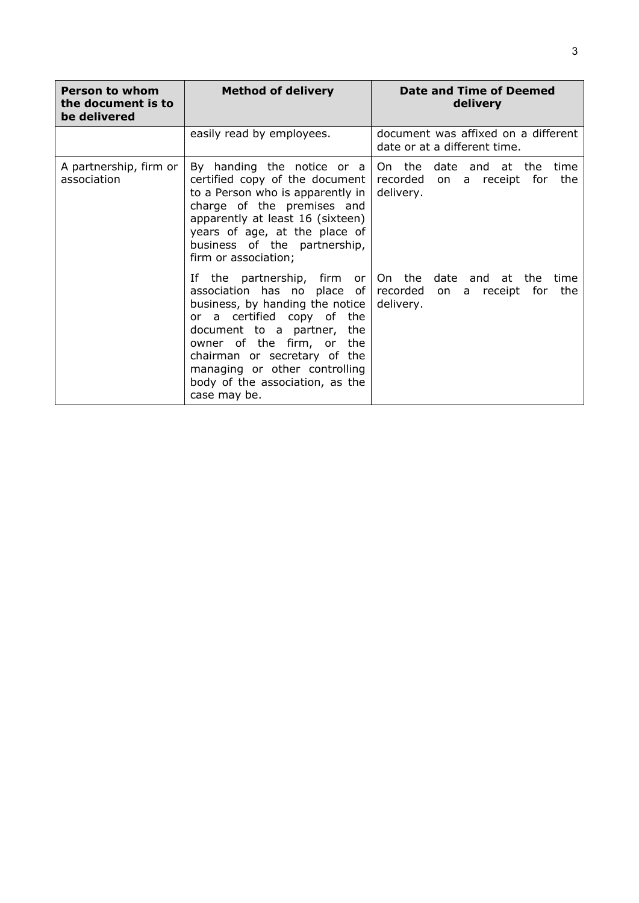| <b>Person to whom</b><br>the document is to<br>be delivered | <b>Method of delivery</b>                                                                                                                                                                                                                                                               | Date and Time of Deemed<br>delivery                                                              |
|-------------------------------------------------------------|-----------------------------------------------------------------------------------------------------------------------------------------------------------------------------------------------------------------------------------------------------------------------------------------|--------------------------------------------------------------------------------------------------|
|                                                             | easily read by employees.                                                                                                                                                                                                                                                               | document was affixed on a different<br>date or at a different time.                              |
| A partnership, firm or<br>association                       | By handing the notice or a<br>certified copy of the document<br>to a Person who is apparently in<br>charge of the premises and<br>apparently at least 16 (sixteen)<br>years of age, at the place of<br>business of the partnership,<br>firm or association;                             | On the date and at the time<br>recorded on a receipt for<br>the<br>delivery.                     |
|                                                             | association has no place of recorded on<br>business, by handing the notice<br>or a certified copy of the<br>document to a partner, the<br>owner of the firm, or the<br>chairman or secretary of the<br>managing or other controlling<br>body of the association, as the<br>case may be. | If the partnership, firm or $ $ On the date and at the time<br>a receipt for<br>the<br>delivery. |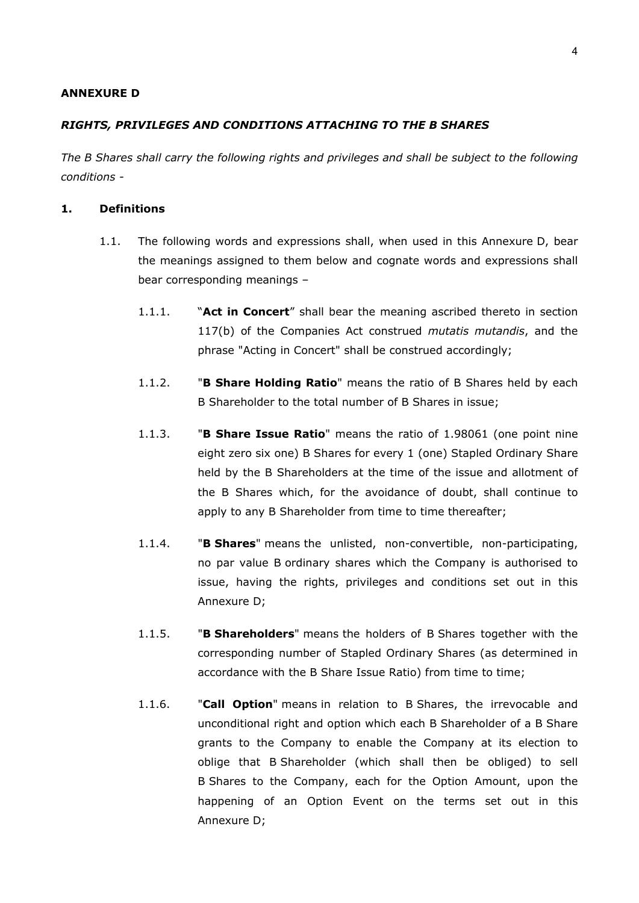#### **ANNEXURE D**

### *RIGHTS, PRIVILEGES AND CONDITIONS ATTACHING TO THE B SHARES*

*The B Shares shall carry the following rights and privileges and shall be subject to the following conditions -*

## **1. Definitions**

- 1.1. The following words and expressions shall, when used in this Annexure D, bear the meanings assigned to them below and cognate words and expressions shall bear corresponding meanings –
	- 1.1.1. "**Act in Concert**" shall bear the meaning ascribed thereto in section 117(b) of the Companies Act construed *mutatis mutandis*, and the phrase "Acting in Concert" shall be construed accordingly;
	- 1.1.2. "**B Share Holding Ratio**" means the ratio of B Shares held by each B Shareholder to the total number of B Shares in issue;
	- 1.1.3. "**B Share Issue Ratio**" means the ratio of 1.98061 (one point nine eight zero six one) B Shares for every 1 (one) Stapled Ordinary Share held by the B Shareholders at the time of the issue and allotment of the B Shares which, for the avoidance of doubt, shall continue to apply to any B Shareholder from time to time thereafter;
	- 1.1.4. "**B Shares**" means the unlisted, non-convertible, non-participating, no par value B ordinary shares which the Company is authorised to issue, having the rights, privileges and conditions set out in this Annexure D;
	- 1.1.5. "**B Shareholders**" means the holders of B Shares together with the corresponding number of Stapled Ordinary Shares (as determined in accordance with the B Share Issue Ratio) from time to time;
	- 1.1.6. "**Call Option**" means in relation to B Shares, the irrevocable and unconditional right and option which each B Shareholder of a B Share grants to the Company to enable the Company at its election to oblige that B Shareholder (which shall then be obliged) to sell B Shares to the Company, each for the Option Amount, upon the happening of an Option Event on the terms set out in this Annexure D;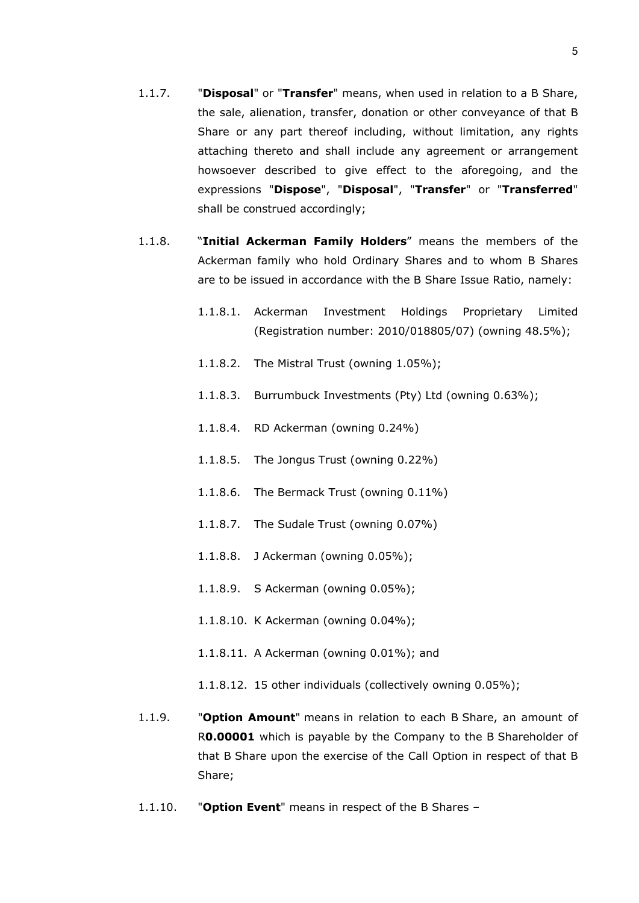- 1.1.7. "**Disposal**" or "**Transfer**" means, when used in relation to a B Share, the sale, alienation, transfer, donation or other conveyance of that B Share or any part thereof including, without limitation, any rights attaching thereto and shall include any agreement or arrangement howsoever described to give effect to the aforegoing, and the expressions "**Dispose**", "**Disposal**", "**Transfer**" or "**Transferred**" shall be construed accordingly;
- 1.1.8. "**Initial Ackerman Family Holders**" means the members of the Ackerman family who hold Ordinary Shares and to whom B Shares are to be issued in accordance with the B Share Issue Ratio, namely:
	- 1.1.8.1. Ackerman Investment Holdings Proprietary Limited (Registration number: 2010/018805/07) (owning 48.5%);
	- 1.1.8.2. The Mistral Trust (owning 1.05%);
	- 1.1.8.3. Burrumbuck Investments (Pty) Ltd (owning 0.63%);
	- 1.1.8.4. RD Ackerman (owning 0.24%)
	- 1.1.8.5. The Jongus Trust (owning 0.22%)
	- 1.1.8.6. The Bermack Trust (owning 0.11%)
	- 1.1.8.7. The Sudale Trust (owning 0.07%)
	- 1.1.8.8. J Ackerman (owning 0.05%);
	- 1.1.8.9. S Ackerman (owning 0.05%);
	- 1.1.8.10. K Ackerman (owning 0.04%);
	- 1.1.8.11. A Ackerman (owning 0.01%); and
	- 1.1.8.12. 15 other individuals (collectively owning 0.05%);
- 1.1.9. "**Option Amount**" means in relation to each B Share, an amount of R**0.00001** which is payable by the Company to the B Shareholder of that B Share upon the exercise of the Call Option in respect of that B Share;
- 1.1.10. "**Option Event**" means in respect of the B Shares –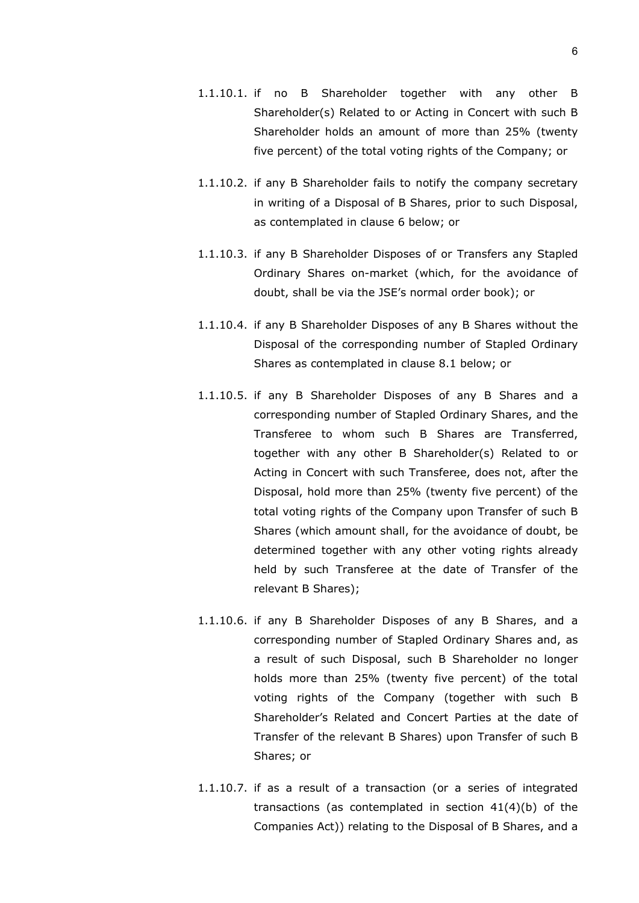- 1.1.10.1. if no B Shareholder together with any other B Shareholder(s) Related to or Acting in Concert with such B Shareholder holds an amount of more than 25% (twenty five percent) of the total voting rights of the Company; or
- 1.1.10.2. if any B Shareholder fails to notify the company secretary in writing of a Disposal of B Shares, prior to such Disposal, as contemplated in clause [6](#page-73-0) below; or
- 1.1.10.3. if any B Shareholder Disposes of or Transfers any Stapled Ordinary Shares on-market (which, for the avoidance of doubt, shall be via the JSE's normal order book); or
- 1.1.10.4. if any B Shareholder Disposes of any B Shares without the Disposal of the corresponding number of Stapled Ordinary Shares as contemplated in clause [8.1](#page-76-0) below; or
- 1.1.10.5. if any B Shareholder Disposes of any B Shares and a corresponding number of Stapled Ordinary Shares, and the Transferee to whom such B Shares are Transferred, together with any other B Shareholder(s) Related to or Acting in Concert with such Transferee, does not, after the Disposal, hold more than 25% (twenty five percent) of the total voting rights of the Company upon Transfer of such B Shares (which amount shall, for the avoidance of doubt, be determined together with any other voting rights already held by such Transferee at the date of Transfer of the relevant B Shares);
- 1.1.10.6. if any B Shareholder Disposes of any B Shares, and a corresponding number of Stapled Ordinary Shares and, as a result of such Disposal, such B Shareholder no longer holds more than 25% (twenty five percent) of the total voting rights of the Company (together with such B Shareholder's Related and Concert Parties at the date of Transfer of the relevant B Shares) upon Transfer of such B Shares; or
- 1.1.10.7. if as a result of a transaction (or a series of integrated transactions (as contemplated in section 41(4)(b) of the Companies Act)) relating to the Disposal of B Shares, and a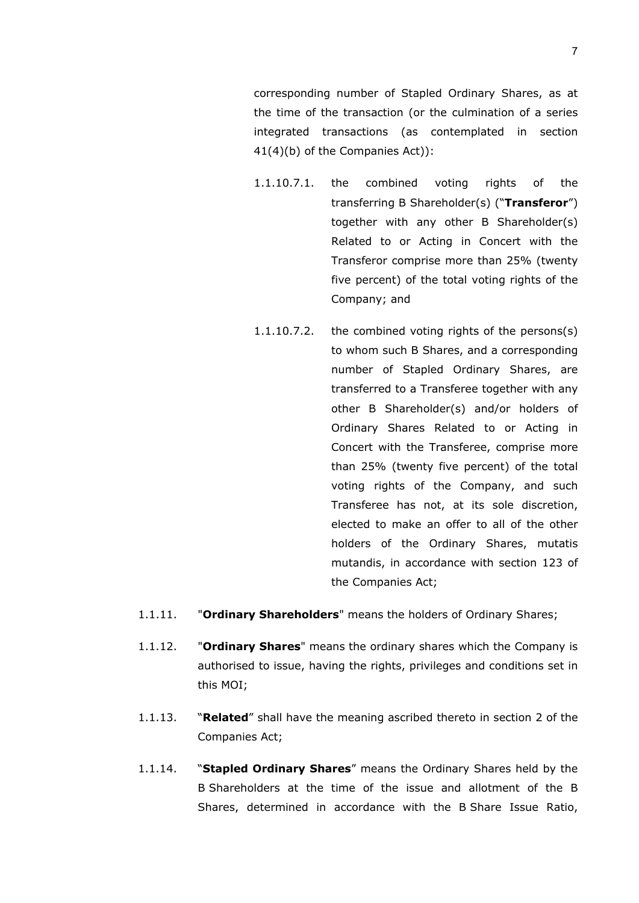corresponding number of Stapled Ordinary Shares, as at the time of the transaction (or the culmination of a series integrated transactions (as contemplated in section 41(4)(b) of the Companies Act)):

- 1.1.10.7.1. the combined voting rights of the transferring B Shareholder(s) ("**Transferor**") together with any other B Shareholder(s) Related to or Acting in Concert with the Transferor comprise more than 25% (twenty five percent) of the total voting rights of the Company; and
- 1.1.10.7.2. the combined voting rights of the persons(s) to whom such B Shares, and a corresponding number of Stapled Ordinary Shares, are transferred to a Transferee together with any other B Shareholder(s) and/or holders of Ordinary Shares Related to or Acting in Concert with the Transferee, comprise more than 25% (twenty five percent) of the total voting rights of the Company, and such Transferee has not, at its sole discretion, elected to make an offer to all of the other holders of the Ordinary Shares, mutatis mutandis, in accordance with section 123 of the Companies Act;
- 1.1.11. "**Ordinary Shareholders**" means the holders of Ordinary Shares;
- 1.1.12. "**Ordinary Shares**" means the ordinary shares which the Company is authorised to issue, having the rights, privileges and conditions set in this MOI;
- 1.1.13. "**Related**" shall have the meaning ascribed thereto in section 2 of the Companies Act;
- 1.1.14. "**Stapled Ordinary Shares**" means the Ordinary Shares held by the B Shareholders at the time of the issue and allotment of the B Shares, determined in accordance with the B Share Issue Ratio,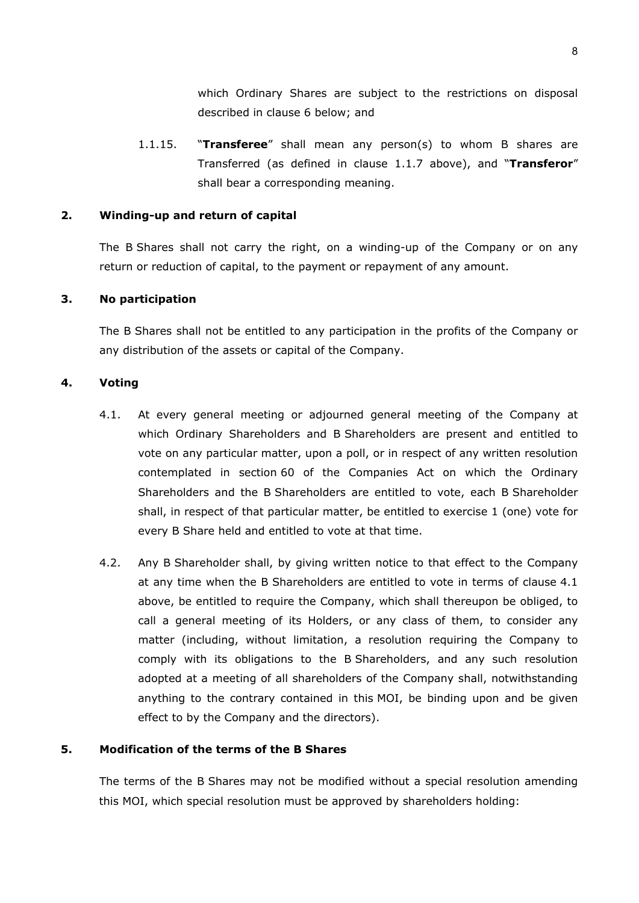which Ordinary Shares are subject to the restrictions on disposal described in clause [6](#page-73-0) below; and

1.1.15. "**Transferee**" shall mean any person(s) to whom B shares are Transferred (as defined in clause [1.1.7](#page-69-0) above), and "**Transferor**" shall bear a corresponding meaning.

#### **2. Winding-up and return of capital**

The B Shares shall not carry the right, on a winding-up of the Company or on any return or reduction of capital, to the payment or repayment of any amount.

### **3. No participation**

The B Shares shall not be entitled to any participation in the profits of the Company or any distribution of the assets or capital of the Company.

### <span id="page-72-0"></span>**4. Voting**

- 4.1. At every general meeting or adjourned general meeting of the Company at which Ordinary Shareholders and B Shareholders are present and entitled to vote on any particular matter, upon a poll, or in respect of any written resolution contemplated in section 60 of the Companies Act on which the Ordinary Shareholders and the B Shareholders are entitled to vote, each B Shareholder shall, in respect of that particular matter, be entitled to exercise 1 (one) vote for every B Share held and entitled to vote at that time.
- 4.2. Any B Shareholder shall, by giving written notice to that effect to the Company at any time when the B Shareholders are entitled to vote in terms of clause [4.1](#page-72-0) above, be entitled to require the Company, which shall thereupon be obliged, to call a general meeting of its Holders, or any class of them, to consider any matter (including, without limitation, a resolution requiring the Company to comply with its obligations to the B Shareholders, and any such resolution adopted at a meeting of all shareholders of the Company shall, notwithstanding anything to the contrary contained in this MOI, be binding upon and be given effect to by the Company and the directors).

## **5. Modification of the terms of the B Shares**

The terms of the B Shares may not be modified without a special resolution amending this MOI, which special resolution must be approved by shareholders holding: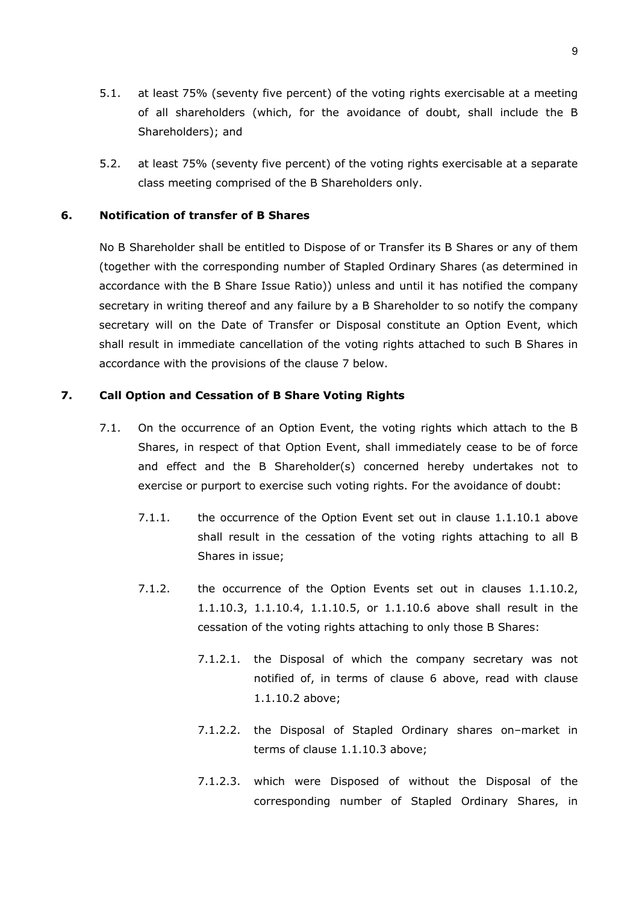- 5.1. at least 75% (seventy five percent) of the voting rights exercisable at a meeting of all shareholders (which, for the avoidance of doubt, shall include the B Shareholders); and
- 5.2. at least 75% (seventy five percent) of the voting rights exercisable at a separate class meeting comprised of the B Shareholders only.

## <span id="page-73-0"></span>**6. Notification of transfer of B Shares**

No B Shareholder shall be entitled to Dispose of or Transfer its B Shares or any of them (together with the corresponding number of Stapled Ordinary Shares (as determined in accordance with the B Share Issue Ratio)) unless and until it has notified the company secretary in writing thereof and any failure by a B Shareholder to so notify the company secretary will on the Date of Transfer or Disposal constitute an Option Event, which shall result in immediate cancellation of the voting rights attached to such B Shares in accordance with the provisions of the clause [7](#page-73-1) below.

# <span id="page-73-2"></span><span id="page-73-1"></span>**7. Call Option and Cessation of B Share Voting Rights**

- 7.1. On the occurrence of an Option Event, the voting rights which attach to the B Shares, in respect of that Option Event, shall immediately cease to be of force and effect and the B Shareholder(s) concerned hereby undertakes not to exercise or purport to exercise such voting rights. For the avoidance of doubt:
	- 7.1.1. the occurrence of the Option Event set out in clause [1.1.10.1](#page-70-0) above shall result in the cessation of the voting rights attaching to all B Shares in issue;
	- 7.1.2. the occurrence of the Option Events set out in clauses [1.1.10.2,](#page-70-1) [1.1.10.3,](#page-70-2) [1.1.10.4,](#page-70-3) [1.1.10.5,](#page-70-4) or [1.1.10.6](#page-70-5) above shall result in the cessation of the voting rights attaching to only those B Shares:
		- 7.1.2.1. the Disposal of which the company secretary was not notified of, in terms of clause [6](#page-73-0) above, read with clause [1.1.10.2](#page-70-1) above;
		- 7.1.2.2. the Disposal of Stapled Ordinary shares on–market in terms of clause [1.1.10.3](#page-70-2) above;
		- 7.1.2.3. which were Disposed of without the Disposal of the corresponding number of Stapled Ordinary Shares, in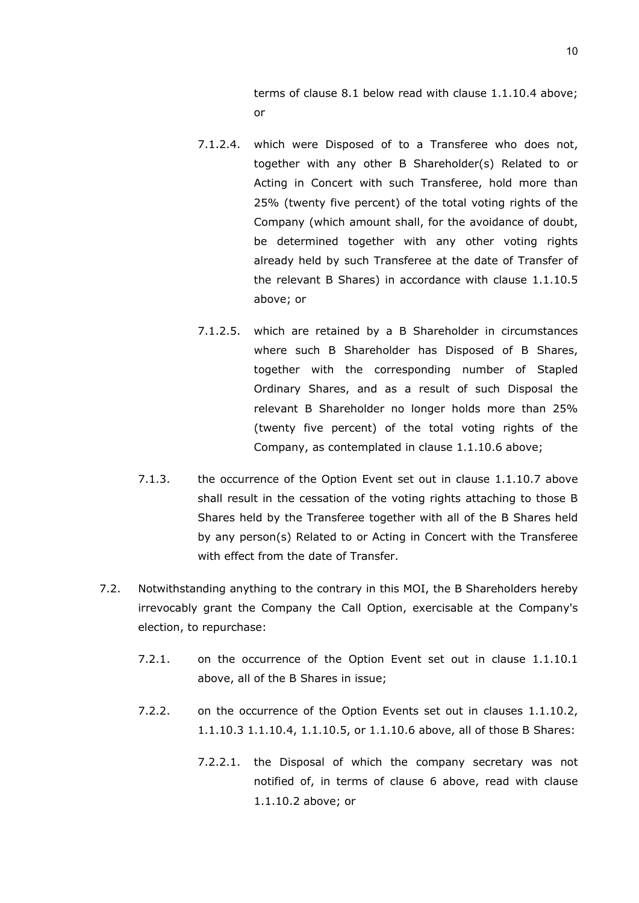terms of clause [8.1](#page-76-0) below read with clause [1.1.10.4](#page-70-3) above; or

- 7.1.2.4. which were Disposed of to a Transferee who does not, together with any other B Shareholder(s) Related to or Acting in Concert with such Transferee, hold more than 25% (twenty five percent) of the total voting rights of the Company (which amount shall, for the avoidance of doubt, be determined together with any other voting rights already held by such Transferee at the date of Transfer of the relevant B Shares) in accordance with clause [1.1.10.5](#page-70-4) above; or
- 7.1.2.5. which are retained by a B Shareholder in circumstances where such B Shareholder has Disposed of B Shares, together with the corresponding number of Stapled Ordinary Shares, and as a result of such Disposal the relevant B Shareholder no longer holds more than 25% (twenty five percent) of the total voting rights of the Company, as contemplated in clause [1.1.10.6](#page-70-5) above;
- 7.1.3. the occurrence of the Option Event set out in clause [1.1.10.7](#page-70-6) above shall result in the cessation of the voting rights attaching to those B Shares held by the Transferee together with all of the B Shares held by any person(s) Related to or Acting in Concert with the Transferee with effect from the date of Transfer.
- <span id="page-74-0"></span>7.2. Notwithstanding anything to the contrary in this MOI, the B Shareholders hereby irrevocably grant the Company the Call Option, exercisable at the Company's election, to repurchase:
	- 7.2.1. on the occurrence of the Option Event set out in clause [1.1.10.1](#page-70-0) above, all of the B Shares in issue;
	- 7.2.2. on the occurrence of the Option Events set out in clauses [1.1.10.2,](#page-70-1) [1.1.10.3](#page-70-2) [1.1.10.4,](#page-70-3) [1.1.10.5,](#page-70-4) or [1.1.10.6](#page-70-5) above, all of those B Shares:
		- 7.2.2.1. the Disposal of which the company secretary was not notified of, in terms of clause [6](#page-73-0) above, read with clause [1.1.10.2](#page-70-1) above; or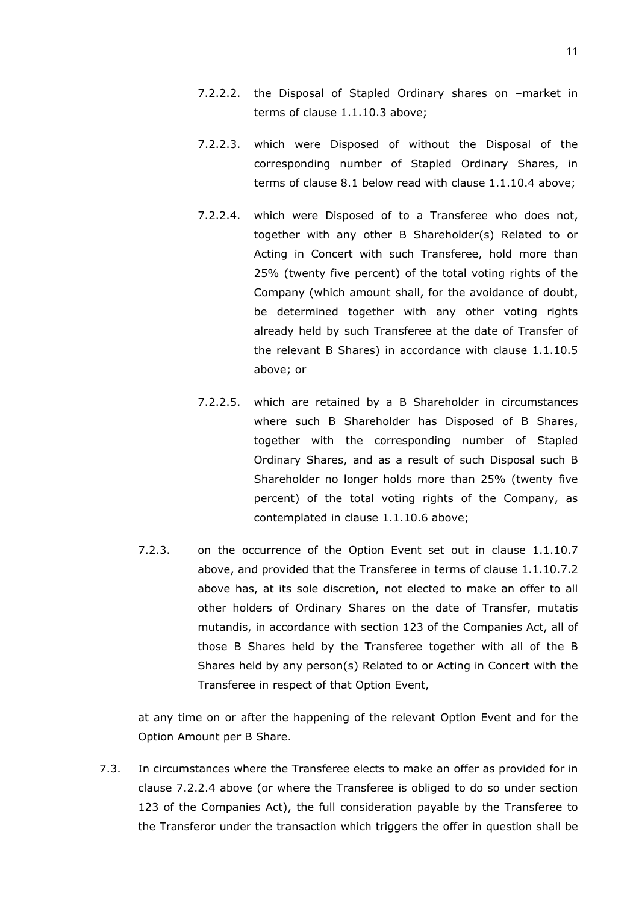- 7.2.2.2. the Disposal of Stapled Ordinary shares on –market in terms of clause [1.1.10.3](#page-70-2) above;
- 7.2.2.3. which were Disposed of without the Disposal of the corresponding number of Stapled Ordinary Shares, in terms of clause [8.1](#page-76-0) below read with clause [1.1.10.4](#page-70-3) above;
- <span id="page-75-0"></span>7.2.2.4. which were Disposed of to a Transferee who does not, together with any other B Shareholder(s) Related to or Acting in Concert with such Transferee, hold more than 25% (twenty five percent) of the total voting rights of the Company (which amount shall, for the avoidance of doubt, be determined together with any other voting rights already held by such Transferee at the date of Transfer of the relevant B Shares) in accordance with clause [1.1.10.5](#page-70-4) above; or
- 7.2.2.5. which are retained by a B Shareholder in circumstances where such B Shareholder has Disposed of B Shares, together with the corresponding number of Stapled Ordinary Shares, and as a result of such Disposal such B Shareholder no longer holds more than 25% (twenty five percent) of the total voting rights of the Company, as contemplated in clause [1.1.10.6](#page-70-5) above;
- 7.2.3. on the occurrence of the Option Event set out in clause [1.1.10.7](#page-70-6) above, and provided that the Transferee in terms of clause [1.1.10.7.2](#page-71-0) above has, at its sole discretion, not elected to make an offer to all other holders of Ordinary Shares on the date of Transfer, mutatis mutandis, in accordance with section 123 of the Companies Act, all of those B Shares held by the Transferee together with all of the B Shares held by any person(s) Related to or Acting in Concert with the Transferee in respect of that Option Event,

at any time on or after the happening of the relevant Option Event and for the Option Amount per B Share.

7.3. In circumstances where the Transferee elects to make an offer as provided for in clause [7.2.2.4](#page-75-0) above (or where the Transferee is obliged to do so under section 123 of the Companies Act), the full consideration payable by the Transferee to the Transferor under the transaction which triggers the offer in question shall be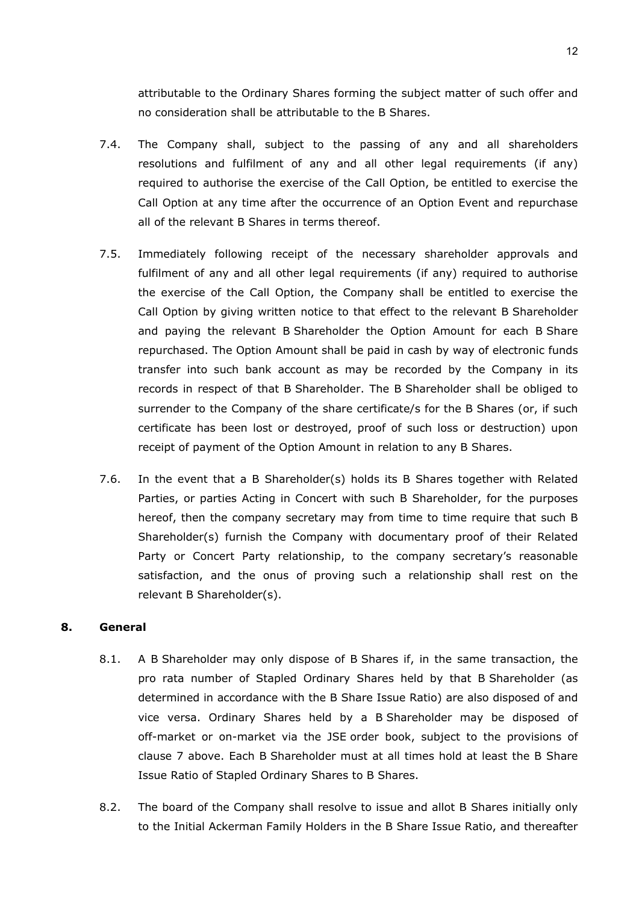attributable to the Ordinary Shares forming the subject matter of such offer and no consideration shall be attributable to the B Shares.

- 7.4. The Company shall, subject to the passing of any and all shareholders resolutions and fulfilment of any and all other legal requirements (if any) required to authorise the exercise of the Call Option, be entitled to exercise the Call Option at any time after the occurrence of an Option Event and repurchase all of the relevant B Shares in terms thereof.
- 7.5. Immediately following receipt of the necessary shareholder approvals and fulfilment of any and all other legal requirements (if any) required to authorise the exercise of the Call Option, the Company shall be entitled to exercise the Call Option by giving written notice to that effect to the relevant B Shareholder and paying the relevant B Shareholder the Option Amount for each B Share repurchased. The Option Amount shall be paid in cash by way of electronic funds transfer into such bank account as may be recorded by the Company in its records in respect of that B Shareholder. The B Shareholder shall be obliged to surrender to the Company of the share certificate/s for the B Shares (or, if such certificate has been lost or destroyed, proof of such loss or destruction) upon receipt of payment of the Option Amount in relation to any B Shares.
- 7.6. In the event that a B Shareholder(s) holds its B Shares together with Related Parties, or parties Acting in Concert with such B Shareholder, for the purposes hereof, then the company secretary may from time to time require that such B Shareholder(s) furnish the Company with documentary proof of their Related Party or Concert Party relationship, to the company secretary's reasonable satisfaction, and the onus of proving such a relationship shall rest on the relevant B Shareholder(s).

## <span id="page-76-0"></span>**8. General**

- 8.1. A B Shareholder may only dispose of B Shares if, in the same transaction, the pro rata number of Stapled Ordinary Shares held by that B Shareholder (as determined in accordance with the B Share Issue Ratio) are also disposed of and vice versa. Ordinary Shares held by a B Shareholder may be disposed of off-market or on-market via the JSE order book, subject to the provisions of clause [7](#page-73-1) above. Each B Shareholder must at all times hold at least the B Share Issue Ratio of Stapled Ordinary Shares to B Shares.
- 8.2. The board of the Company shall resolve to issue and allot B Shares initially only to the Initial Ackerman Family Holders in the B Share Issue Ratio, and thereafter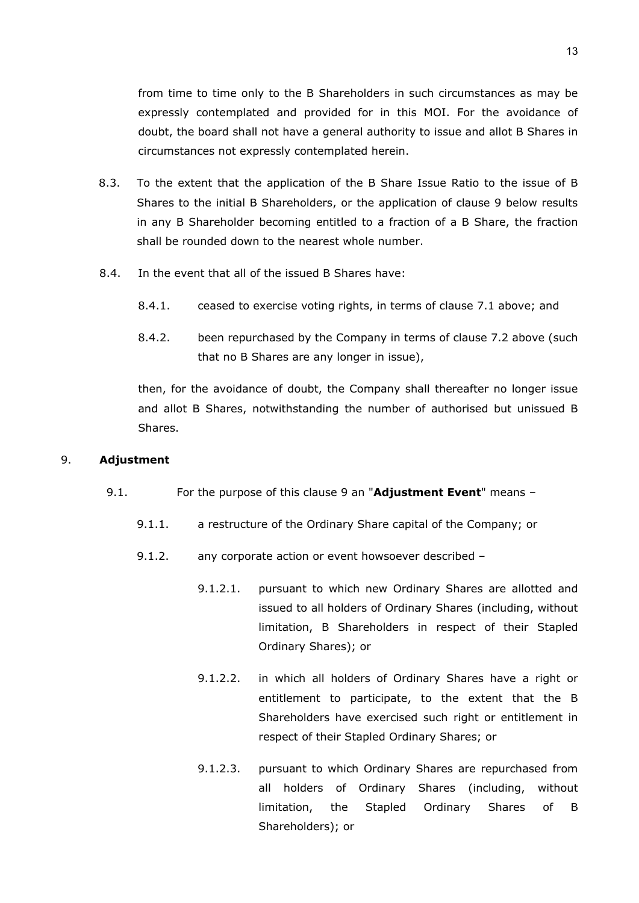from time to time only to the B Shareholders in such circumstances as may be expressly contemplated and provided for in this MOI. For the avoidance of doubt, the board shall not have a general authority to issue and allot B Shares in circumstances not expressly contemplated herein.

- 8.3. To the extent that the application of the B Share Issue Ratio to the issue of B Shares to the initial B Shareholders, or the application of clause [9](#page-77-0) below results in any B Shareholder becoming entitled to a fraction of a B Share, the fraction shall be rounded down to the nearest whole number.
- 8.4. In the event that all of the issued B Shares have:
	- 8.4.1. ceased to exercise voting rights, in terms of clause [7.1](#page-73-2) above; and
	- 8.4.2. been repurchased by the Company in terms of clause [7.2](#page-74-0) above (such that no B Shares are any longer in issue),

then, for the avoidance of doubt, the Company shall thereafter no longer issue and allot B Shares, notwithstanding the number of authorised but unissued B Shares.

#### <span id="page-77-0"></span>9. **Adjustment**

- <span id="page-77-2"></span><span id="page-77-1"></span>9.1. For the purpose of this clause [9](#page-77-0) an "**Adjustment Event**" means –
	- 9.1.1. a restructure of the Ordinary Share capital of the Company; or
	- 9.1.2. any corporate action or event howsoever described
		- 9.1.2.1. pursuant to which new Ordinary Shares are allotted and issued to all holders of Ordinary Shares (including, without limitation, B Shareholders in respect of their Stapled Ordinary Shares); or
		- 9.1.2.2. in which all holders of Ordinary Shares have a right or entitlement to participate, to the extent that the B Shareholders have exercised such right or entitlement in respect of their Stapled Ordinary Shares; or
		- 9.1.2.3. pursuant to which Ordinary Shares are repurchased from all holders of Ordinary Shares (including, without limitation, the Stapled Ordinary Shares of B Shareholders); or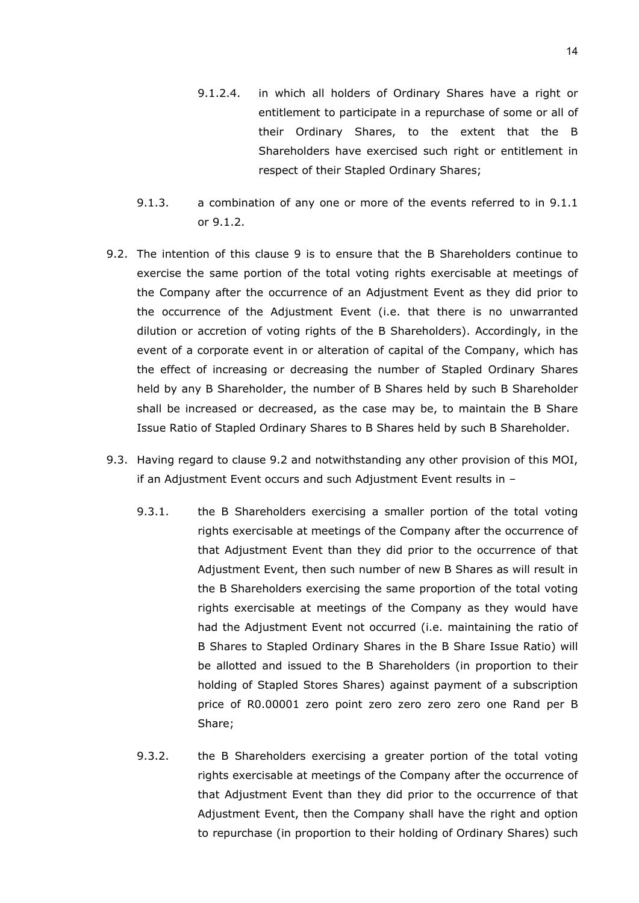- 9.1.2.4. in which all holders of Ordinary Shares have a right or entitlement to participate in a repurchase of some or all of their Ordinary Shares, to the extent that the B Shareholders have exercised such right or entitlement in respect of their Stapled Ordinary Shares;
- 9.1.3. a combination of any one or more of the events referred to in [9.1.1](#page-77-1) or [9.1.2.](#page-77-2)
- <span id="page-78-0"></span>9.2. The intention of this clause [9](#page-77-0) is to ensure that the B Shareholders continue to exercise the same portion of the total voting rights exercisable at meetings of the Company after the occurrence of an Adjustment Event as they did prior to the occurrence of the Adjustment Event (i.e. that there is no unwarranted dilution or accretion of voting rights of the B Shareholders). Accordingly, in the event of a corporate event in or alteration of capital of the Company, which has the effect of increasing or decreasing the number of Stapled Ordinary Shares held by any B Shareholder, the number of B Shares held by such B Shareholder shall be increased or decreased, as the case may be, to maintain the B Share Issue Ratio of Stapled Ordinary Shares to B Shares held by such B Shareholder.
- <span id="page-78-1"></span>9.3. Having regard to clause [9.2](#page-78-0) and notwithstanding any other provision of this MOI, if an Adjustment Event occurs and such Adjustment Event results in –
	- 9.3.1. the B Shareholders exercising a smaller portion of the total voting rights exercisable at meetings of the Company after the occurrence of that Adjustment Event than they did prior to the occurrence of that Adjustment Event, then such number of new B Shares as will result in the B Shareholders exercising the same proportion of the total voting rights exercisable at meetings of the Company as they would have had the Adjustment Event not occurred (i.e. maintaining the ratio of B Shares to Stapled Ordinary Shares in the B Share Issue Ratio) will be allotted and issued to the B Shareholders (in proportion to their holding of Stapled Stores Shares) against payment of a subscription price of R0.00001 zero point zero zero zero zero one Rand per B Share;
	- 9.3.2. the B Shareholders exercising a greater portion of the total voting rights exercisable at meetings of the Company after the occurrence of that Adjustment Event than they did prior to the occurrence of that Adjustment Event, then the Company shall have the right and option to repurchase (in proportion to their holding of Ordinary Shares) such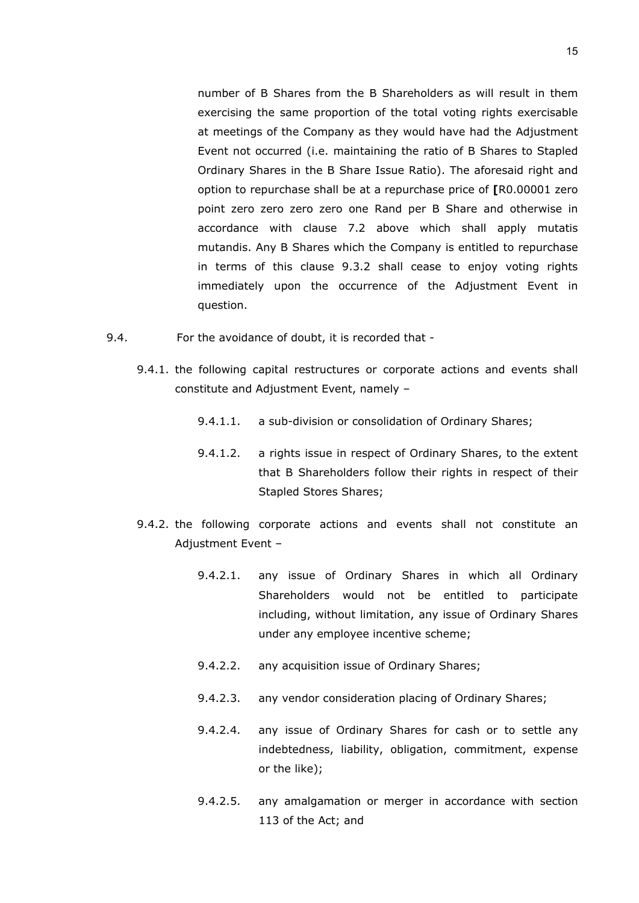number of B Shares from the B Shareholders as will result in them exercising the same proportion of the total voting rights exercisable at meetings of the Company as they would have had the Adjustment Event not occurred (i.e. maintaining the ratio of B Shares to Stapled Ordinary Shares in the B Share Issue Ratio). The aforesaid right and option to repurchase shall be at a repurchase price of **[**R0.00001 zero point zero zero zero zero one Rand per B Share and otherwise in accordance with clause [7.2](#page-74-0) above which shall apply mutatis mutandis. Any B Shares which the Company is entitled to repurchase in terms of this clause [9.3.2](#page-78-1) shall cease to enjoy voting rights immediately upon the occurrence of the Adjustment Event in question.

- 9.4. For the avoidance of doubt, it is recorded that
	- 9.4.1. the following capital restructures or corporate actions and events shall constitute and Adjustment Event, namely –
		- 9.4.1.1. a sub-division or consolidation of Ordinary Shares;
		- 9.4.1.2. a rights issue in respect of Ordinary Shares, to the extent that B Shareholders follow their rights in respect of their Stapled Stores Shares;
	- 9.4.2. the following corporate actions and events shall not constitute an Adjustment Event –
		- 9.4.2.1. any issue of Ordinary Shares in which all Ordinary Shareholders would not be entitled to participate including, without limitation, any issue of Ordinary Shares under any employee incentive scheme;
		- 9.4.2.2. any acquisition issue of Ordinary Shares;
		- 9.4.2.3. any vendor consideration placing of Ordinary Shares;
		- 9.4.2.4. any issue of Ordinary Shares for cash or to settle any indebtedness, liability, obligation, commitment, expense or the like);
		- 9.4.2.5. any amalgamation or merger in accordance with section 113 of the Act; and